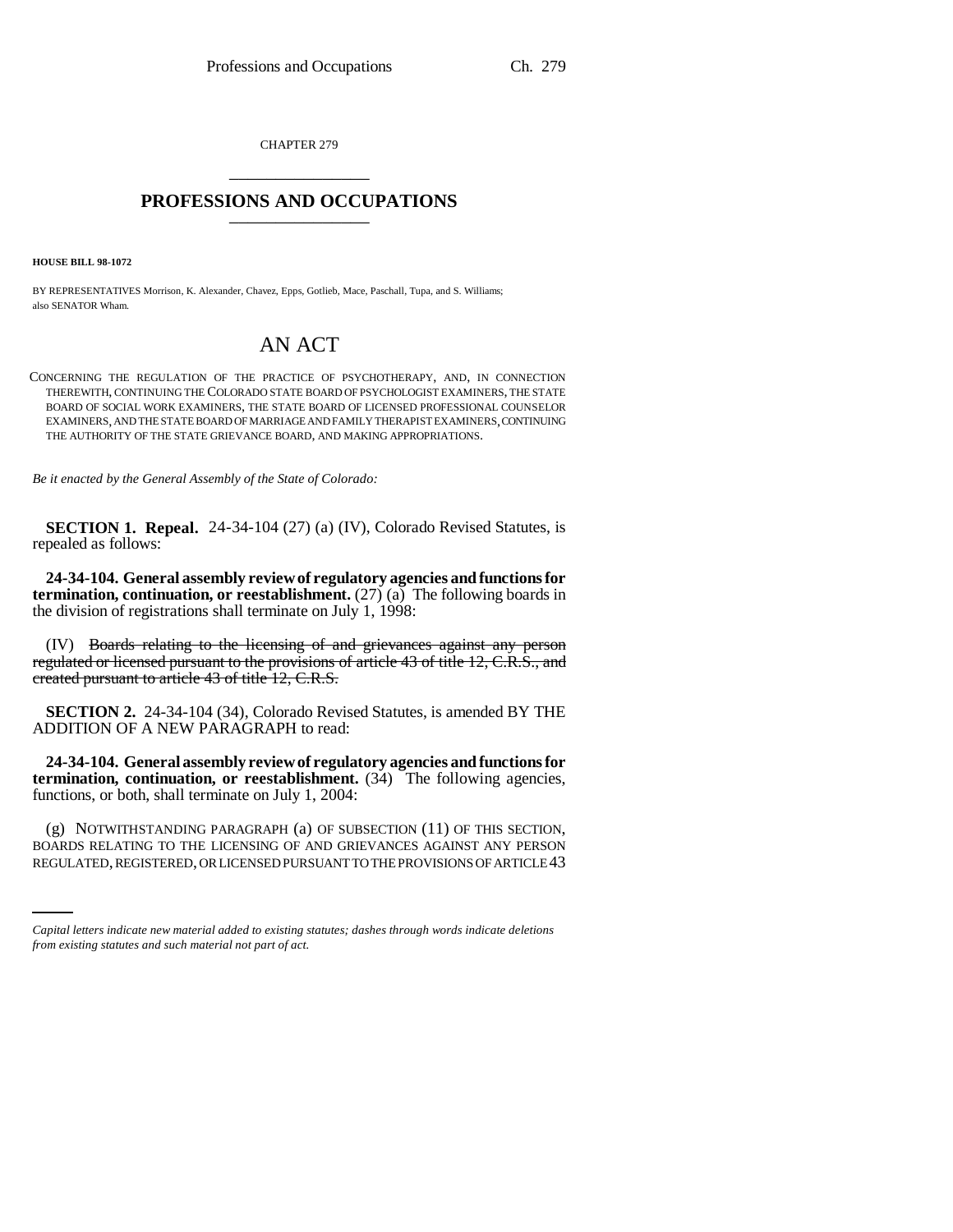CHAPTER 279 \_\_\_\_\_\_\_\_\_\_\_\_\_\_\_

# **PROFESSIONS AND OCCUPATIONS** \_\_\_\_\_\_\_\_\_\_\_\_\_\_\_

**HOUSE BILL 98-1072**

BY REPRESENTATIVES Morrison, K. Alexander, Chavez, Epps, Gotlieb, Mace, Paschall, Tupa, and S. Williams; also SENATOR Wham.

# AN ACT

CONCERNING THE REGULATION OF THE PRACTICE OF PSYCHOTHERAPY, AND, IN CONNECTION THEREWITH, CONTINUING THE COLORADO STATE BOARD OF PSYCHOLOGIST EXAMINERS, THE STATE BOARD OF SOCIAL WORK EXAMINERS, THE STATE BOARD OF LICENSED PROFESSIONAL COUNSELOR EXAMINERS, AND THE STATE BOARD OF MARRIAGE AND FAMILY THERAPIST EXAMINERS, CONTINUING THE AUTHORITY OF THE STATE GRIEVANCE BOARD, AND MAKING APPROPRIATIONS.

*Be it enacted by the General Assembly of the State of Colorado:*

**SECTION 1. Repeal.** 24-34-104 (27) (a) (IV), Colorado Revised Statutes, is repealed as follows:

**24-34-104. General assembly review of regulatory agencies and functions for termination, continuation, or reestablishment.** (27) (a) The following boards in the division of registrations shall terminate on July 1, 1998:

(IV) Boards relating to the licensing of and grievances against any person regulated or licensed pursuant to the provisions of article 43 of title 12, C.R.S., and created pursuant to article 43 of title 12, C.R.S.

**SECTION 2.** 24-34-104 (34), Colorado Revised Statutes, is amended BY THE ADDITION OF A NEW PARAGRAPH to read:

**24-34-104. General assembly review of regulatory agencies and functions for termination, continuation, or reestablishment.** (34) The following agencies, functions, or both, shall terminate on July 1, 2004:

(g) NOTWITHSTANDING PARAGRAPH (a) OF SUBSECTION (11) OF THIS SECTION, BOARDS RELATING TO THE LICENSING OF AND GRIEVANCES AGAINST ANY PERSON REGULATED, REGISTERED, OR LICENSED PURSUANT TO THE PROVISIONS OF ARTICLE 43

*Capital letters indicate new material added to existing statutes; dashes through words indicate deletions from existing statutes and such material not part of act.*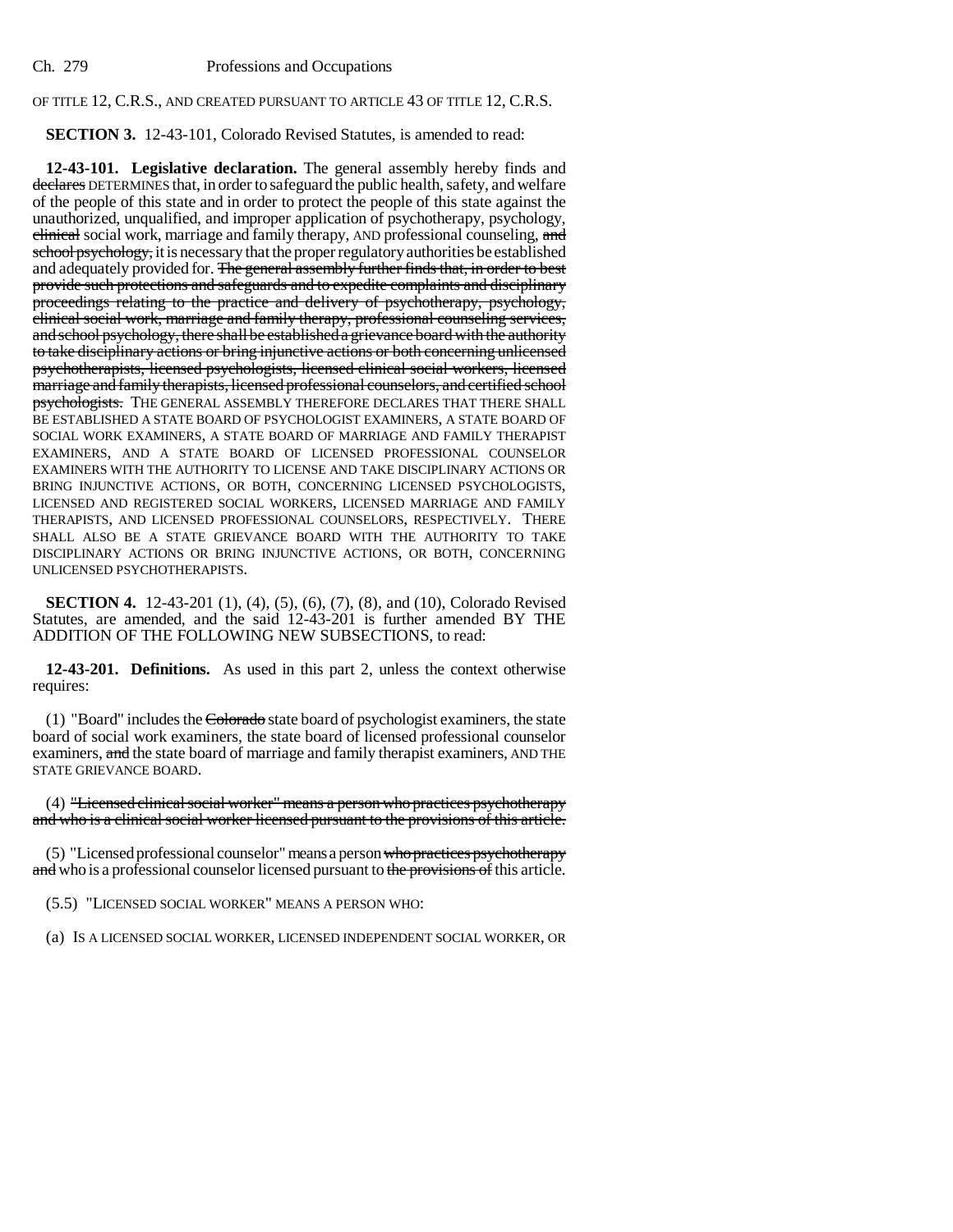# OF TITLE 12, C.R.S., AND CREATED PURSUANT TO ARTICLE 43 OF TITLE 12, C.R.S.

# **SECTION 3.** 12-43-101, Colorado Revised Statutes, is amended to read:

**12-43-101. Legislative declaration.** The general assembly hereby finds and declares DETERMINES that, in order to safeguard the public health, safety, and welfare of the people of this state and in order to protect the people of this state against the unauthorized, unqualified, and improper application of psychotherapy, psychology, elinical social work, marriage and family therapy, AND professional counseling, and school psychology, it is necessary that the proper regulatory authorities be established and adequately provided for. The general assembly further finds that, in order to best provide such protections and safeguards and to expedite complaints and disciplinary proceedings relating to the practice and delivery of psychotherapy, psychology, clinical social work, marriage and family therapy, professional counseling services, and school psychology, there shall be established a grievance board with the authority to take disciplinary actions or bring injunctive actions or both concerning unlicensed psychotherapists, licensed psychologists, licensed clinical social workers, licensed marriage and family therapists, licensed professional counselors, and certified school psychologists. THE GENERAL ASSEMBLY THEREFORE DECLARES THAT THERE SHALL BE ESTABLISHED A STATE BOARD OF PSYCHOLOGIST EXAMINERS, A STATE BOARD OF SOCIAL WORK EXAMINERS, A STATE BOARD OF MARRIAGE AND FAMILY THERAPIST EXAMINERS, AND A STATE BOARD OF LICENSED PROFESSIONAL COUNSELOR EXAMINERS WITH THE AUTHORITY TO LICENSE AND TAKE DISCIPLINARY ACTIONS OR BRING INJUNCTIVE ACTIONS, OR BOTH, CONCERNING LICENSED PSYCHOLOGISTS, LICENSED AND REGISTERED SOCIAL WORKERS, LICENSED MARRIAGE AND FAMILY THERAPISTS, AND LICENSED PROFESSIONAL COUNSELORS, RESPECTIVELY. THERE SHALL ALSO BE A STATE GRIEVANCE BOARD WITH THE AUTHORITY TO TAKE DISCIPLINARY ACTIONS OR BRING INJUNCTIVE ACTIONS, OR BOTH, CONCERNING UNLICENSED PSYCHOTHERAPISTS.

**SECTION 4.** 12-43-201 (1), (4), (5), (6), (7), (8), and (10), Colorado Revised Statutes, are amended, and the said 12-43-201 is further amended BY THE ADDITION OF THE FOLLOWING NEW SUBSECTIONS, to read:

**12-43-201. Definitions.** As used in this part 2, unless the context otherwise requires:

(1) "Board" includes the Colorado state board of psychologist examiners, the state board of social work examiners, the state board of licensed professional counselor examiners, and the state board of marriage and family therapist examiners, AND THE STATE GRIEVANCE BOARD.

(4) "Licensed clinical social worker" means a person who practices psychotherapy and who is a clinical social worker licensed pursuant to the provisions of this article.

(5) "Licensed professional counselor" means a person who practices psychotherapy and who is a professional counselor licensed pursuant to the provisions of this article.

(5.5) "LICENSED SOCIAL WORKER" MEANS A PERSON WHO:

(a) IS A LICENSED SOCIAL WORKER, LICENSED INDEPENDENT SOCIAL WORKER, OR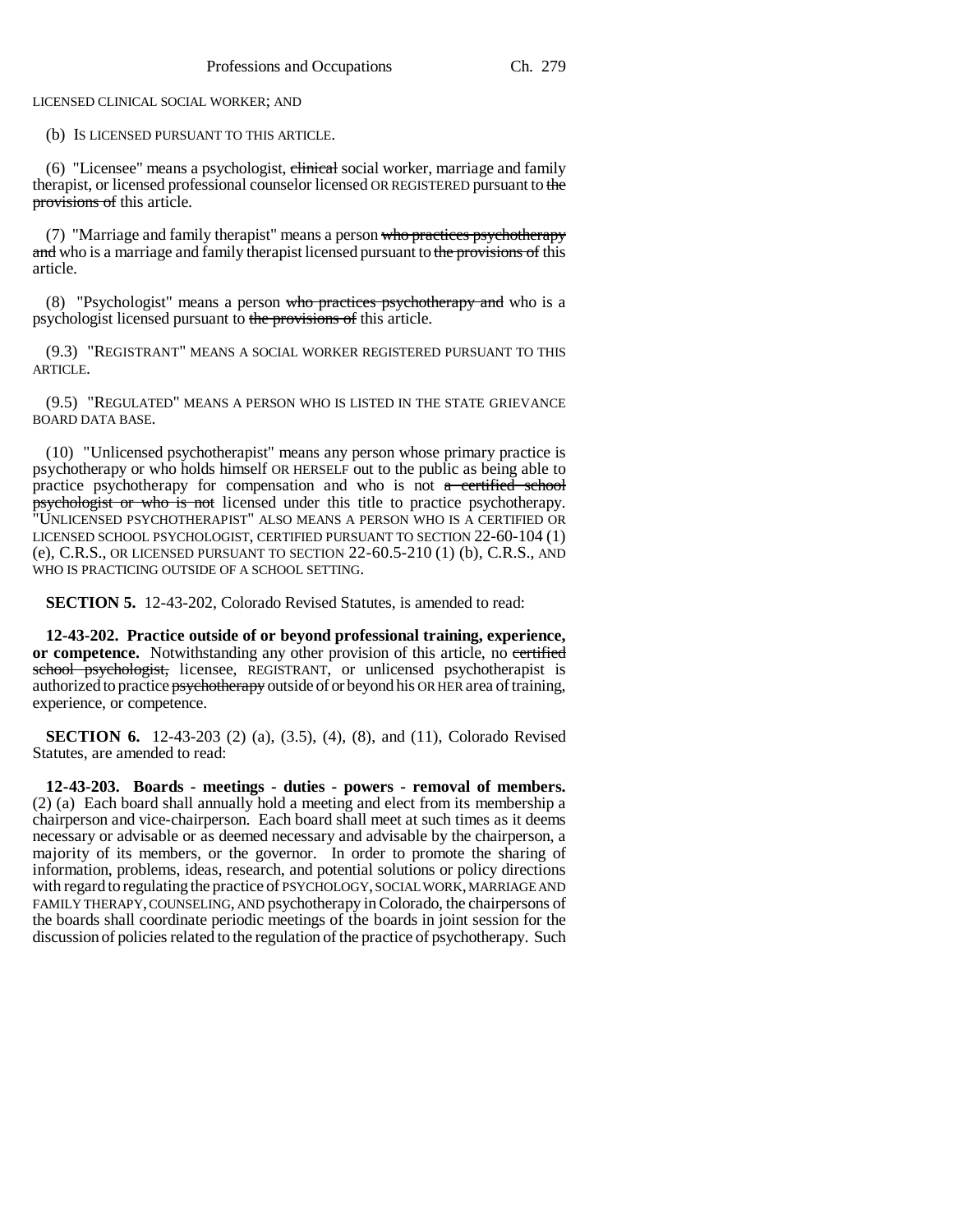LICENSED CLINICAL SOCIAL WORKER; AND

(b) IS LICENSED PURSUANT TO THIS ARTICLE.

 $(6)$  "Licensee" means a psychologist, clinical social worker, marriage and family therapist, or licensed professional counselor licensed OR REGISTERED pursuant to the provisions of this article.

(7) "Marriage and family therapist" means a person who practices psychotherapy and who is a marriage and family therapist licensed pursuant to the provisions of this article.

(8) "Psychologist" means a person who practices psychotherapy and who is a psychologist licensed pursuant to the provisions of this article.

(9.3) "REGISTRANT" MEANS A SOCIAL WORKER REGISTERED PURSUANT TO THIS ARTICLE.

(9.5) "REGULATED" MEANS A PERSON WHO IS LISTED IN THE STATE GRIEVANCE BOARD DATA BASE.

(10) "Unlicensed psychotherapist" means any person whose primary practice is psychotherapy or who holds himself OR HERSELF out to the public as being able to practice psychotherapy for compensation and who is not a certified school psychologist or who is not licensed under this title to practice psychotherapy. "UNLICENSED PSYCHOTHERAPIST" ALSO MEANS A PERSON WHO IS A CERTIFIED OR LICENSED SCHOOL PSYCHOLOGIST, CERTIFIED PURSUANT TO SECTION 22-60-104 (1) (e), C.R.S., OR LICENSED PURSUANT TO SECTION 22-60.5-210 (1) (b), C.R.S., AND WHO IS PRACTICING OUTSIDE OF A SCHOOL SETTING.

**SECTION 5.** 12-43-202, Colorado Revised Statutes, is amended to read:

**12-43-202. Practice outside of or beyond professional training, experience, or competence.** Notwithstanding any other provision of this article, no certified school psychologist, licensee, REGISTRANT, or unlicensed psychotherapist is authorized to practice psychotherapy outside of or beyond his OR HER area of training, experience, or competence.

**SECTION 6.** 12-43-203 (2) (a), (3.5), (4), (8), and (11), Colorado Revised Statutes, are amended to read:

**12-43-203. Boards - meetings - duties - powers - removal of members.** (2) (a) Each board shall annually hold a meeting and elect from its membership a chairperson and vice-chairperson. Each board shall meet at such times as it deems necessary or advisable or as deemed necessary and advisable by the chairperson, a majority of its members, or the governor. In order to promote the sharing of information, problems, ideas, research, and potential solutions or policy directions with regard to regulating the practice of PSYCHOLOGY, SOCIAL WORK, MARRIAGE AND FAMILY THERAPY, COUNSELING, AND psychotherapy in Colorado, the chairpersons of the boards shall coordinate periodic meetings of the boards in joint session for the discussion of policies related to the regulation of the practice of psychotherapy. Such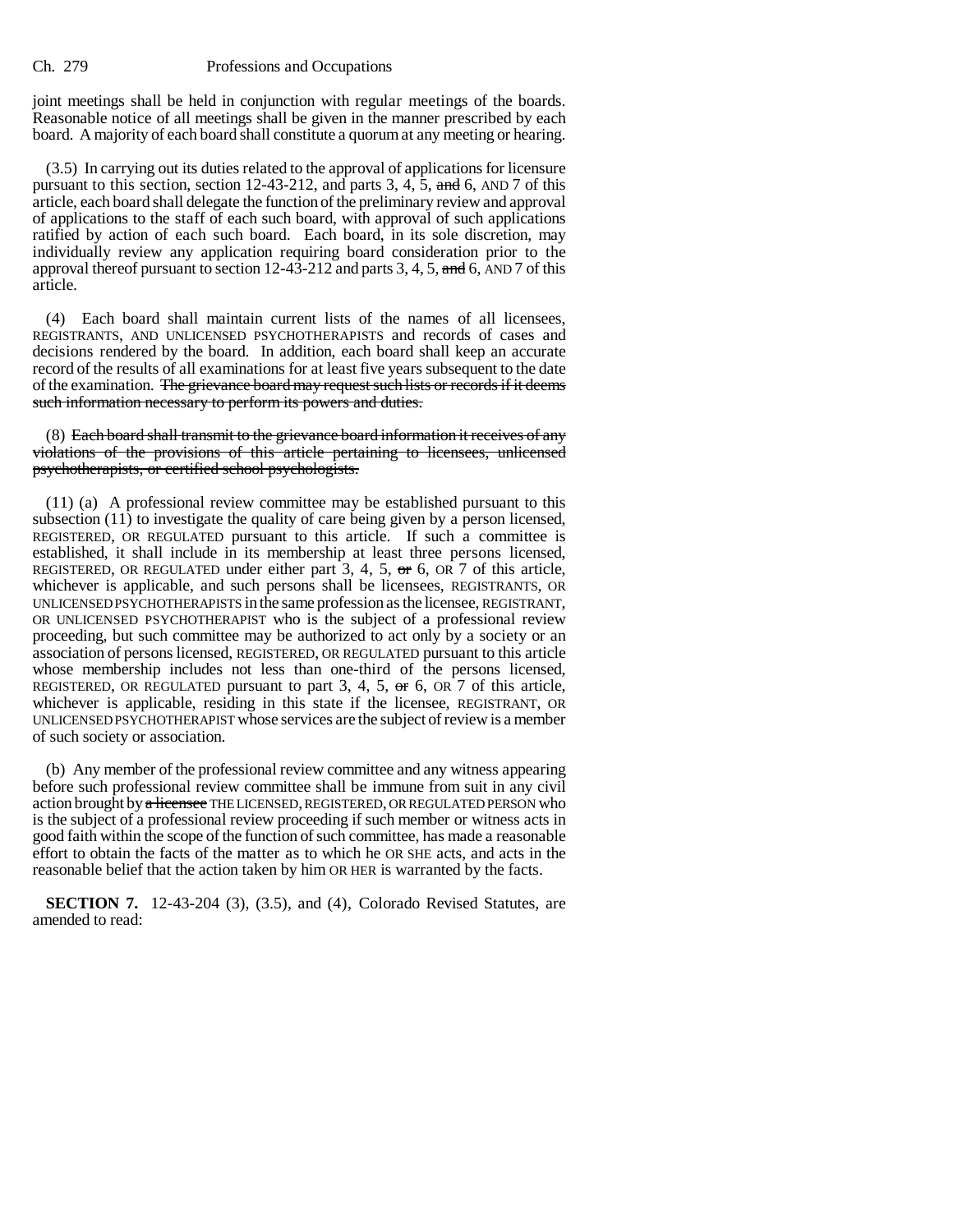joint meetings shall be held in conjunction with regular meetings of the boards. Reasonable notice of all meetings shall be given in the manner prescribed by each board. A majority of each board shall constitute a quorum at any meeting or hearing.

(3.5) In carrying out its duties related to the approval of applications for licensure pursuant to this section, section 12-43-212, and parts 3, 4, 5, and 6, AND 7 of this article, each board shall delegate the function of the preliminary review and approval of applications to the staff of each such board, with approval of such applications ratified by action of each such board. Each board, in its sole discretion, may individually review any application requiring board consideration prior to the approval thereof pursuant to section  $12-43-212$  and parts 3, 4, 5, and 6, AND 7 of this article.

(4) Each board shall maintain current lists of the names of all licensees, REGISTRANTS, AND UNLICENSED PSYCHOTHERAPISTS and records of cases and decisions rendered by the board. In addition, each board shall keep an accurate record of the results of all examinations for at least five years subsequent to the date of the examination. The grievance board may request such lists or records if it deems such information necessary to perform its powers and duties.

(8) Each board shall transmit to the grievance board information it receives of any violations of the provisions of this article pertaining to licensees, unlicensed psychotherapists, or certified school psychologists.

(11) (a) A professional review committee may be established pursuant to this subsection (11) to investigate the quality of care being given by a person licensed, REGISTERED, OR REGULATED pursuant to this article. If such a committee is established, it shall include in its membership at least three persons licensed, REGISTERED, OR REGULATED under either part  $3, 4, 5, \text{ or } 6$ , OR  $7$  of this article, whichever is applicable, and such persons shall be licensees, REGISTRANTS, OR UNLICENSED PSYCHOTHERAPISTS in the same profession as the licensee, REGISTRANT, OR UNLICENSED PSYCHOTHERAPIST who is the subject of a professional review proceeding, but such committee may be authorized to act only by a society or an association of persons licensed, REGISTERED, OR REGULATED pursuant to this article whose membership includes not less than one-third of the persons licensed, REGISTERED, OR REGULATED pursuant to part 3, 4, 5,  $\sigma$  6, OR 7 of this article, whichever is applicable, residing in this state if the licensee, REGISTRANT, OR UNLICENSED PSYCHOTHERAPIST whose services are the subject of review is a member of such society or association.

(b) Any member of the professional review committee and any witness appearing before such professional review committee shall be immune from suit in any civil action brought by a licensee THE LICENSED, REGISTERED, OR REGULATED PERSON who is the subject of a professional review proceeding if such member or witness acts in good faith within the scope of the function of such committee, has made a reasonable effort to obtain the facts of the matter as to which he OR SHE acts, and acts in the reasonable belief that the action taken by him OR HER is warranted by the facts.

**SECTION 7.** 12-43-204 (3), (3.5), and (4), Colorado Revised Statutes, are amended to read: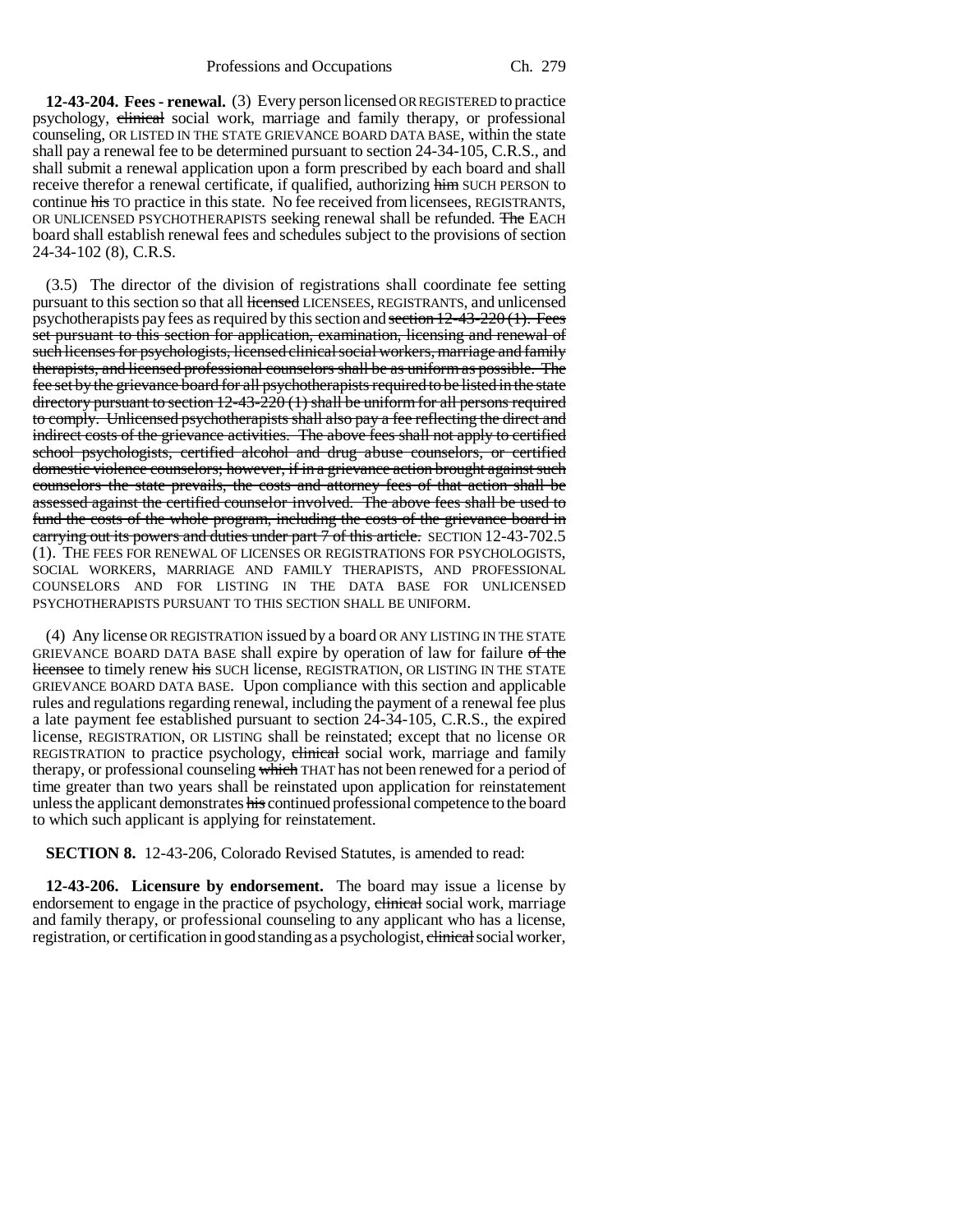**12-43-204. Fees - renewal.** (3) Every person licensed OR REGISTERED to practice psychology, clinical social work, marriage and family therapy, or professional counseling, OR LISTED IN THE STATE GRIEVANCE BOARD DATA BASE, within the state shall pay a renewal fee to be determined pursuant to section 24-34-105, C.R.S., and shall submit a renewal application upon a form prescribed by each board and shall receive therefor a renewal certificate, if qualified, authorizing him SUCH PERSON to continue his TO practice in this state. No fee received from licensees, REGISTRANTS, OR UNLICENSED PSYCHOTHERAPISTS seeking renewal shall be refunded. The EACH board shall establish renewal fees and schedules subject to the provisions of section 24-34-102 (8), C.R.S.

(3.5) The director of the division of registrations shall coordinate fee setting pursuant to this section so that all licensed LICENSEES, REGISTRANTS, and unlicensed psychotherapists pay fees as required by this section and section  $12-43-220(1)$ . Fees set pursuant to this section for application, examination, licensing and renewal of such licenses for psychologists, licensed clinical social workers, marriage and family therapists, and licensed professional counselors shall be as uniform as possible. The fee set by the grievance board for all psychotherapists required to be listed in the state directory pursuant to section 12-43-220 (1) shall be uniform for all persons required to comply. Unlicensed psychotherapists shall also pay a fee reflecting the direct and indirect costs of the grievance activities. The above fees shall not apply to certified school psychologists, certified alcohol and drug abuse counselors, or certified domestic violence counselors; however, if in a grievance action brought against such counselors the state prevails, the costs and attorney fees of that action shall be assessed against the certified counselor involved. The above fees shall be used to fund the costs of the whole program, including the costs of the grievance board in carrying out its powers and duties under part 7 of this article. SECTION 12-43-702.5 (1). THE FEES FOR RENEWAL OF LICENSES OR REGISTRATIONS FOR PSYCHOLOGISTS, SOCIAL WORKERS, MARRIAGE AND FAMILY THERAPISTS, AND PROFESSIONAL COUNSELORS AND FOR LISTING IN THE DATA BASE FOR UNLICENSED PSYCHOTHERAPISTS PURSUANT TO THIS SECTION SHALL BE UNIFORM.

(4) Any license OR REGISTRATION issued by a board OR ANY LISTING IN THE STATE GRIEVANCE BOARD DATA BASE shall expire by operation of law for failure of the licensee to timely renew his SUCH license, REGISTRATION, OR LISTING IN THE STATE GRIEVANCE BOARD DATA BASE. Upon compliance with this section and applicable rules and regulations regarding renewal, including the payment of a renewal fee plus a late payment fee established pursuant to section 24-34-105, C.R.S., the expired license, REGISTRATION, OR LISTING shall be reinstated; except that no license OR REGISTRATION to practice psychology, elinical social work, marriage and family therapy, or professional counseling which THAT has not been renewed for a period of time greater than two years shall be reinstated upon application for reinstatement unless the applicant demonstrates his continued professional competence to the board to which such applicant is applying for reinstatement.

**SECTION 8.** 12-43-206, Colorado Revised Statutes, is amended to read:

**12-43-206. Licensure by endorsement.** The board may issue a license by endorsement to engage in the practice of psychology, clinical social work, marriage and family therapy, or professional counseling to any applicant who has a license, registration, or certification in good standing as a psychologist, elimical social worker,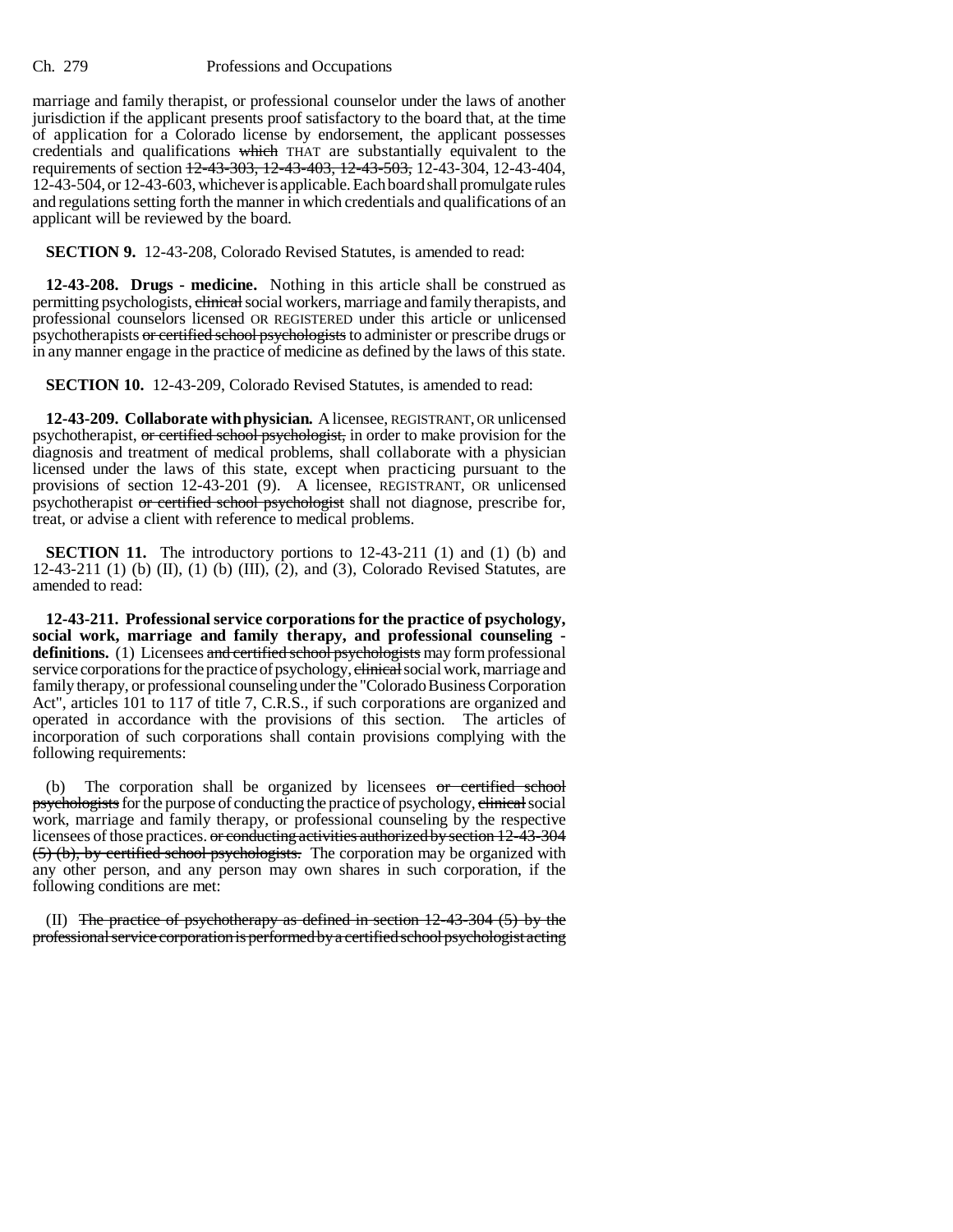marriage and family therapist, or professional counselor under the laws of another jurisdiction if the applicant presents proof satisfactory to the board that, at the time of application for a Colorado license by endorsement, the applicant possesses credentials and qualifications which THAT are substantially equivalent to the requirements of section 12-43-303, 12-43-403, 12-43-503, 12-43-304, 12-43-404, 12-43-504, or 12-43-603, whichever is applicable. Each board shall promulgate rules and regulations setting forth the manner in which credentials and qualifications of an applicant will be reviewed by the board.

**SECTION 9.** 12-43-208, Colorado Revised Statutes, is amended to read:

**12-43-208. Drugs - medicine.** Nothing in this article shall be construed as permitting psychologists, clinical social workers, marriage and family therapists, and professional counselors licensed OR REGISTERED under this article or unlicensed psychotherapists or certified school psychologists to administer or prescribe drugs or in any manner engage in the practice of medicine as defined by the laws of this state.

**SECTION 10.** 12-43-209, Colorado Revised Statutes, is amended to read:

**12-43-209. Collaborate with physician.** A licensee, REGISTRANT, OR unlicensed psychotherapist, or certified school psychologist, in order to make provision for the diagnosis and treatment of medical problems, shall collaborate with a physician licensed under the laws of this state, except when practicing pursuant to the provisions of section 12-43-201 (9). A licensee, REGISTRANT, OR unlicensed psychotherapist or certified school psychologist shall not diagnose, prescribe for, treat, or advise a client with reference to medical problems.

**SECTION 11.** The introductory portions to 12-43-211 (1) and (1) (b) and 12-43-211 (1) (b) (II), (1) (b) (III), (2), and (3), Colorado Revised Statutes, are amended to read:

**12-43-211. Professional service corporations for the practice of psychology, social work, marriage and family therapy, and professional counseling definitions.** (1) Licensees and certified school psychologists may form professional service corporations for the practice of psychology, elimical social work, marriage and family therapy, or professional counseling under the "Colorado Business Corporation Act", articles 101 to 117 of title 7, C.R.S., if such corporations are organized and operated in accordance with the provisions of this section. The articles of incorporation of such corporations shall contain provisions complying with the following requirements:

(b) The corporation shall be organized by licensees or certified school psychologists for the purpose of conducting the practice of psychology, elinical social work, marriage and family therapy, or professional counseling by the respective licensees of those practices. or conducting activities authorized by section 12-43-304 (5) (b), by certified school psychologists. The corporation may be organized with any other person, and any person may own shares in such corporation, if the following conditions are met:

(II) The practice of psychotherapy as defined in section  $12-43-304$  (5) by the professional service corporation is performed by a certified school psychologist acting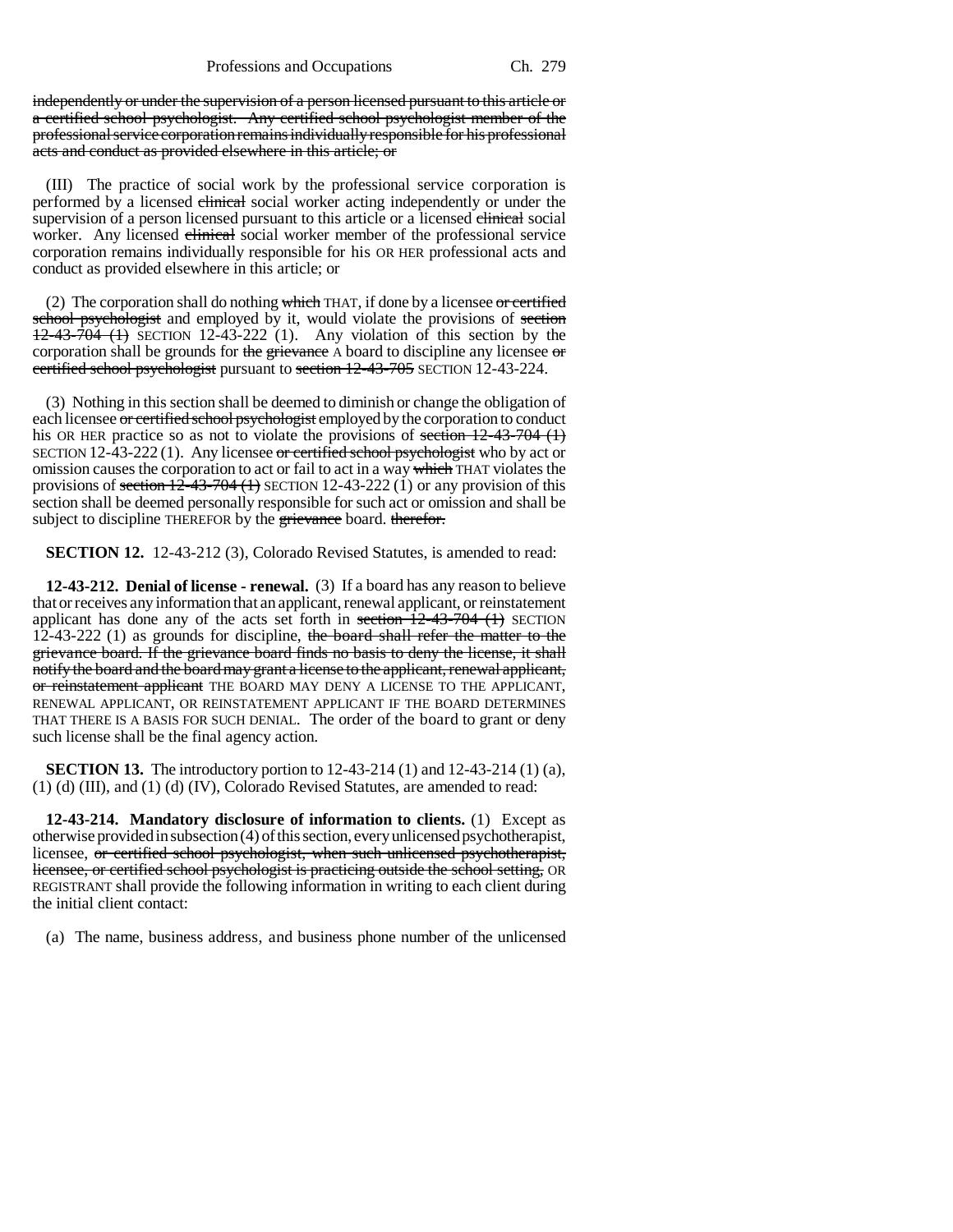independently or under the supervision of a person licensed pursuant to this article or a certified school psychologist. Any certified school psychologist member of the professional service corporation remains individually responsible for his professional acts and conduct as provided elsewhere in this article; or

(III) The practice of social work by the professional service corporation is performed by a licensed clinical social worker acting independently or under the supervision of a person licensed pursuant to this article or a licensed elimical social worker. Any licensed clinical social worker member of the professional service corporation remains individually responsible for his OR HER professional acts and conduct as provided elsewhere in this article; or

(2) The corporation shall do nothing which THAT, if done by a licensee or certified school psychologist and employed by it, would violate the provisions of section  $12-43-704$  (1) SECTION 12-43-222 (1). Any violation of this section by the corporation shall be grounds for the grievance A board to discipline any licensee  $\sigma$ certified school psychologist pursuant to section 12-43-705 SECTION 12-43-224.

(3) Nothing in this section shall be deemed to diminish or change the obligation of each licensee or certified school psychologist employed by the corporation to conduct his OR HER practice so as not to violate the provisions of section  $12-43-704$  (1) SECTION 12-43-222 (1). Any licensee or certified school psychologist who by act or omission causes the corporation to act or fail to act in a way which THAT violates the provisions of section  $12-43-704$  (1) SECTION 12-43-222 (1) or any provision of this section shall be deemed personally responsible for such act or omission and shall be subject to discipline THEREFOR by the grievance board. therefor.

**SECTION 12.** 12-43-212 (3), Colorado Revised Statutes, is amended to read:

**12-43-212. Denial of license - renewal.** (3) If a board has any reason to believe that or receives any information that an applicant, renewal applicant, or reinstatement applicant has done any of the acts set forth in section  $12-43-704$  (1) SECTION 12-43-222 (1) as grounds for discipline, the board shall refer the matter to the grievance board. If the grievance board finds no basis to deny the license, it shall notify the board and the board may grant a license to the applicant, renewal applicant, or reinstatement applicant THE BOARD MAY DENY A LICENSE TO THE APPLICANT, RENEWAL APPLICANT, OR REINSTATEMENT APPLICANT IF THE BOARD DETERMINES THAT THERE IS A BASIS FOR SUCH DENIAL. The order of the board to grant or deny such license shall be the final agency action.

**SECTION 13.** The introductory portion to 12-43-214 (1) and 12-43-214 (1) (a), (1) (d) (III), and (1) (d) (IV), Colorado Revised Statutes, are amended to read:

**12-43-214. Mandatory disclosure of information to clients.** (1) Except as otherwise provided in subsection (4) of this section, every unlicensed psychotherapist, licensee, or certified school psychologist, when such unlicensed psychotherapist, licensee, or certified school psychologist is practicing outside the school setting, OR REGISTRANT shall provide the following information in writing to each client during the initial client contact:

(a) The name, business address, and business phone number of the unlicensed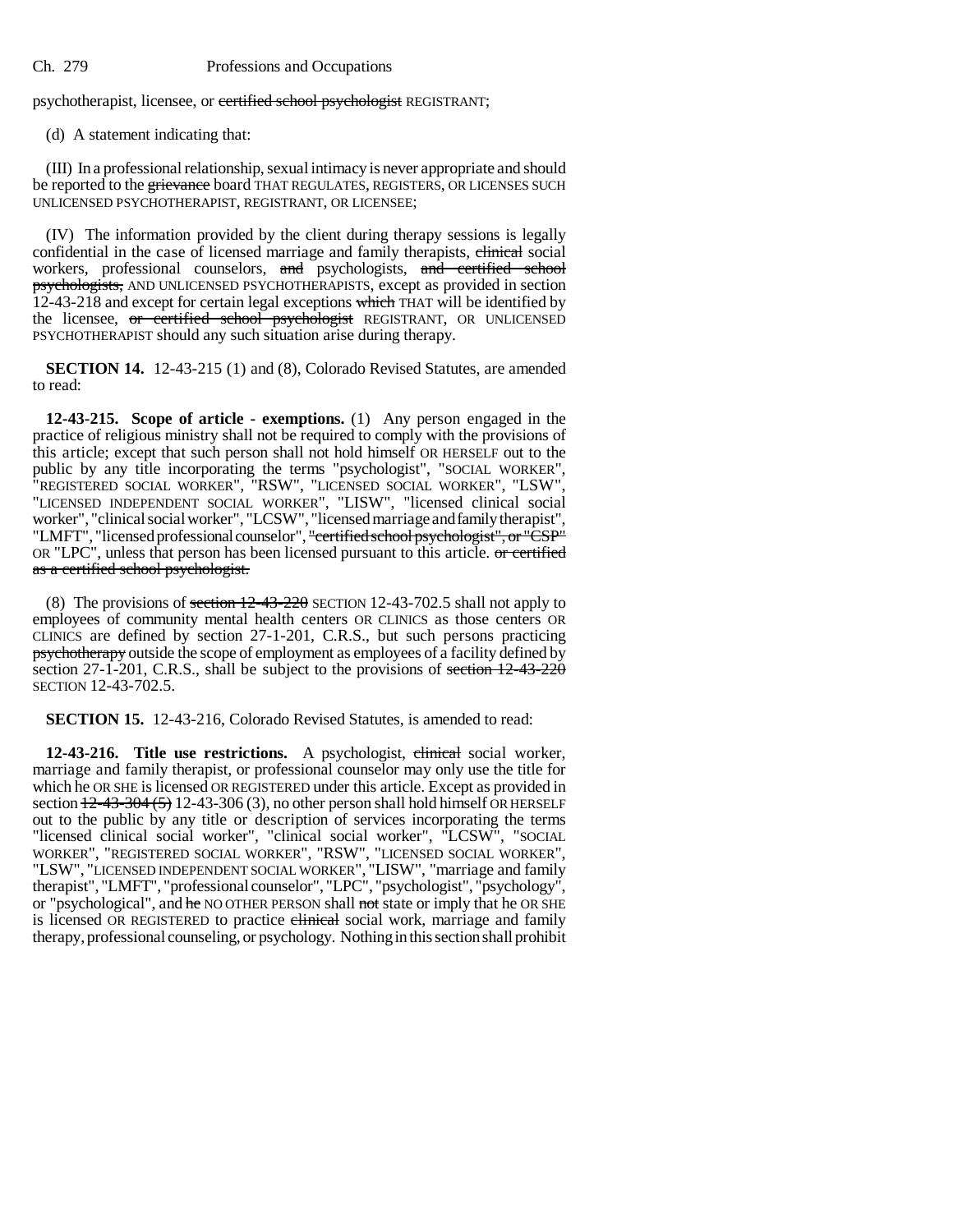psychotherapist, licensee, or certified school psychologist REGISTRANT;

(d) A statement indicating that:

(III) In a professional relationship, sexual intimacy is never appropriate and should be reported to the grievance board THAT REGULATES, REGISTERS, OR LICENSES SUCH UNLICENSED PSYCHOTHERAPIST, REGISTRANT, OR LICENSEE;

(IV) The information provided by the client during therapy sessions is legally confidential in the case of licensed marriage and family therapists, elimical social workers, professional counselors, and psychologists, and certified school psychologists, AND UNLICENSED PSYCHOTHERAPISTS, except as provided in section 12-43-218 and except for certain legal exceptions which THAT will be identified by the licensee, or certified school psychologist REGISTRANT, OR UNLICENSED PSYCHOTHERAPIST should any such situation arise during therapy.

**SECTION 14.** 12-43-215 (1) and (8), Colorado Revised Statutes, are amended to read:

**12-43-215. Scope of article - exemptions.** (1) Any person engaged in the practice of religious ministry shall not be required to comply with the provisions of this article; except that such person shall not hold himself OR HERSELF out to the public by any title incorporating the terms "psychologist", "SOCIAL WORKER", "REGISTERED SOCIAL WORKER", "RSW", "LICENSED SOCIAL WORKER", "LSW", "LICENSED INDEPENDENT SOCIAL WORKER", "LISW", "licensed clinical social worker", "clinical social worker", "LCSW", "licensed marriage and family therapist", "LMFT", "licensed professional counselor", "certified school psychologist", or "CSP" OR "LPC", unless that person has been licensed pursuant to this article. or certified as a certified school psychologist.

(8) The provisions of section  $12-43-220$  SECTION 12-43-702.5 shall not apply to employees of community mental health centers OR CLINICS as those centers OR CLINICS are defined by section 27-1-201, C.R.S., but such persons practicing psychotherapy outside the scope of employment as employees of a facility defined by section 27-1-201, C.R.S., shall be subject to the provisions of section 12-43-220 SECTION 12-43-702.5.

**SECTION 15.** 12-43-216, Colorado Revised Statutes, is amended to read:

12-43-216. Title use restrictions. A psychologist, clinical social worker, marriage and family therapist, or professional counselor may only use the title for which he OR SHE is licensed OR REGISTERED under this article. Except as provided in section  $\frac{12-43-304(5)}{2-43-306(3)}$ , no other person shall hold himself OR HERSELF out to the public by any title or description of services incorporating the terms "licensed clinical social worker", "clinical social worker", "LCSW", "SOCIAL WORKER", "REGISTERED SOCIAL WORKER", "RSW", "LICENSED SOCIAL WORKER", "LSW", "LICENSED INDEPENDENT SOCIAL WORKER", "LISW", "marriage and family therapist", "LMFT", "professional counselor", "LPC", "psychologist", "psychology", or "psychological", and he NO OTHER PERSON shall not state or imply that he OR SHE is licensed OR REGISTERED to practice clinical social work, marriage and family therapy, professional counseling, or psychology. Nothing in this section shall prohibit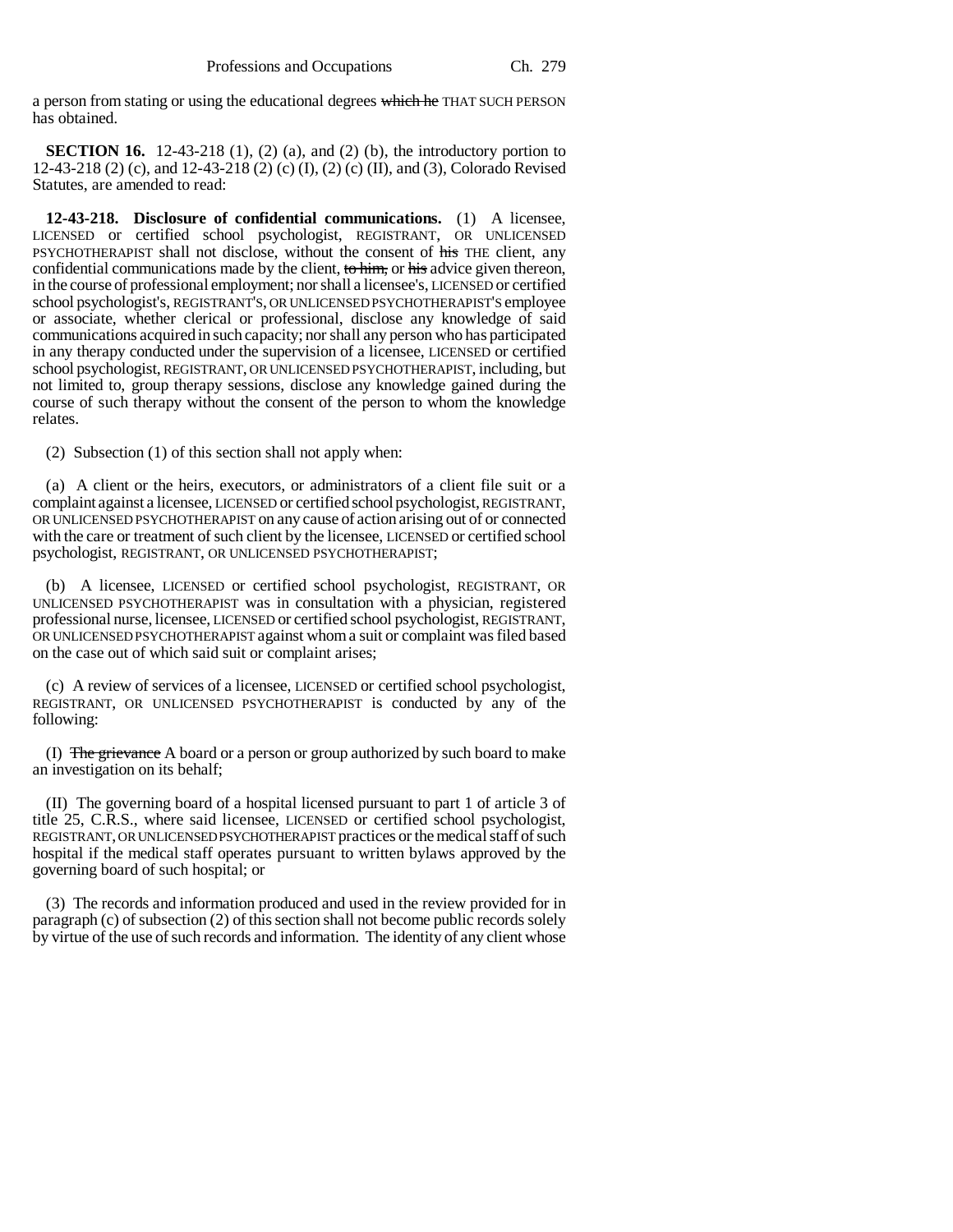a person from stating or using the educational degrees which he THAT SUCH PERSON has obtained.

**SECTION 16.** 12-43-218 (1), (2) (a), and (2) (b), the introductory portion to 12-43-218 (2) (c), and 12-43-218 (2) (c) (I), (2) (c) (II), and (3), Colorado Revised Statutes, are amended to read:

**12-43-218. Disclosure of confidential communications.** (1) A licensee, LICENSED or certified school psychologist, REGISTRANT, OR UNLICENSED PSYCHOTHERAPIST shall not disclose, without the consent of his THE client, any confidential communications made by the client, to him, or his advice given thereon, in the course of professional employment; nor shall a licensee's, LICENSED or certified school psychologist's, REGISTRANT'S, OR UNLICENSED PSYCHOTHERAPIST'S employee or associate, whether clerical or professional, disclose any knowledge of said communications acquired in such capacity; nor shall any person who has participated in any therapy conducted under the supervision of a licensee, LICENSED or certified school psychologist, REGISTRANT, OR UNLICENSED PSYCHOTHERAPIST, including, but not limited to, group therapy sessions, disclose any knowledge gained during the course of such therapy without the consent of the person to whom the knowledge relates.

(2) Subsection (1) of this section shall not apply when:

(a) A client or the heirs, executors, or administrators of a client file suit or a complaint against a licensee, LICENSED or certified school psychologist, REGISTRANT, OR UNLICENSED PSYCHOTHERAPIST on any cause of action arising out of or connected with the care or treatment of such client by the licensee, LICENSED or certified school psychologist, REGISTRANT, OR UNLICENSED PSYCHOTHERAPIST;

(b) A licensee, LICENSED or certified school psychologist, REGISTRANT, OR UNLICENSED PSYCHOTHERAPIST was in consultation with a physician, registered professional nurse, licensee, LICENSED or certified school psychologist, REGISTRANT, OR UNLICENSED PSYCHOTHERAPIST against whom a suit or complaint was filed based on the case out of which said suit or complaint arises;

(c) A review of services of a licensee, LICENSED or certified school psychologist, REGISTRANT, OR UNLICENSED PSYCHOTHERAPIST is conducted by any of the following:

(I) The grievance A board or a person or group authorized by such board to make an investigation on its behalf;

(II) The governing board of a hospital licensed pursuant to part 1 of article 3 of title 25, C.R.S., where said licensee, LICENSED or certified school psychologist, REGISTRANT, OR UNLICENSED PSYCHOTHERAPIST practices or the medical staff of such hospital if the medical staff operates pursuant to written bylaws approved by the governing board of such hospital; or

(3) The records and information produced and used in the review provided for in paragraph (c) of subsection (2) of this section shall not become public records solely by virtue of the use of such records and information. The identity of any client whose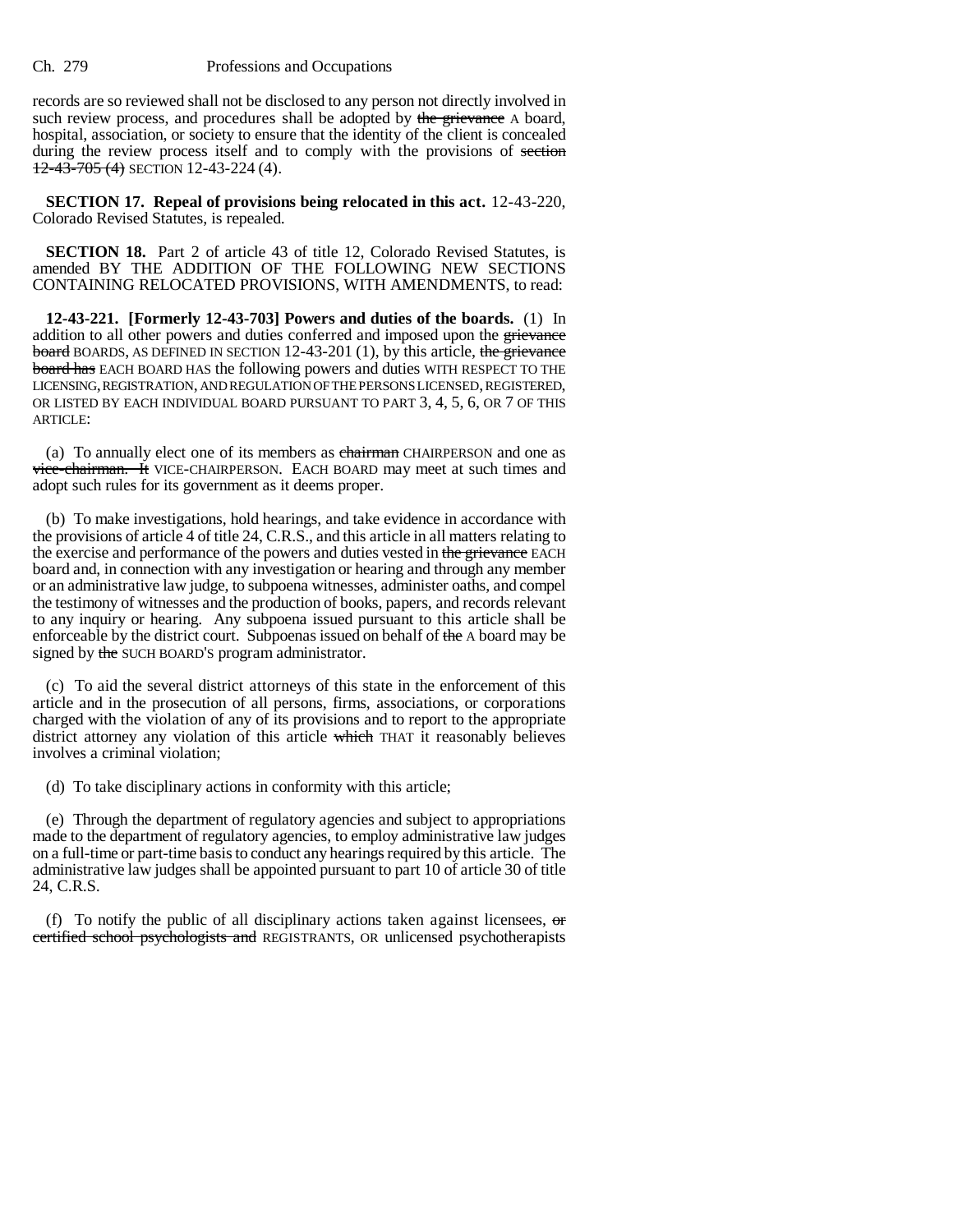records are so reviewed shall not be disclosed to any person not directly involved in such review process, and procedures shall be adopted by the grievance A board, hospital, association, or society to ensure that the identity of the client is concealed during the review process itself and to comply with the provisions of section  $12-43-705$  (4) SECTION 12-43-224 (4).

**SECTION 17. Repeal of provisions being relocated in this act.** 12-43-220, Colorado Revised Statutes, is repealed.

**SECTION 18.** Part 2 of article 43 of title 12, Colorado Revised Statutes, is amended BY THE ADDITION OF THE FOLLOWING NEW SECTIONS CONTAINING RELOCATED PROVISIONS, WITH AMENDMENTS, to read:

**12-43-221. [Formerly 12-43-703] Powers and duties of the boards.** (1) In addition to all other powers and duties conferred and imposed upon the grievance **board** BOARDS, AS DEFINED IN SECTION 12-43-201 (1), by this article, the grievance **board has** EACH BOARD HAS the following powers and duties WITH RESPECT TO THE LICENSING, REGISTRATION, AND REGULATION OF THE PERSONS LICENSED, REGISTERED, OR LISTED BY EACH INDIVIDUAL BOARD PURSUANT TO PART 3, 4, 5, 6, OR 7 OF THIS ARTICLE:

(a) To annually elect one of its members as chairman CHAIRPERSON and one as vice-chairman. It VICE-CHAIRPERSON. EACH BOARD may meet at such times and adopt such rules for its government as it deems proper.

(b) To make investigations, hold hearings, and take evidence in accordance with the provisions of article 4 of title 24, C.R.S., and this article in all matters relating to the exercise and performance of the powers and duties vested in the grievance EACH board and, in connection with any investigation or hearing and through any member or an administrative law judge, to subpoena witnesses, administer oaths, and compel the testimony of witnesses and the production of books, papers, and records relevant to any inquiry or hearing. Any subpoena issued pursuant to this article shall be enforceable by the district court. Subpoenas issued on behalf of the A board may be signed by the SUCH BOARD'S program administrator.

(c) To aid the several district attorneys of this state in the enforcement of this article and in the prosecution of all persons, firms, associations, or corporations charged with the violation of any of its provisions and to report to the appropriate district attorney any violation of this article which THAT it reasonably believes involves a criminal violation;

(d) To take disciplinary actions in conformity with this article;

(e) Through the department of regulatory agencies and subject to appropriations made to the department of regulatory agencies, to employ administrative law judges on a full-time or part-time basis to conduct any hearings required by this article. The administrative law judges shall be appointed pursuant to part 10 of article 30 of title 24, C.R.S.

(f) To notify the public of all disciplinary actions taken against licensees,  $\sigma$ certified school psychologists and REGISTRANTS, OR unlicensed psychotherapists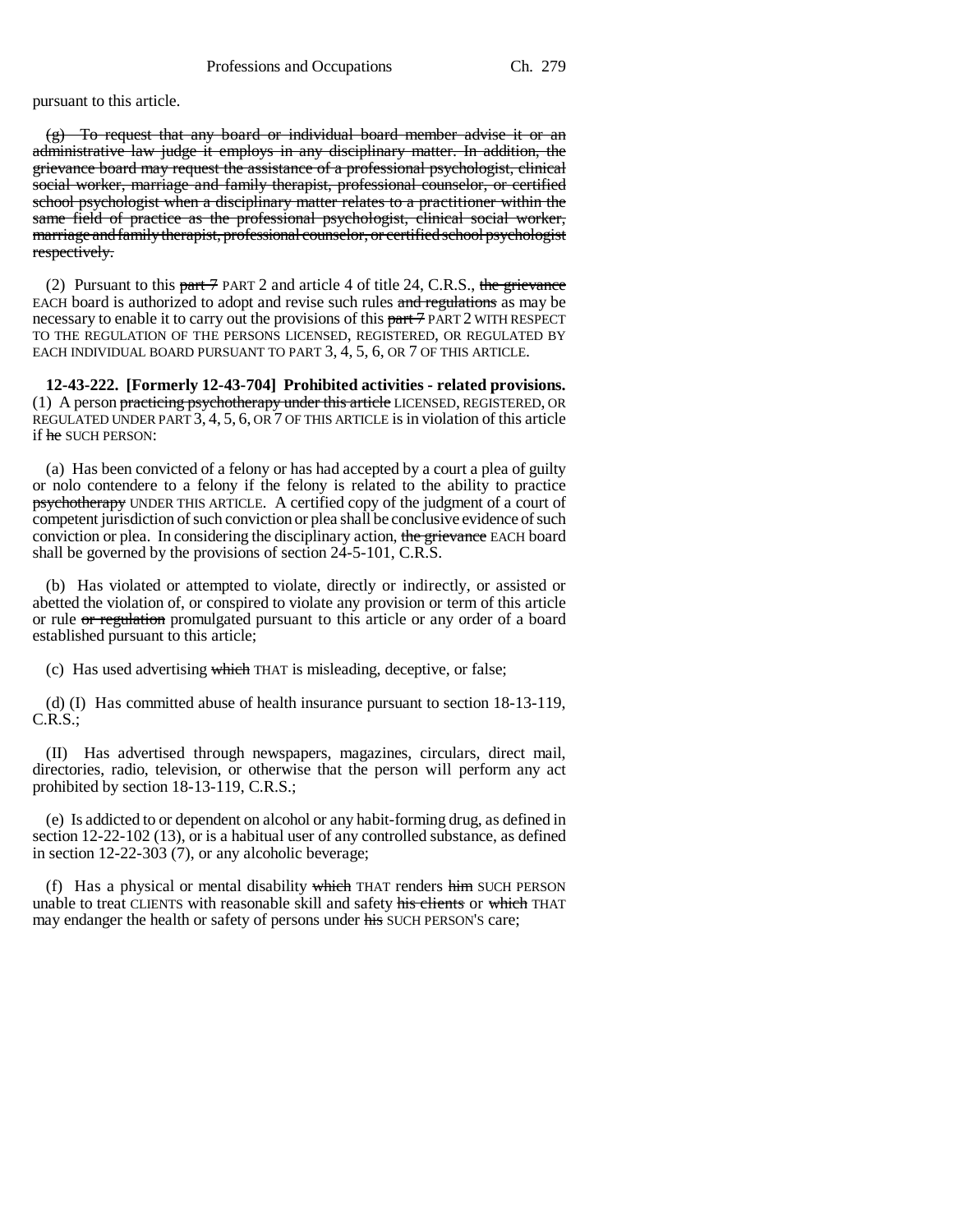pursuant to this article.

 $(g)$  To request that any board or individual board member advise it or an administrative law judge it employs in any disciplinary matter. In addition, the grievance board may request the assistance of a professional psychologist, clinical social worker, marriage and family therapist, professional counselor, or certified school psychologist when a disciplinary matter relates to a practitioner within the same field of practice as the professional psychologist, clinical social worker, marriage and family therapist, professional counselor, or certified school psychologist respectively.

(2) Pursuant to this part  $\frac{7}{7}$  PART 2 and article 4 of title 24, C.R.S., the grievance EACH board is authorized to adopt and revise such rules and regulations as may be necessary to enable it to carry out the provisions of this part 7 PART 2 WITH RESPECT TO THE REGULATION OF THE PERSONS LICENSED, REGISTERED, OR REGULATED BY EACH INDIVIDUAL BOARD PURSUANT TO PART 3, 4, 5, 6, OR 7 OF THIS ARTICLE.

**12-43-222. [Formerly 12-43-704] Prohibited activities - related provisions.** (1) A person practicing psychotherapy under this article LICENSED, REGISTERED, OR REGULATED UNDER PART 3, 4, 5, 6, OR 7 OF THIS ARTICLE is in violation of this article if he SUCH PERSON:

(a) Has been convicted of a felony or has had accepted by a court a plea of guilty or nolo contendere to a felony if the felony is related to the ability to practice psychotherapy UNDER THIS ARTICLE. A certified copy of the judgment of a court of competent jurisdiction of such conviction or plea shall be conclusive evidence of such conviction or plea. In considering the disciplinary action, the grievance EACH board shall be governed by the provisions of section 24-5-101, C.R.S.

(b) Has violated or attempted to violate, directly or indirectly, or assisted or abetted the violation of, or conspired to violate any provision or term of this article or rule or regulation promulgated pursuant to this article or any order of a board established pursuant to this article;

(c) Has used advertising which THAT is misleading, deceptive, or false;

(d) (I) Has committed abuse of health insurance pursuant to section 18-13-119, C.R.S.;

(II) Has advertised through newspapers, magazines, circulars, direct mail, directories, radio, television, or otherwise that the person will perform any act prohibited by section 18-13-119, C.R.S.;

(e) Is addicted to or dependent on alcohol or any habit-forming drug, as defined in section 12-22-102 (13), or is a habitual user of any controlled substance, as defined in section 12-22-303 (7), or any alcoholic beverage;

(f) Has a physical or mental disability which THAT renders him SUCH PERSON unable to treat CLIENTS with reasonable skill and safety his clients or which THAT may endanger the health or safety of persons under his SUCH PERSON'S care;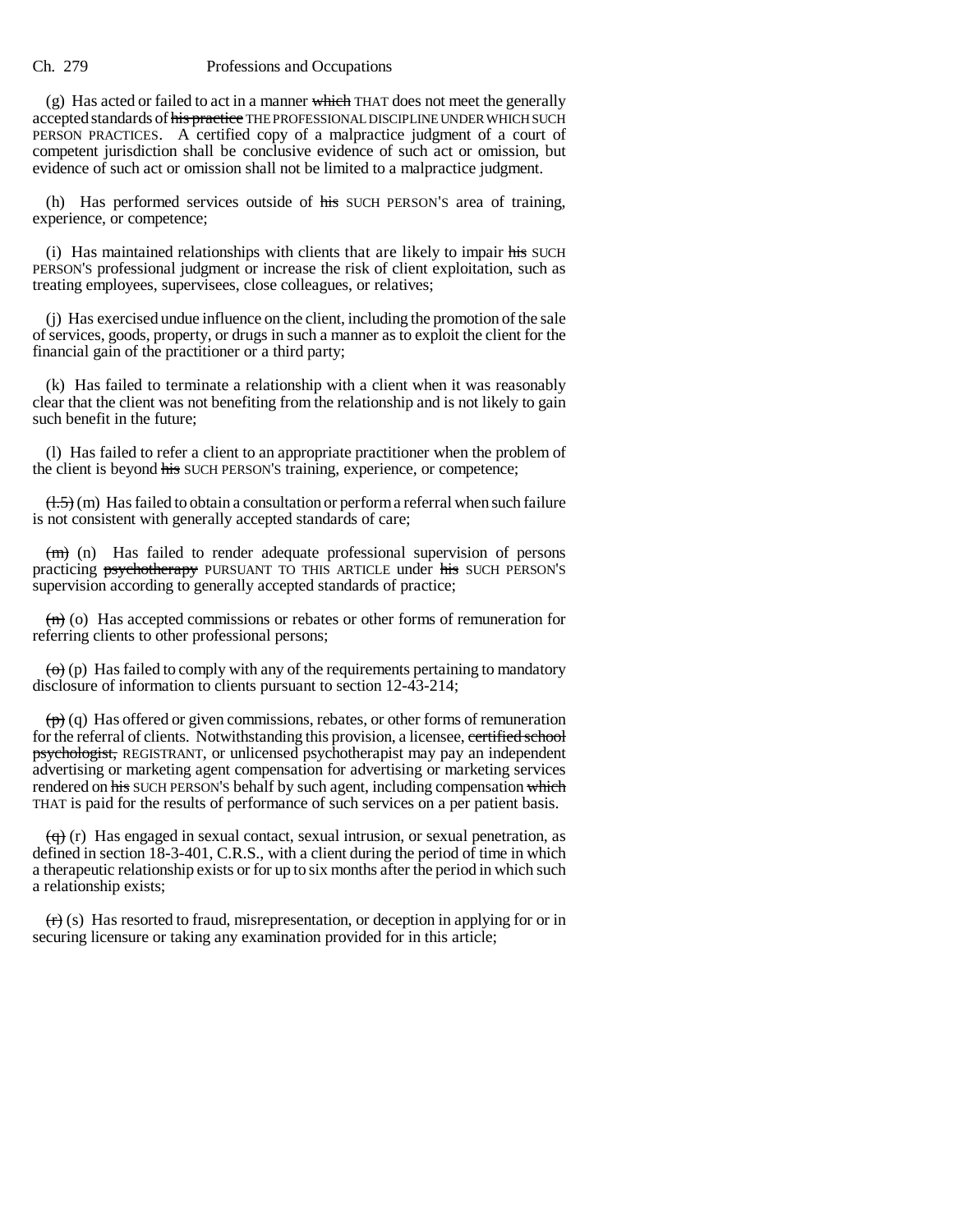$(g)$  Has acted or failed to act in a manner which THAT does not meet the generally accepted standards of his practice THE PROFESSIONAL DISCIPLINE UNDER WHICH SUCH PERSON PRACTICES. A certified copy of a malpractice judgment of a court of competent jurisdiction shall be conclusive evidence of such act or omission, but evidence of such act or omission shall not be limited to a malpractice judgment.

(h) Has performed services outside of his SUCH PERSON'S area of training, experience, or competence;

(i) Has maintained relationships with clients that are likely to impair his SUCH PERSON'S professional judgment or increase the risk of client exploitation, such as treating employees, supervisees, close colleagues, or relatives;

(j) Has exercised undue influence on the client, including the promotion of the sale of services, goods, property, or drugs in such a manner as to exploit the client for the financial gain of the practitioner or a third party;

(k) Has failed to terminate a relationship with a client when it was reasonably clear that the client was not benefiting from the relationship and is not likely to gain such benefit in the future;

(l) Has failed to refer a client to an appropriate practitioner when the problem of the client is beyond his SUCH PERSON'S training, experience, or competence;

 $(1.5)$  (m) Has failed to obtain a consultation or perform a referral when such failure is not consistent with generally accepted standards of care;

 $(m)$  (n) Has failed to render adequate professional supervision of persons practicing psychotherapy PURSUANT TO THIS ARTICLE under his SUCH PERSON'S supervision according to generally accepted standards of practice;

 $(n)$  (o) Has accepted commissions or rebates or other forms of remuneration for referring clients to other professional persons;

 $\left(\varphi\right)$  (p) Has failed to comply with any of the requirements pertaining to mandatory disclosure of information to clients pursuant to section 12-43-214;

 $(\vec{p})$  (q) Has offered or given commissions, rebates, or other forms of remuneration for the referral of clients. Notwithstanding this provision, a licensee, certified school psychologist, REGISTRANT, or unlicensed psychotherapist may pay an independent advertising or marketing agent compensation for advertising or marketing services rendered on his SUCH PERSON'S behalf by such agent, including compensation which THAT is paid for the results of performance of such services on a per patient basis.

 $\left(\frac{q}{r}\right)$  (r) Has engaged in sexual contact, sexual intrusion, or sexual penetration, as defined in section 18-3-401, C.R.S., with a client during the period of time in which a therapeutic relationship exists or for up to six months after the period in which such a relationship exists;

 $(r)$  (s) Has resorted to fraud, misrepresentation, or deception in applying for or in securing licensure or taking any examination provided for in this article;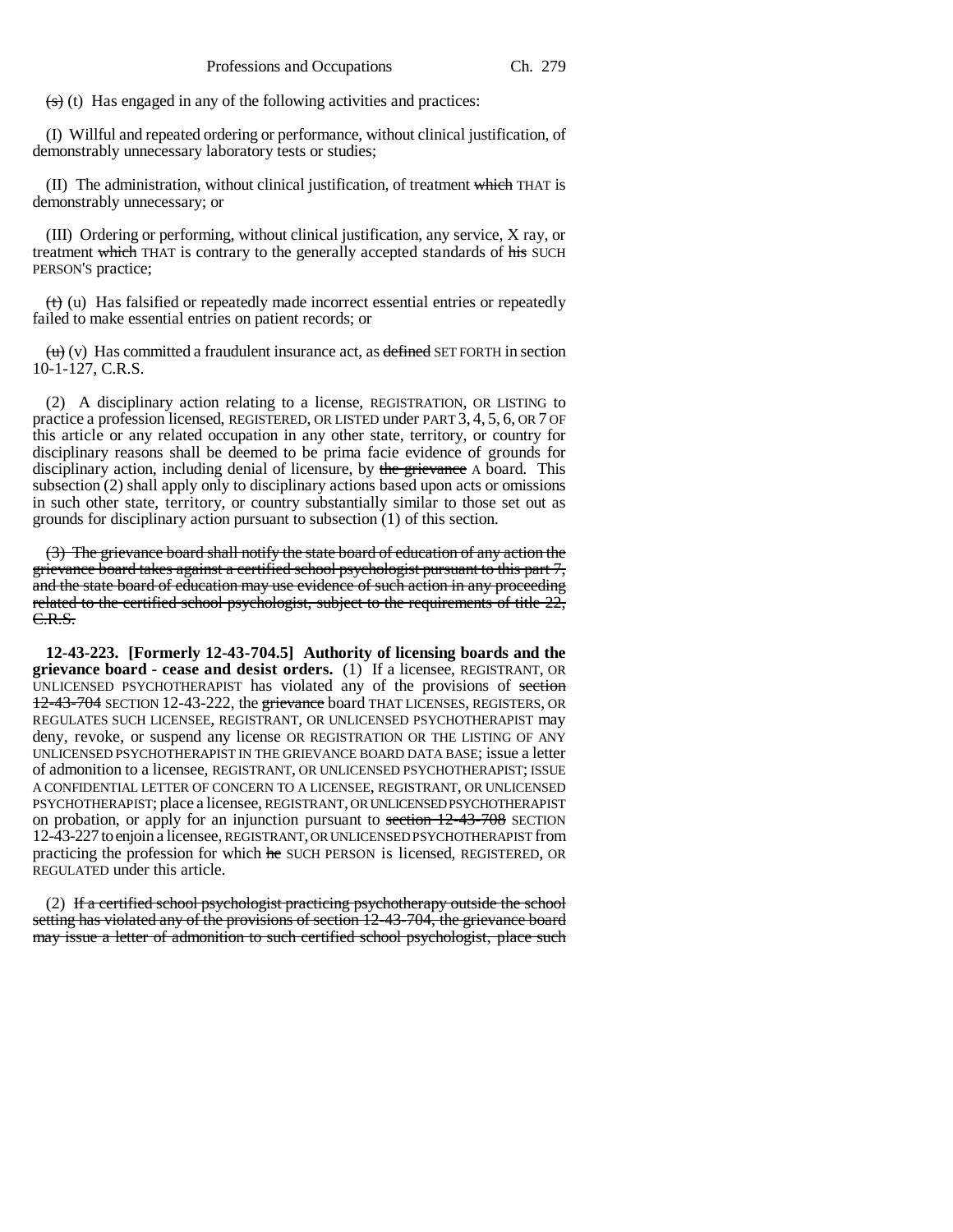$\left( \frac{1}{s} \right)$  (t) Has engaged in any of the following activities and practices:

(I) Willful and repeated ordering or performance, without clinical justification, of demonstrably unnecessary laboratory tests or studies;

(II) The administration, without clinical justification, of treatment which THAT is demonstrably unnecessary; or

(III) Ordering or performing, without clinical justification, any service, X ray, or treatment which THAT is contrary to the generally accepted standards of his SUCH PERSON'S practice;

(t) (u) Has falsified or repeatedly made incorrect essential entries or repeatedly failed to make essential entries on patient records; or

 $\overline{(u)}(v)$  Has committed a fraudulent insurance act, as defined SET FORTH in section 10-1-127, C.R.S.

(2) A disciplinary action relating to a license, REGISTRATION, OR LISTING to practice a profession licensed, REGISTERED, OR LISTED under PART 3, 4, 5, 6, OR 7 OF this article or any related occupation in any other state, territory, or country for disciplinary reasons shall be deemed to be prima facie evidence of grounds for disciplinary action, including denial of licensure, by the grievance A board. This subsection (2) shall apply only to disciplinary actions based upon acts or omissions in such other state, territory, or country substantially similar to those set out as grounds for disciplinary action pursuant to subsection (1) of this section.

(3) The grievance board shall notify the state board of education of any action the grievance board takes against a certified school psychologist pursuant to this part 7, and the state board of education may use evidence of such action in any proceeding related to the certified school psychologist, subject to the requirements of title  $22$ , C.R.S.

**12-43-223. [Formerly 12-43-704.5] Authority of licensing boards and the grievance board - cease and desist orders.** (1) If a licensee, REGISTRANT, OR UNLICENSED PSYCHOTHERAPIST has violated any of the provisions of section 12-43-704 SECTION 12-43-222, the grievance board THAT LICENSES, REGISTERS, OR REGULATES SUCH LICENSEE, REGISTRANT, OR UNLICENSED PSYCHOTHERAPIST may deny, revoke, or suspend any license OR REGISTRATION OR THE LISTING OF ANY UNLICENSED PSYCHOTHERAPIST IN THE GRIEVANCE BOARD DATA BASE; issue a letter of admonition to a licensee, REGISTRANT, OR UNLICENSED PSYCHOTHERAPIST; ISSUE A CONFIDENTIAL LETTER OF CONCERN TO A LICENSEE, REGISTRANT, OR UNLICENSED PSYCHOTHERAPIST; place a licensee, REGISTRANT, OR UNLICENSED PSYCHOTHERAPIST on probation, or apply for an injunction pursuant to section 12-43-708 SECTION 12-43-227 to enjoin a licensee, REGISTRANT, OR UNLICENSED PSYCHOTHERAPIST from practicing the profession for which he SUCH PERSON is licensed, REGISTERED, OR REGULATED under this article.

(2) If a certified school psychologist practicing psychotherapy outside the school setting has violated any of the provisions of section 12-43-704, the grievance board may issue a letter of admonition to such certified school psychologist, place such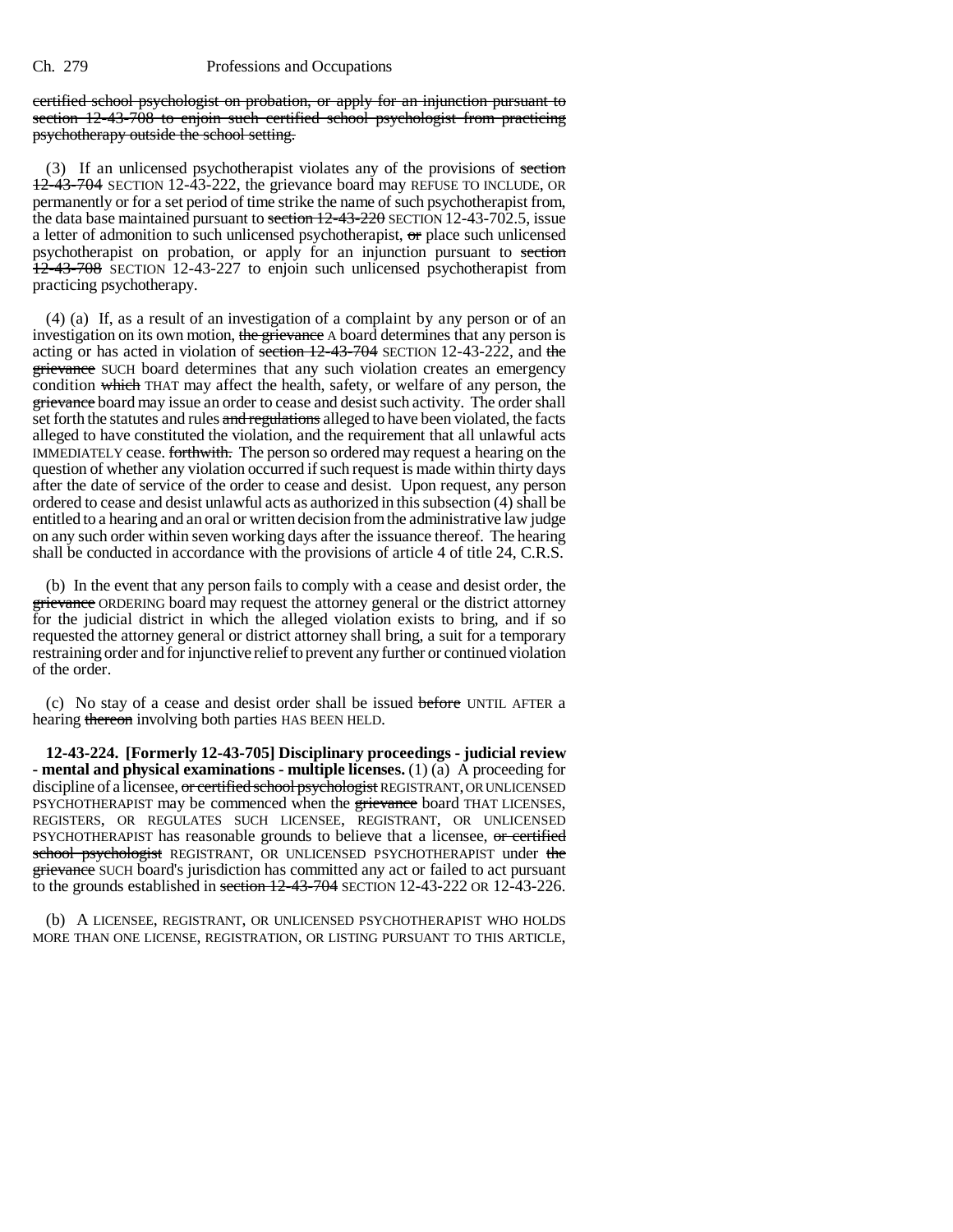certified school psychologist on probation, or apply for an injunction pursuant to section 12-43-708 to enjoin such certified school psychologist from practicing psychotherapy outside the school setting.

(3) If an unlicensed psychotherapist violates any of the provisions of section 12-43-704 SECTION 12-43-222, the grievance board may REFUSE TO INCLUDE, OR permanently or for a set period of time strike the name of such psychotherapist from, the data base maintained pursuant to section 12-43-220 SECTION 12-43-702.5, issue a letter of admonition to such unlicensed psychotherapist, or place such unlicensed psychotherapist on probation, or apply for an injunction pursuant to section 12-43-708 SECTION 12-43-227 to enjoin such unlicensed psychotherapist from practicing psychotherapy.

(4) (a) If, as a result of an investigation of a complaint by any person or of an investigation on its own motion, the grievance A board determines that any person is acting or has acted in violation of section  $12-43-704$  SECTION 12-43-222, and the grievance SUCH board determines that any such violation creates an emergency condition which THAT may affect the health, safety, or welfare of any person, the grievance board may issue an order to cease and desist such activity. The order shall set forth the statutes and rules and regulations alleged to have been violated, the facts alleged to have constituted the violation, and the requirement that all unlawful acts IMMEDIATELY cease. forthwith. The person so ordered may request a hearing on the question of whether any violation occurred if such request is made within thirty days after the date of service of the order to cease and desist. Upon request, any person ordered to cease and desist unlawful acts as authorized in this subsection (4) shall be entitled to a hearing and an oral or written decision from the administrative law judge on any such order within seven working days after the issuance thereof. The hearing shall be conducted in accordance with the provisions of article 4 of title 24, C.R.S.

(b) In the event that any person fails to comply with a cease and desist order, the grievance ORDERING board may request the attorney general or the district attorney for the judicial district in which the alleged violation exists to bring, and if so requested the attorney general or district attorney shall bring, a suit for a temporary restraining order and for injunctive relief to prevent any further or continued violation of the order.

(c) No stay of a cease and desist order shall be issued before UNTIL AFTER a hearing thereon involving both parties HAS BEEN HELD.

**12-43-224. [Formerly 12-43-705] Disciplinary proceedings - judicial review - mental and physical examinations - multiple licenses.** (1) (a) A proceeding for discipline of a licensee, or certified school psychologist REGISTRANT, OR UNLICENSED PSYCHOTHERAPIST may be commenced when the grievance board THAT LICENSES, REGISTERS, OR REGULATES SUCH LICENSEE, REGISTRANT, OR UNLICENSED PSYCHOTHERAPIST has reasonable grounds to believe that a licensee, or certified school psychologist REGISTRANT, OR UNLICENSED PSYCHOTHERAPIST under the grievance SUCH board's jurisdiction has committed any act or failed to act pursuant to the grounds established in section  $12-43-704$  SECTION 12-43-222 OR 12-43-226.

(b) A LICENSEE, REGISTRANT, OR UNLICENSED PSYCHOTHERAPIST WHO HOLDS MORE THAN ONE LICENSE, REGISTRATION, OR LISTING PURSUANT TO THIS ARTICLE,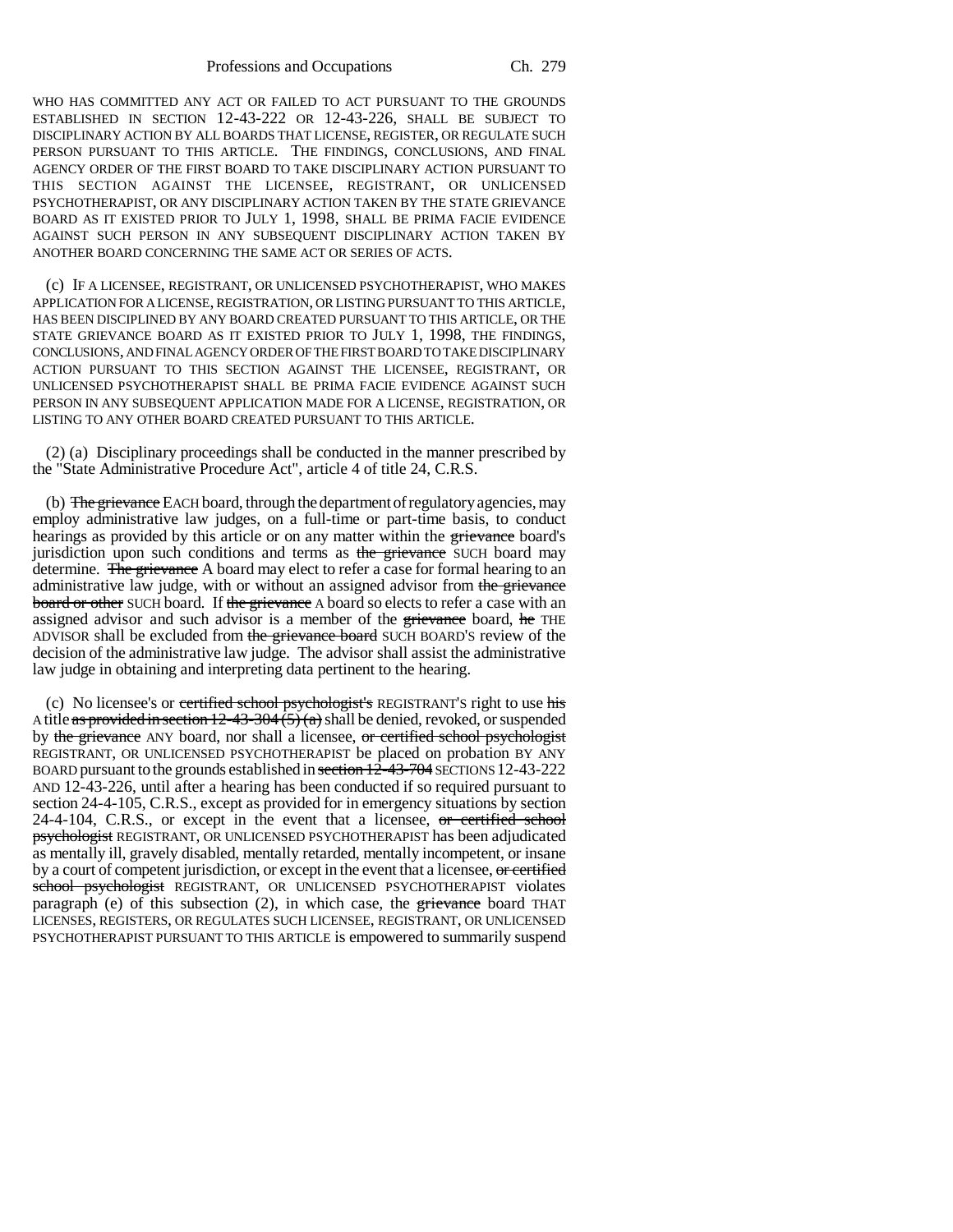Professions and Occupations Ch. 279

WHO HAS COMMITTED ANY ACT OR FAILED TO ACT PURSUANT TO THE GROUNDS ESTABLISHED IN SECTION 12-43-222 OR 12-43-226, SHALL BE SUBJECT TO DISCIPLINARY ACTION BY ALL BOARDS THAT LICENSE, REGISTER, OR REGULATE SUCH PERSON PURSUANT TO THIS ARTICLE. THE FINDINGS, CONCLUSIONS, AND FINAL AGENCY ORDER OF THE FIRST BOARD TO TAKE DISCIPLINARY ACTION PURSUANT TO THIS SECTION AGAINST THE LICENSEE, REGISTRANT, OR UNLICENSED PSYCHOTHERAPIST, OR ANY DISCIPLINARY ACTION TAKEN BY THE STATE GRIEVANCE BOARD AS IT EXISTED PRIOR TO JULY 1, 1998, SHALL BE PRIMA FACIE EVIDENCE AGAINST SUCH PERSON IN ANY SUBSEQUENT DISCIPLINARY ACTION TAKEN BY ANOTHER BOARD CONCERNING THE SAME ACT OR SERIES OF ACTS.

(c) IF A LICENSEE, REGISTRANT, OR UNLICENSED PSYCHOTHERAPIST, WHO MAKES APPLICATION FOR A LICENSE, REGISTRATION, OR LISTING PURSUANT TO THIS ARTICLE, HAS BEEN DISCIPLINED BY ANY BOARD CREATED PURSUANT TO THIS ARTICLE, OR THE STATE GRIEVANCE BOARD AS IT EXISTED PRIOR TO JULY 1, 1998, THE FINDINGS, CONCLUSIONS, AND FINAL AGENCY ORDER OF THE FIRST BOARD TO TAKE DISCIPLINARY ACTION PURSUANT TO THIS SECTION AGAINST THE LICENSEE, REGISTRANT, OR UNLICENSED PSYCHOTHERAPIST SHALL BE PRIMA FACIE EVIDENCE AGAINST SUCH PERSON IN ANY SUBSEQUENT APPLICATION MADE FOR A LICENSE, REGISTRATION, OR LISTING TO ANY OTHER BOARD CREATED PURSUANT TO THIS ARTICLE.

(2) (a) Disciplinary proceedings shall be conducted in the manner prescribed by the "State Administrative Procedure Act", article 4 of title 24, C.R.S.

(b) The grievance EACH board, through the department of regulatory agencies, may employ administrative law judges, on a full-time or part-time basis, to conduct hearings as provided by this article or on any matter within the grievance board's jurisdiction upon such conditions and terms as the grievance SUCH board may determine. The grievance A board may elect to refer a case for formal hearing to an administrative law judge, with or without an assigned advisor from the grievance board or other SUCH board. If the grievance A board so elects to refer a case with an assigned advisor and such advisor is a member of the grievance board, he THE ADVISOR shall be excluded from the grievance board SUCH BOARD'S review of the decision of the administrative law judge. The advisor shall assist the administrative law judge in obtaining and interpreting data pertinent to the hearing.

(c) No licensee's or certified school psychologist's REGISTRANT'S right to use his A title as provided in section  $12-43-304(5)(a)$  shall be denied, revoked, or suspended by the grievance ANY board, nor shall a licensee, or certified school psychologist REGISTRANT, OR UNLICENSED PSYCHOTHERAPIST be placed on probation BY ANY BOARD pursuant to the grounds established in section 12-43-704 SECTIONS 12-43-222 AND 12-43-226, until after a hearing has been conducted if so required pursuant to section 24-4-105, C.R.S., except as provided for in emergency situations by section 24-4-104, C.R.S., or except in the event that a licensee,  $\sigma$  certified school psychologist REGISTRANT, OR UNLICENSED PSYCHOTHERAPIST has been adjudicated as mentally ill, gravely disabled, mentally retarded, mentally incompetent, or insane by a court of competent jurisdiction, or except in the event that a licensee, or certified school psychologist REGISTRANT, OR UNLICENSED PSYCHOTHERAPIST violates paragraph (e) of this subsection  $(2)$ , in which case, the grievance board THAT LICENSES, REGISTERS, OR REGULATES SUCH LICENSEE, REGISTRANT, OR UNLICENSED PSYCHOTHERAPIST PURSUANT TO THIS ARTICLE is empowered to summarily suspend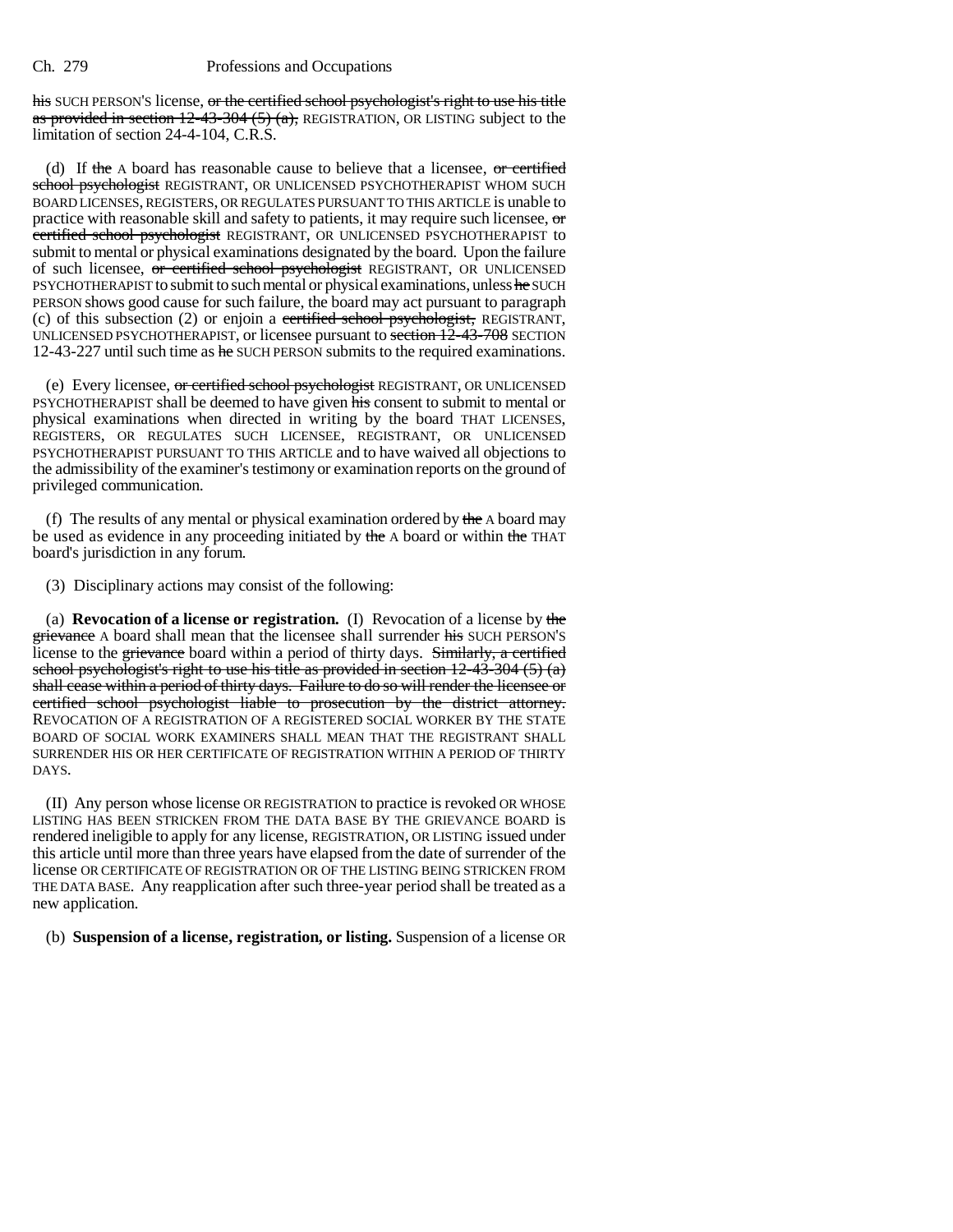his SUCH PERSON'S license, or the certified school psychologist's right to use his title as provided in section  $12-43-304$  (5) (a), REGISTRATION, OR LISTING subject to the limitation of section 24-4-104, C.R.S.

(d) If the A board has reasonable cause to believe that a licensee, or certified school psychologist REGISTRANT, OR UNLICENSED PSYCHOTHERAPIST WHOM SUCH BOARD LICENSES, REGISTERS, OR REGULATES PURSUANT TO THIS ARTICLE is unable to practice with reasonable skill and safety to patients, it may require such licensee,  $\sigma$ certified school psychologist REGISTRANT, OR UNLICENSED PSYCHOTHERAPIST to submit to mental or physical examinations designated by the board. Upon the failure of such licensee, or certified school psychologist REGISTRANT, OR UNLICENSED PSYCHOTHERAPIST to submit to such mental or physical examinations, unless he SUCH PERSON shows good cause for such failure, the board may act pursuant to paragraph (c) of this subsection (2) or enjoin a certified school psychologist, REGISTRANT, UNLICENSED PSYCHOTHERAPIST, or licensee pursuant to section 12-43-708 SECTION 12-43-227 until such time as he SUCH PERSON submits to the required examinations.

(e) Every licensee, or certified school psychologist REGISTRANT, OR UNLICENSED PSYCHOTHERAPIST shall be deemed to have given his consent to submit to mental or physical examinations when directed in writing by the board THAT LICENSES, REGISTERS, OR REGULATES SUCH LICENSEE, REGISTRANT, OR UNLICENSED PSYCHOTHERAPIST PURSUANT TO THIS ARTICLE and to have waived all objections to the admissibility of the examiner's testimony or examination reports on the ground of privileged communication.

(f) The results of any mental or physical examination ordered by the  $\Delta$  board may be used as evidence in any proceeding initiated by the A board or within the THAT board's jurisdiction in any forum.

(3) Disciplinary actions may consist of the following:

(a) **Revocation of a license or registration.** (I) Revocation of a license by the grievance A board shall mean that the licensee shall surrender his SUCH PERSON'S license to the grievance board within a period of thirty days. Similarly, a certified school psychologist's right to use his title as provided in section 12-43-304 (5) (a) shall cease within a period of thirty days. Failure to do so will render the licensee or certified school psychologist liable to prosecution by the district attorney. REVOCATION OF A REGISTRATION OF A REGISTERED SOCIAL WORKER BY THE STATE BOARD OF SOCIAL WORK EXAMINERS SHALL MEAN THAT THE REGISTRANT SHALL SURRENDER HIS OR HER CERTIFICATE OF REGISTRATION WITHIN A PERIOD OF THIRTY DAYS.

(II) Any person whose license OR REGISTRATION to practice is revoked OR WHOSE LISTING HAS BEEN STRICKEN FROM THE DATA BASE BY THE GRIEVANCE BOARD is rendered ineligible to apply for any license, REGISTRATION, OR LISTING issued under this article until more than three years have elapsed from the date of surrender of the license OR CERTIFICATE OF REGISTRATION OR OF THE LISTING BEING STRICKEN FROM THE DATA BASE. Any reapplication after such three-year period shall be treated as a new application.

(b) **Suspension of a license, registration, or listing.** Suspension of a license OR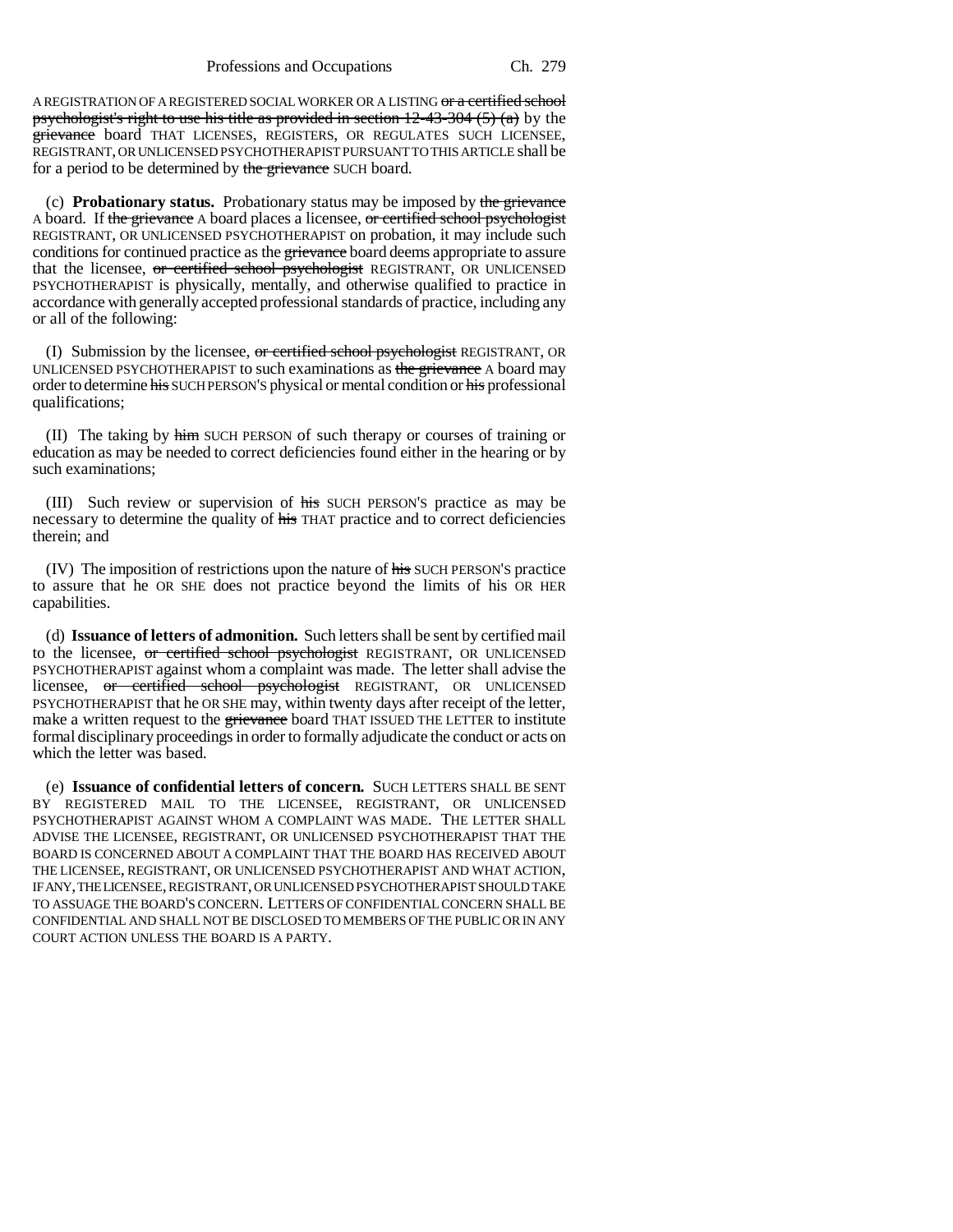A REGISTRATION OF A REGISTERED SOCIAL WORKER OR A LISTING or a certified school psychologist's right to use his title as provided in section  $12-43-304$  (5) (a) by the grievance board THAT LICENSES, REGISTERS, OR REGULATES SUCH LICENSEE, REGISTRANT, OR UNLICENSED PSYCHOTHERAPIST PURSUANT TO THIS ARTICLE shall be for a period to be determined by the grievance SUCH board.

(c) **Probationary status.** Probationary status may be imposed by the grievance A board. If the grievance A board places a licensee, or certified school psychologist REGISTRANT, OR UNLICENSED PSYCHOTHERAPIST on probation, it may include such conditions for continued practice as the grievance board deems appropriate to assure that the licensee, or certified school psychologist REGISTRANT, OR UNLICENSED PSYCHOTHERAPIST is physically, mentally, and otherwise qualified to practice in accordance with generally accepted professional standards of practice, including any or all of the following:

(I) Submission by the licensee,  $or$  certified school psychologist REGISTRANT, OR UNLICENSED PSYCHOTHERAPIST to such examinations as the grievance A board may order to determine his SUCH PERSON'S physical or mental condition or his professional qualifications;

(II) The taking by him SUCH PERSON of such therapy or courses of training or education as may be needed to correct deficiencies found either in the hearing or by such examinations;

(III) Such review or supervision of his SUCH PERSON'S practice as may be necessary to determine the quality of his THAT practice and to correct deficiencies therein; and

(IV) The imposition of restrictions upon the nature of his SUCH PERSON'S practice to assure that he OR SHE does not practice beyond the limits of his OR HER capabilities.

(d) **Issuance of letters of admonition.** Such letters shall be sent by certified mail to the licensee, or certified school psychologist REGISTRANT, OR UNLICENSED PSYCHOTHERAPIST against whom a complaint was made. The letter shall advise the licensee, or certified school psychologist REGISTRANT, OR UNLICENSED PSYCHOTHERAPIST that he OR SHE may, within twenty days after receipt of the letter, make a written request to the grievance board THAT ISSUED THE LETTER to institute formal disciplinary proceedings in order to formally adjudicate the conduct or acts on which the letter was based.

(e) **Issuance of confidential letters of concern.** SUCH LETTERS SHALL BE SENT BY REGISTERED MAIL TO THE LICENSEE, REGISTRANT, OR UNLICENSED PSYCHOTHERAPIST AGAINST WHOM A COMPLAINT WAS MADE. THE LETTER SHALL ADVISE THE LICENSEE, REGISTRANT, OR UNLICENSED PSYCHOTHERAPIST THAT THE BOARD IS CONCERNED ABOUT A COMPLAINT THAT THE BOARD HAS RECEIVED ABOUT THE LICENSEE, REGISTRANT, OR UNLICENSED PSYCHOTHERAPIST AND WHAT ACTION, IF ANY, THE LICENSEE, REGISTRANT, OR UNLICENSED PSYCHOTHERAPIST SHOULD TAKE TO ASSUAGE THE BOARD'S CONCERN. LETTERS OF CONFIDENTIAL CONCERN SHALL BE CONFIDENTIAL AND SHALL NOT BE DISCLOSED TO MEMBERS OF THE PUBLIC OR IN ANY COURT ACTION UNLESS THE BOARD IS A PARTY.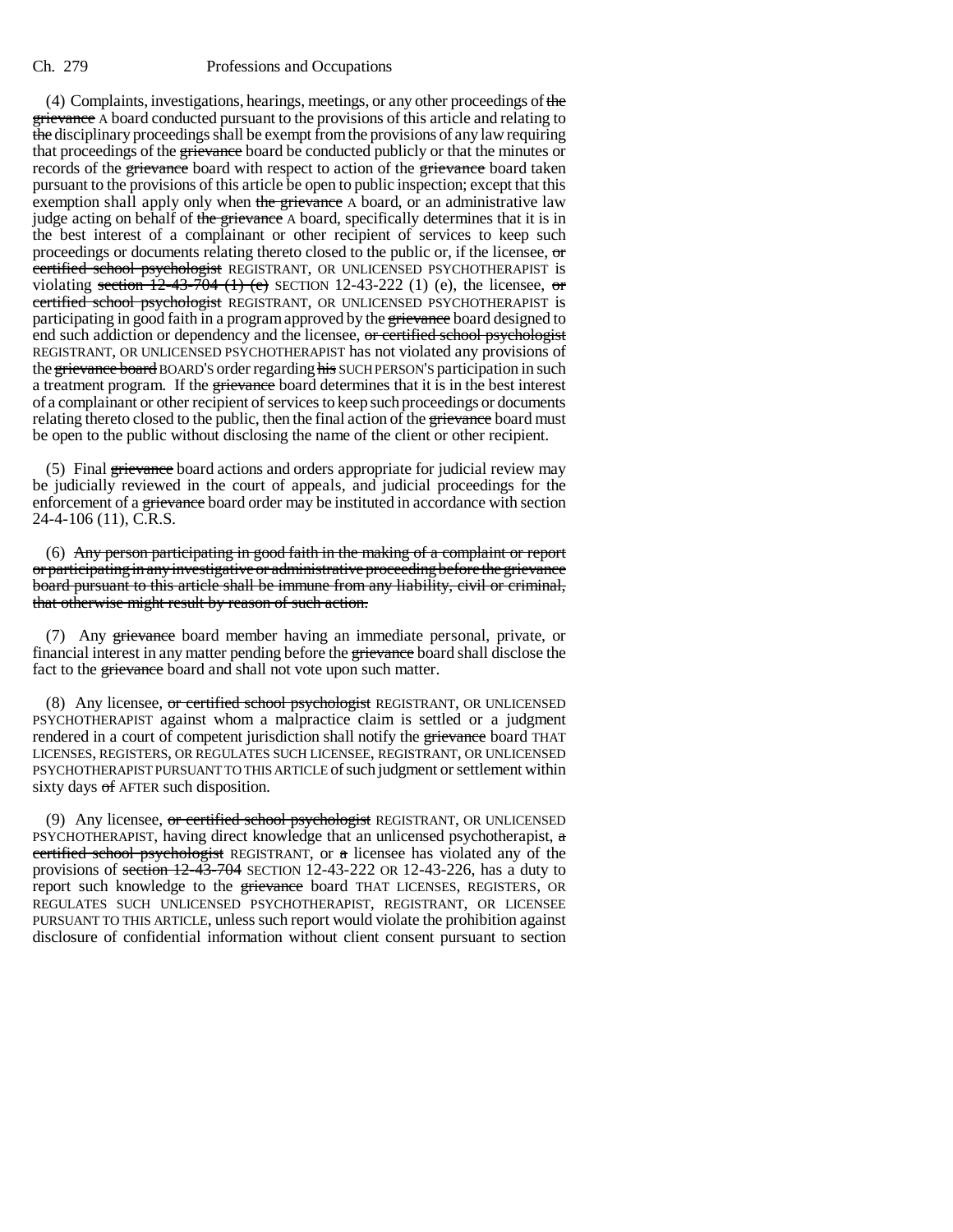(4) Complaints, investigations, hearings, meetings, or any other proceedings of the **grievance** A board conducted pursuant to the provisions of this article and relating to the disciplinary proceedings shall be exempt from the provisions of any law requiring that proceedings of the grievance board be conducted publicly or that the minutes or records of the grievance board with respect to action of the grievance board taken pursuant to the provisions of this article be open to public inspection; except that this exemption shall apply only when the grievance A board, or an administrative law judge acting on behalf of the grievance A board, specifically determines that it is in the best interest of a complainant or other recipient of services to keep such proceedings or documents relating thereto closed to the public or, if the licensee, or certified school psychologist REGISTRANT, OR UNLICENSED PSYCHOTHERAPIST is violating section  $12-43-704$  (1) (e) SECTION 12-43-222 (1) (e), the licensee, or certified school psychologist REGISTRANT, OR UNLICENSED PSYCHOTHERAPIST is participating in good faith in a program approved by the grievance board designed to end such addiction or dependency and the licensee, or certified school psychologist REGISTRANT, OR UNLICENSED PSYCHOTHERAPIST has not violated any provisions of the grievance board BOARD'S order regarding his SUCH PERSON'S participation in such a treatment program. If the grievance board determines that it is in the best interest of a complainant or other recipient of services to keep such proceedings or documents relating thereto closed to the public, then the final action of the grievance board must be open to the public without disclosing the name of the client or other recipient.

(5) Final grievance board actions and orders appropriate for judicial review may be judicially reviewed in the court of appeals, and judicial proceedings for the enforcement of a grievance board order may be instituted in accordance with section 24-4-106 (11), C.R.S.

(6) Any person participating in good faith in the making of a complaint or report or participating in any investigative or administrative proceeding before the grievance board pursuant to this article shall be immune from any liability, civil or criminal, that otherwise might result by reason of such action.

(7) Any grievance board member having an immediate personal, private, or financial interest in any matter pending before the grievance board shall disclose the fact to the grievance board and shall not vote upon such matter.

(8) Any licensee, or certified school psychologist REGISTRANT, OR UNLICENSED PSYCHOTHERAPIST against whom a malpractice claim is settled or a judgment rendered in a court of competent jurisdiction shall notify the grievance board THAT LICENSES, REGISTERS, OR REGULATES SUCH LICENSEE, REGISTRANT, OR UNLICENSED PSYCHOTHERAPIST PURSUANT TO THIS ARTICLE of such judgment or settlement within sixty days of AFTER such disposition.

(9) Any licensee, or certified school psychologist REGISTRANT, OR UNLICENSED PSYCHOTHERAPIST, having direct knowledge that an unlicensed psychotherapist,  $\alpha$ certified school psychologist REGISTRANT, or a licensee has violated any of the provisions of section 12-43-704 SECTION 12-43-222 OR 12-43-226, has a duty to report such knowledge to the grievance board THAT LICENSES, REGISTERS, OR REGULATES SUCH UNLICENSED PSYCHOTHERAPIST, REGISTRANT, OR LICENSEE PURSUANT TO THIS ARTICLE, unless such report would violate the prohibition against disclosure of confidential information without client consent pursuant to section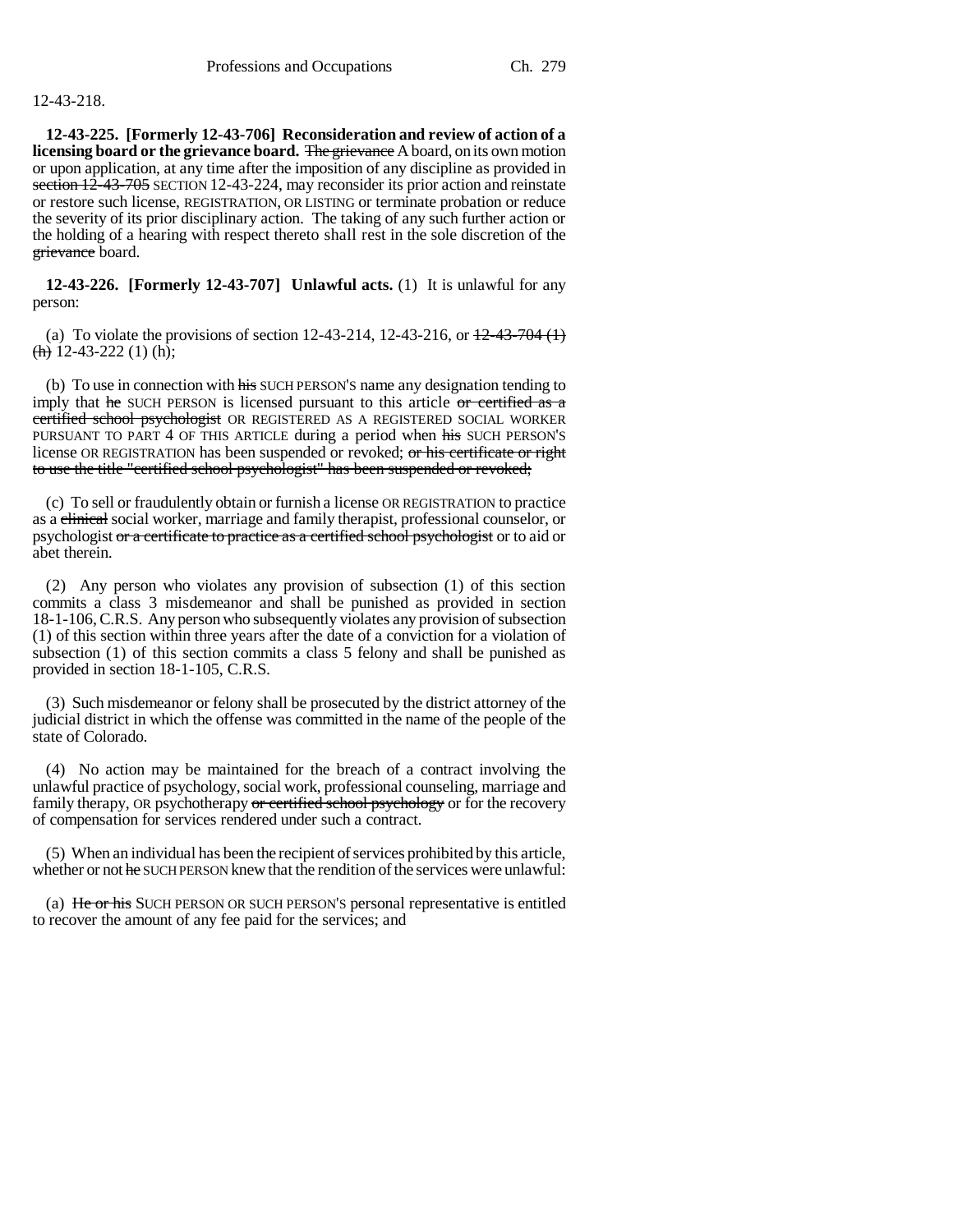# 12-43-218.

**12-43-225. [Formerly 12-43-706] Reconsideration and review of action of a licensing board or the grievance board.** The grievance A board, on its own motion or upon application, at any time after the imposition of any discipline as provided in section 12-43-705 SECTION 12-43-224, may reconsider its prior action and reinstate or restore such license, REGISTRATION, OR LISTING or terminate probation or reduce the severity of its prior disciplinary action. The taking of any such further action or the holding of a hearing with respect thereto shall rest in the sole discretion of the grievance board.

**12-43-226. [Formerly 12-43-707] Unlawful acts.** (1) It is unlawful for any person:

(a) To violate the provisions of section 12-43-214, 12-43-216, or  $\frac{12-43-704}{1}$  $\frac{\text{(h)}}{\text{h}}$  12-43-222 (1) (h);

(b) To use in connection with his SUCH PERSON'S name any designation tending to imply that  $he$  SUCH PERSON is licensed pursuant to this article  $or$  certified as a certified school psychologist OR REGISTERED AS A REGISTERED SOCIAL WORKER PURSUANT TO PART 4 OF THIS ARTICLE during a period when his SUCH PERSON'S license OR REGISTRATION has been suspended or revoked; or his certificate or right to use the title "certified school psychologist" has been suspended or revoked;

(c) To sell or fraudulently obtain or furnish a license OR REGISTRATION to practice as a clinical social worker, marriage and family therapist, professional counselor, or psychologist or a certificate to practice as a certified school psychologist or to aid or abet therein.

(2) Any person who violates any provision of subsection (1) of this section commits a class 3 misdemeanor and shall be punished as provided in section 18-1-106, C.R.S. Any person who subsequently violates any provision of subsection (1) of this section within three years after the date of a conviction for a violation of subsection (1) of this section commits a class 5 felony and shall be punished as provided in section 18-1-105, C.R.S.

(3) Such misdemeanor or felony shall be prosecuted by the district attorney of the judicial district in which the offense was committed in the name of the people of the state of Colorado.

(4) No action may be maintained for the breach of a contract involving the unlawful practice of psychology, social work, professional counseling, marriage and family therapy, OR psychotherapy or certified school psychology or for the recovery of compensation for services rendered under such a contract.

(5) When an individual has been the recipient of services prohibited by this article, whether or not he SUCH PERSON knew that the rendition of the services were unlawful:

(a) He or his SUCH PERSON OR SUCH PERSON'S personal representative is entitled to recover the amount of any fee paid for the services; and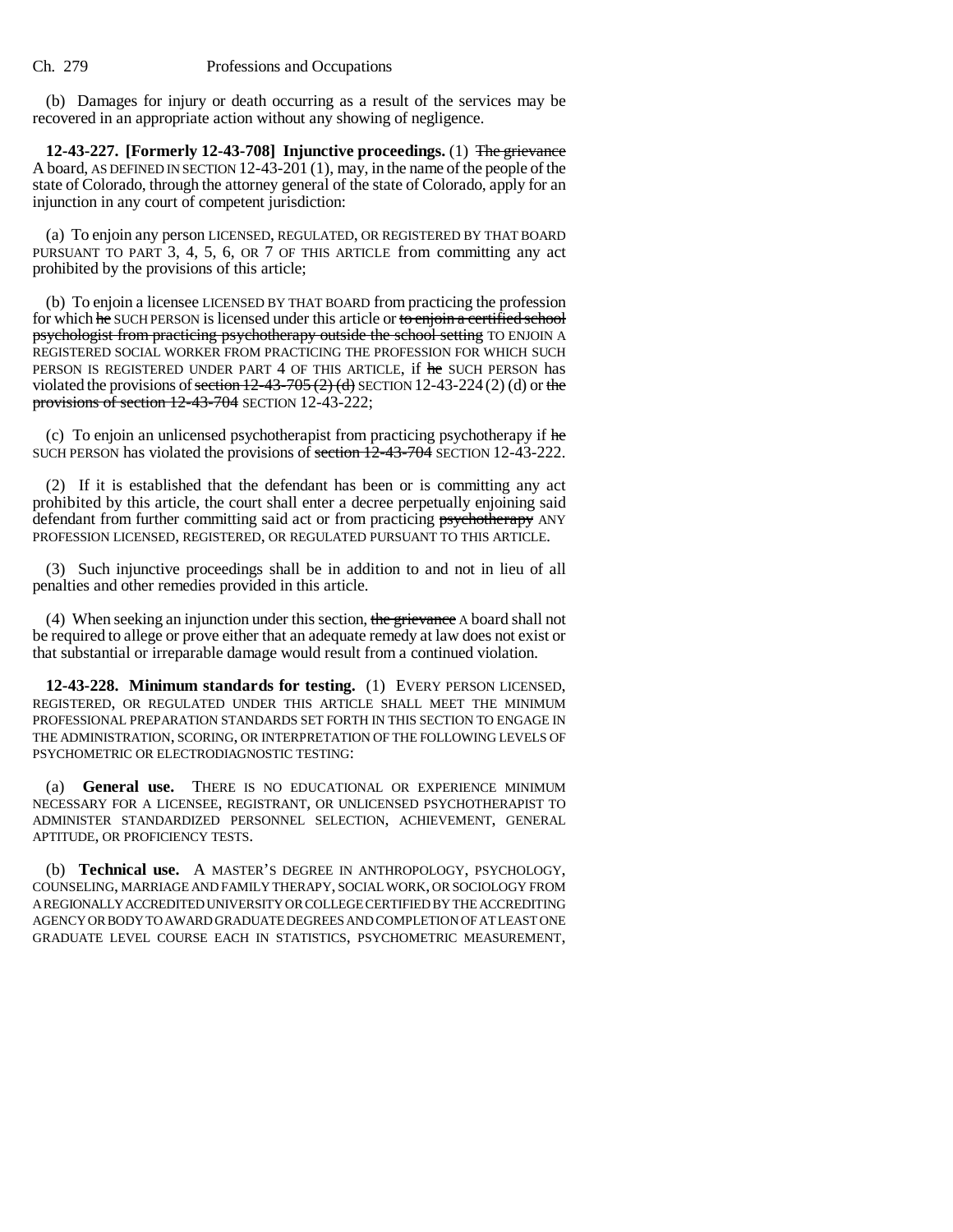(b) Damages for injury or death occurring as a result of the services may be recovered in an appropriate action without any showing of negligence.

**12-43-227. [Formerly 12-43-708] Injunctive proceedings.** (1) The grievance A board, AS DEFINED IN SECTION 12-43-201 (1), may, in the name of the people of the state of Colorado, through the attorney general of the state of Colorado, apply for an injunction in any court of competent jurisdiction:

(a) To enjoin any person LICENSED, REGULATED, OR REGISTERED BY THAT BOARD PURSUANT TO PART 3, 4, 5, 6, OR 7 OF THIS ARTICLE from committing any act prohibited by the provisions of this article;

(b) To enjoin a licensee LICENSED BY THAT BOARD from practicing the profession for which he SUCH PERSON is licensed under this article or to enjoin a certified school psychologist from practicing psychotherapy outside the school setting TO ENJOIN A REGISTERED SOCIAL WORKER FROM PRACTICING THE PROFESSION FOR WHICH SUCH PERSON IS REGISTERED UNDER PART 4 OF THIS ARTICLE, if he SUCH PERSON has violated the provisions of section  $12-43-705(2)$  (d) SECTION 12-43-224 (2) (d) or the provisions of section 12-43-704 SECTION 12-43-222;

(c) To enjoin an unlicensed psychotherapist from practicing psychotherapy if he SUCH PERSON has violated the provisions of section 12-43-704 SECTION 12-43-222.

(2) If it is established that the defendant has been or is committing any act prohibited by this article, the court shall enter a decree perpetually enjoining said defendant from further committing said act or from practicing **psychotherapy** ANY PROFESSION LICENSED, REGISTERED, OR REGULATED PURSUANT TO THIS ARTICLE.

(3) Such injunctive proceedings shall be in addition to and not in lieu of all penalties and other remedies provided in this article.

(4) When seeking an injunction under this section, the grievance A board shall not be required to allege or prove either that an adequate remedy at law does not exist or that substantial or irreparable damage would result from a continued violation.

**12-43-228. Minimum standards for testing.** (1) EVERY PERSON LICENSED, REGISTERED, OR REGULATED UNDER THIS ARTICLE SHALL MEET THE MINIMUM PROFESSIONAL PREPARATION STANDARDS SET FORTH IN THIS SECTION TO ENGAGE IN THE ADMINISTRATION, SCORING, OR INTERPRETATION OF THE FOLLOWING LEVELS OF PSYCHOMETRIC OR ELECTRODIAGNOSTIC TESTING:

(a) **General use.** THERE IS NO EDUCATIONAL OR EXPERIENCE MINIMUM NECESSARY FOR A LICENSEE, REGISTRANT, OR UNLICENSED PSYCHOTHERAPIST TO ADMINISTER STANDARDIZED PERSONNEL SELECTION, ACHIEVEMENT, GENERAL APTITUDE, OR PROFICIENCY TESTS.

(b) **Technical use.** A MASTER'S DEGREE IN ANTHROPOLOGY, PSYCHOLOGY, COUNSELING, MARRIAGE AND FAMILY THERAPY, SOCIAL WORK, OR SOCIOLOGY FROM A REGIONALLY ACCREDITED UNIVERSITY OR COLLEGE CERTIFIED BY THE ACCREDITING AGENCY OR BODY TO AWARD GRADUATE DEGREES AND COMPLETION OF AT LEAST ONE GRADUATE LEVEL COURSE EACH IN STATISTICS, PSYCHOMETRIC MEASUREMENT,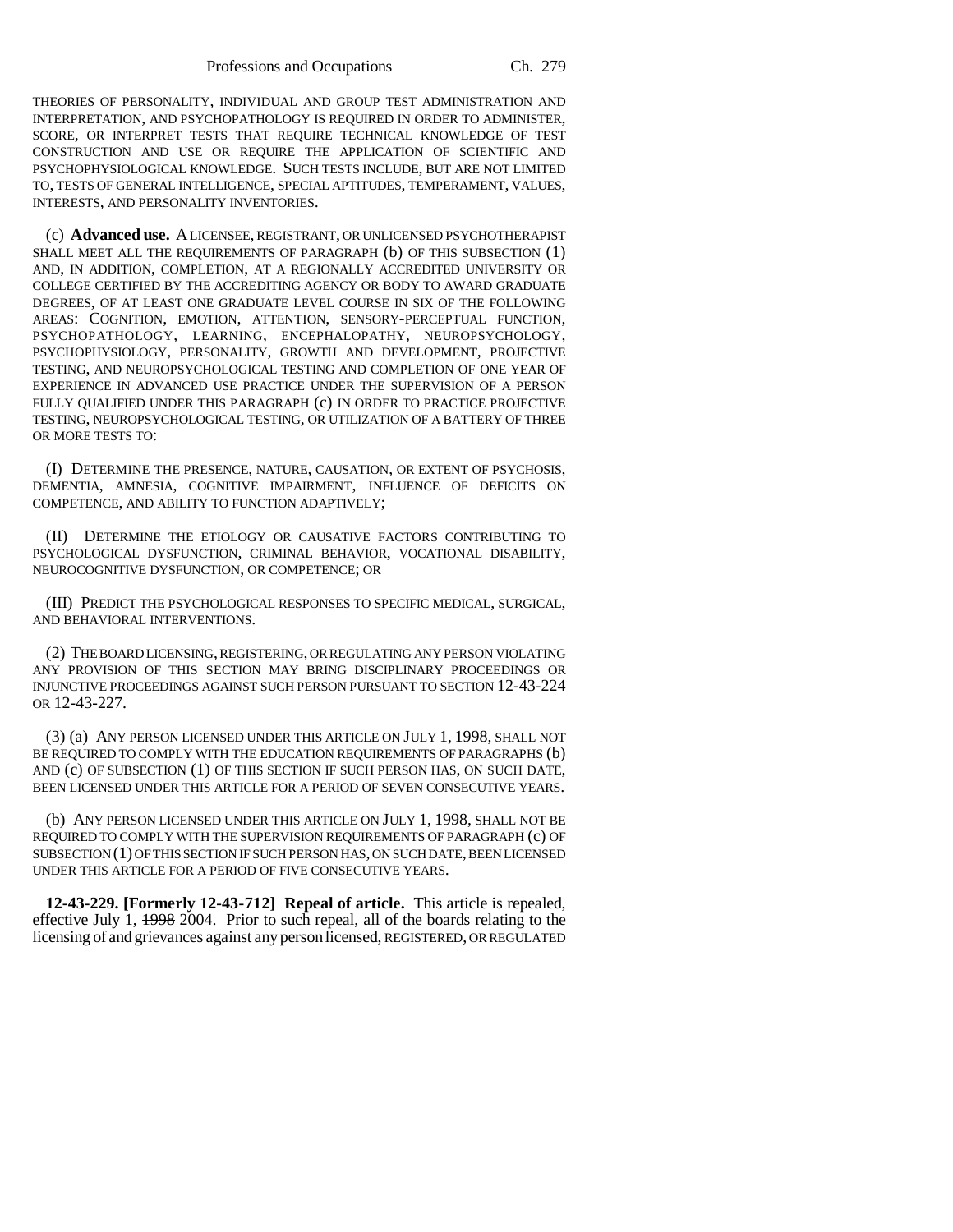THEORIES OF PERSONALITY, INDIVIDUAL AND GROUP TEST ADMINISTRATION AND INTERPRETATION, AND PSYCHOPATHOLOGY IS REQUIRED IN ORDER TO ADMINISTER, SCORE, OR INTERPRET TESTS THAT REQUIRE TECHNICAL KNOWLEDGE OF TEST CONSTRUCTION AND USE OR REQUIRE THE APPLICATION OF SCIENTIFIC AND PSYCHOPHYSIOLOGICAL KNOWLEDGE. SUCH TESTS INCLUDE, BUT ARE NOT LIMITED TO, TESTS OF GENERAL INTELLIGENCE, SPECIAL APTITUDES, TEMPERAMENT, VALUES, INTERESTS, AND PERSONALITY INVENTORIES.

(c) **Advanced use.** A LICENSEE, REGISTRANT, OR UNLICENSED PSYCHOTHERAPIST SHALL MEET ALL THE REQUIREMENTS OF PARAGRAPH (b) OF THIS SUBSECTION (1) AND, IN ADDITION, COMPLETION, AT A REGIONALLY ACCREDITED UNIVERSITY OR COLLEGE CERTIFIED BY THE ACCREDITING AGENCY OR BODY TO AWARD GRADUATE DEGREES, OF AT LEAST ONE GRADUATE LEVEL COURSE IN SIX OF THE FOLLOWING AREAS: COGNITION, EMOTION, ATTENTION, SENSORY-PERCEPTUAL FUNCTION, PSYCHOPATHOLOGY, LEARNING, ENCEPHALOPATHY, NEUROPSYCHOLOGY, PSYCHOPHYSIOLOGY, PERSONALITY, GROWTH AND DEVELOPMENT, PROJECTIVE TESTING, AND NEUROPSYCHOLOGICAL TESTING AND COMPLETION OF ONE YEAR OF EXPERIENCE IN ADVANCED USE PRACTICE UNDER THE SUPERVISION OF A PERSON FULLY QUALIFIED UNDER THIS PARAGRAPH (c) IN ORDER TO PRACTICE PROJECTIVE TESTING, NEUROPSYCHOLOGICAL TESTING, OR UTILIZATION OF A BATTERY OF THREE OR MORE TESTS TO:

(I) DETERMINE THE PRESENCE, NATURE, CAUSATION, OR EXTENT OF PSYCHOSIS, DEMENTIA, AMNESIA, COGNITIVE IMPAIRMENT, INFLUENCE OF DEFICITS ON COMPETENCE, AND ABILITY TO FUNCTION ADAPTIVELY;

(II) DETERMINE THE ETIOLOGY OR CAUSATIVE FACTORS CONTRIBUTING TO PSYCHOLOGICAL DYSFUNCTION, CRIMINAL BEHAVIOR, VOCATIONAL DISABILITY, NEUROCOGNITIVE DYSFUNCTION, OR COMPETENCE; OR

(III) PREDICT THE PSYCHOLOGICAL RESPONSES TO SPECIFIC MEDICAL, SURGICAL, AND BEHAVIORAL INTERVENTIONS.

(2) THE BOARD LICENSING, REGISTERING, OR REGULATING ANY PERSON VIOLATING ANY PROVISION OF THIS SECTION MAY BRING DISCIPLINARY PROCEEDINGS OR INJUNCTIVE PROCEEDINGS AGAINST SUCH PERSON PURSUANT TO SECTION 12-43-224 OR 12-43-227.

(3) (a) ANY PERSON LICENSED UNDER THIS ARTICLE ON JULY 1, 1998, SHALL NOT BE REQUIRED TO COMPLY WITH THE EDUCATION REQUIREMENTS OF PARAGRAPHS (b) AND (c) OF SUBSECTION (1) OF THIS SECTION IF SUCH PERSON HAS, ON SUCH DATE, BEEN LICENSED UNDER THIS ARTICLE FOR A PERIOD OF SEVEN CONSECUTIVE YEARS.

(b) ANY PERSON LICENSED UNDER THIS ARTICLE ON JULY 1, 1998, SHALL NOT BE REQUIRED TO COMPLY WITH THE SUPERVISION REQUIREMENTS OF PARAGRAPH (c) OF SUBSECTION (1) OF THIS SECTION IF SUCH PERSON HAS, ON SUCH DATE, BEEN LICENSED UNDER THIS ARTICLE FOR A PERIOD OF FIVE CONSECUTIVE YEARS.

**12-43-229. [Formerly 12-43-712] Repeal of article.** This article is repealed, effective July 1, 1998 2004. Prior to such repeal, all of the boards relating to the licensing of and grievances against any person licensed, REGISTERED, OR REGULATED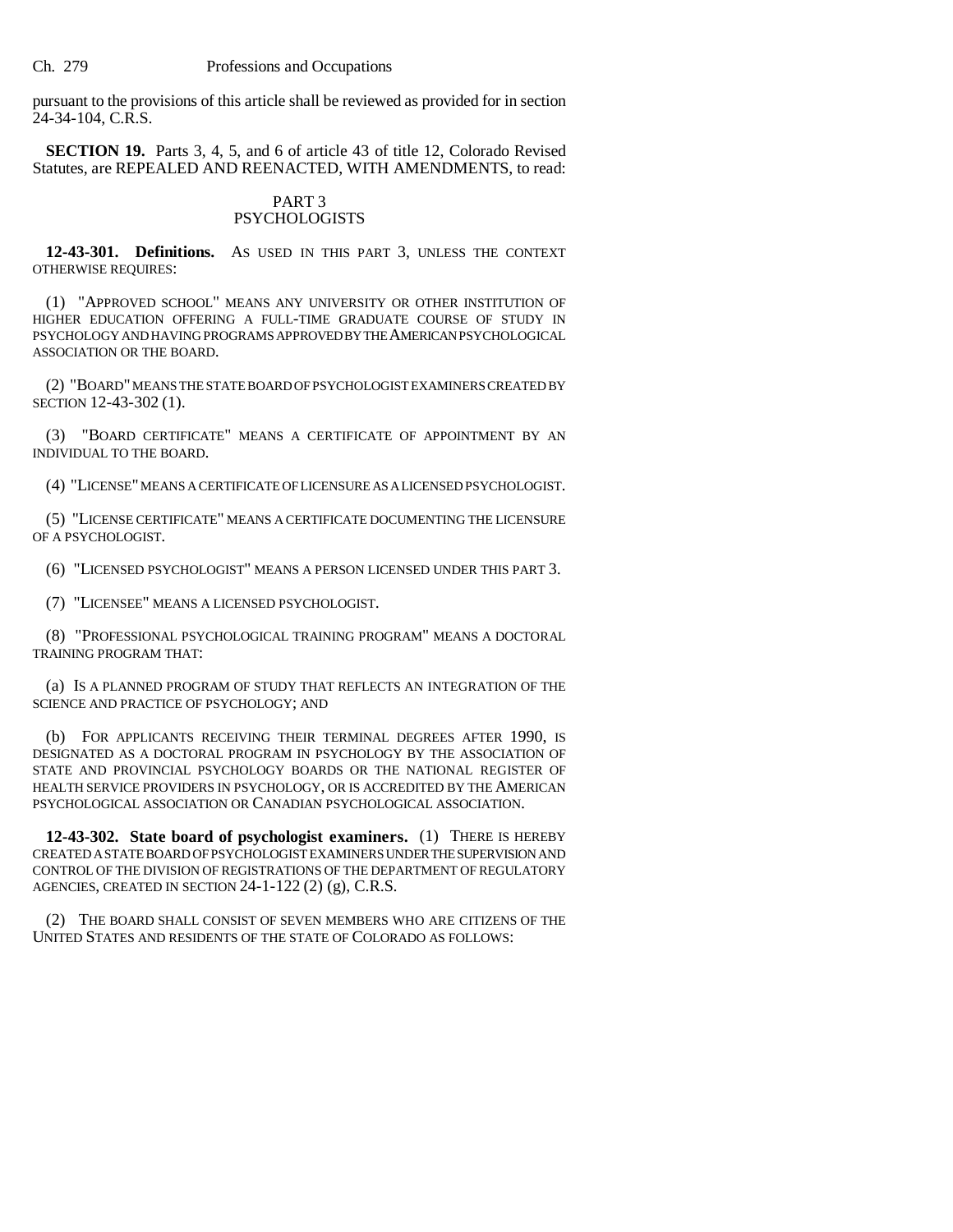pursuant to the provisions of this article shall be reviewed as provided for in section 24-34-104, C.R.S.

**SECTION 19.** Parts 3, 4, 5, and 6 of article 43 of title 12, Colorado Revised Statutes, are REPEALED AND REENACTED, WITH AMENDMENTS, to read:

# PART 3 PSYCHOLOGISTS

**12-43-301. Definitions.** AS USED IN THIS PART 3, UNLESS THE CONTEXT OTHERWISE REQUIRES:

(1) "APPROVED SCHOOL" MEANS ANY UNIVERSITY OR OTHER INSTITUTION OF HIGHER EDUCATION OFFERING A FULL-TIME GRADUATE COURSE OF STUDY IN PSYCHOLOGY AND HAVING PROGRAMS APPROVED BY THE AMERICAN PSYCHOLOGICAL ASSOCIATION OR THE BOARD.

(2) "BOARD" MEANS THE STATE BOARD OF PSYCHOLOGIST EXAMINERS CREATED BY SECTION 12-43-302 (1).

(3) "BOARD CERTIFICATE" MEANS A CERTIFICATE OF APPOINTMENT BY AN INDIVIDUAL TO THE BOARD.

(4) "LICENSE" MEANS A CERTIFICATE OF LICENSURE AS A LICENSED PSYCHOLOGIST.

(5) "LICENSE CERTIFICATE" MEANS A CERTIFICATE DOCUMENTING THE LICENSURE OF A PSYCHOLOGIST.

(6) "LICENSED PSYCHOLOGIST" MEANS A PERSON LICENSED UNDER THIS PART 3.

(7) "LICENSEE" MEANS A LICENSED PSYCHOLOGIST.

(8) "PROFESSIONAL PSYCHOLOGICAL TRAINING PROGRAM" MEANS A DOCTORAL TRAINING PROGRAM THAT:

(a) IS A PLANNED PROGRAM OF STUDY THAT REFLECTS AN INTEGRATION OF THE SCIENCE AND PRACTICE OF PSYCHOLOGY; AND

(b) FOR APPLICANTS RECEIVING THEIR TERMINAL DEGREES AFTER 1990, IS DESIGNATED AS A DOCTORAL PROGRAM IN PSYCHOLOGY BY THE ASSOCIATION OF STATE AND PROVINCIAL PSYCHOLOGY BOARDS OR THE NATIONAL REGISTER OF HEALTH SERVICE PROVIDERS IN PSYCHOLOGY, OR IS ACCREDITED BY THE AMERICAN PSYCHOLOGICAL ASSOCIATION OR CANADIAN PSYCHOLOGICAL ASSOCIATION.

**12-43-302. State board of psychologist examiners.** (1) THERE IS HEREBY CREATED A STATE BOARD OF PSYCHOLOGIST EXAMINERS UNDER THE SUPERVISION AND CONTROL OF THE DIVISION OF REGISTRATIONS OF THE DEPARTMENT OF REGULATORY AGENCIES, CREATED IN SECTION 24-1-122 (2) (g), C.R.S.

(2) THE BOARD SHALL CONSIST OF SEVEN MEMBERS WHO ARE CITIZENS OF THE UNITED STATES AND RESIDENTS OF THE STATE OF COLORADO AS FOLLOWS: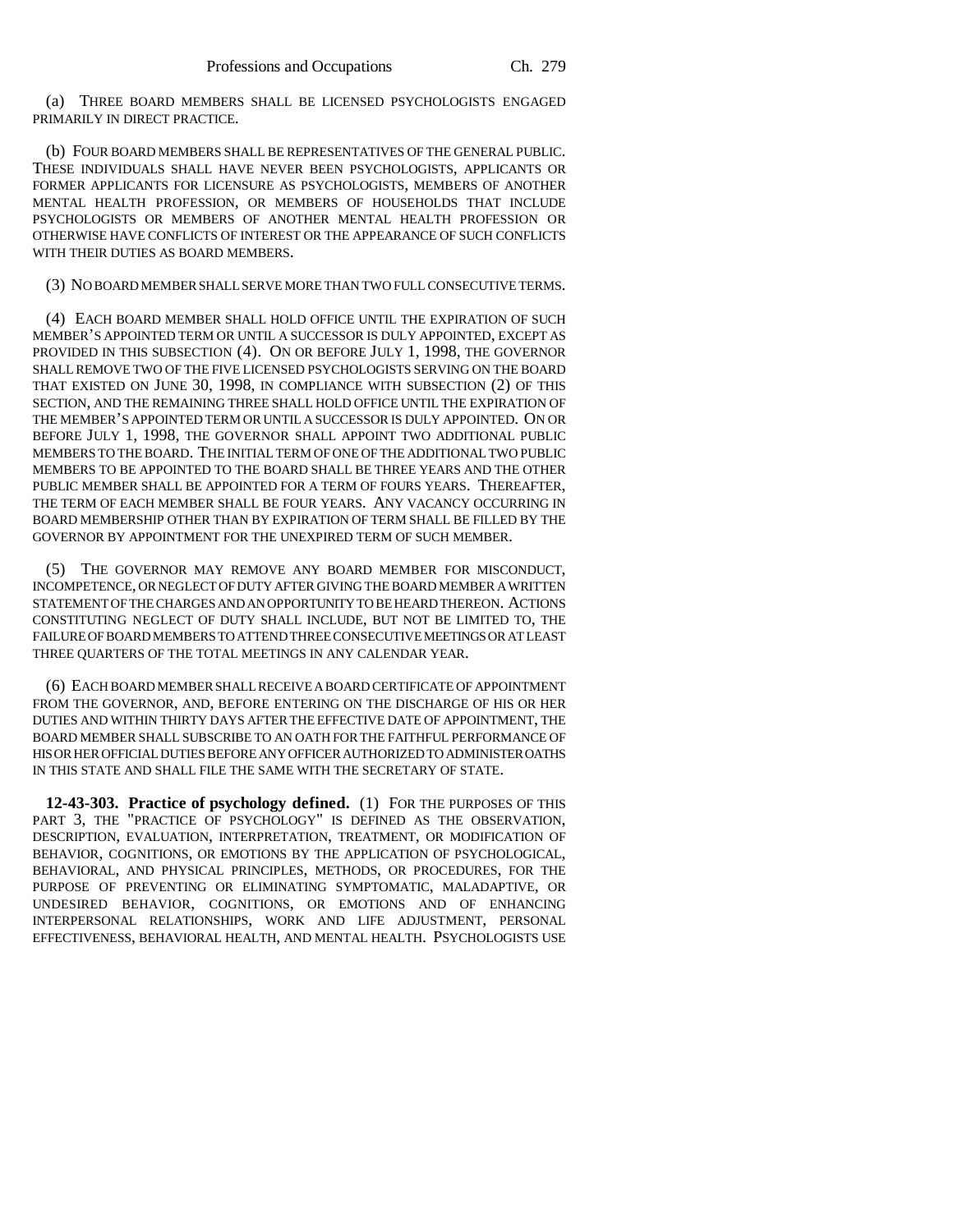(a) THREE BOARD MEMBERS SHALL BE LICENSED PSYCHOLOGISTS ENGAGED PRIMARILY IN DIRECT PRACTICE.

(b) FOUR BOARD MEMBERS SHALL BE REPRESENTATIVES OF THE GENERAL PUBLIC. THESE INDIVIDUALS SHALL HAVE NEVER BEEN PSYCHOLOGISTS, APPLICANTS OR FORMER APPLICANTS FOR LICENSURE AS PSYCHOLOGISTS, MEMBERS OF ANOTHER MENTAL HEALTH PROFESSION, OR MEMBERS OF HOUSEHOLDS THAT INCLUDE PSYCHOLOGISTS OR MEMBERS OF ANOTHER MENTAL HEALTH PROFESSION OR OTHERWISE HAVE CONFLICTS OF INTEREST OR THE APPEARANCE OF SUCH CONFLICTS WITH THEIR DUTIES AS BOARD MEMBERS.

#### (3) NO BOARD MEMBER SHALL SERVE MORE THAN TWO FULL CONSECUTIVE TERMS.

(4) EACH BOARD MEMBER SHALL HOLD OFFICE UNTIL THE EXPIRATION OF SUCH MEMBER'S APPOINTED TERM OR UNTIL A SUCCESSOR IS DULY APPOINTED, EXCEPT AS PROVIDED IN THIS SUBSECTION (4). ON OR BEFORE JULY 1, 1998, THE GOVERNOR SHALL REMOVE TWO OF THE FIVE LICENSED PSYCHOLOGISTS SERVING ON THE BOARD THAT EXISTED ON JUNE 30, 1998, IN COMPLIANCE WITH SUBSECTION (2) OF THIS SECTION, AND THE REMAINING THREE SHALL HOLD OFFICE UNTIL THE EXPIRATION OF THE MEMBER'S APPOINTED TERM OR UNTIL A SUCCESSOR IS DULY APPOINTED. ON OR BEFORE JULY 1, 1998, THE GOVERNOR SHALL APPOINT TWO ADDITIONAL PUBLIC MEMBERS TO THE BOARD. THE INITIAL TERM OF ONE OF THE ADDITIONAL TWO PUBLIC MEMBERS TO BE APPOINTED TO THE BOARD SHALL BE THREE YEARS AND THE OTHER PUBLIC MEMBER SHALL BE APPOINTED FOR A TERM OF FOURS YEARS. THEREAFTER, THE TERM OF EACH MEMBER SHALL BE FOUR YEARS. ANY VACANCY OCCURRING IN BOARD MEMBERSHIP OTHER THAN BY EXPIRATION OF TERM SHALL BE FILLED BY THE GOVERNOR BY APPOINTMENT FOR THE UNEXPIRED TERM OF SUCH MEMBER.

(5) THE GOVERNOR MAY REMOVE ANY BOARD MEMBER FOR MISCONDUCT, INCOMPETENCE, OR NEGLECT OF DUTY AFTER GIVING THE BOARD MEMBER A WRITTEN STATEMENT OF THE CHARGES AND AN OPPORTUNITY TO BE HEARD THEREON. ACTIONS CONSTITUTING NEGLECT OF DUTY SHALL INCLUDE, BUT NOT BE LIMITED TO, THE FAILURE OF BOARD MEMBERS TO ATTEND THREE CONSECUTIVE MEETINGS OR AT LEAST THREE QUARTERS OF THE TOTAL MEETINGS IN ANY CALENDAR YEAR.

(6) EACH BOARD MEMBER SHALL RECEIVE A BOARD CERTIFICATE OF APPOINTMENT FROM THE GOVERNOR, AND, BEFORE ENTERING ON THE DISCHARGE OF HIS OR HER DUTIES AND WITHIN THIRTY DAYS AFTER THE EFFECTIVE DATE OF APPOINTMENT, THE BOARD MEMBER SHALL SUBSCRIBE TO AN OATH FOR THE FAITHFUL PERFORMANCE OF HIS OR HER OFFICIAL DUTIES BEFORE ANY OFFICER AUTHORIZED TO ADMINISTER OATHS IN THIS STATE AND SHALL FILE THE SAME WITH THE SECRETARY OF STATE.

**12-43-303. Practice of psychology defined.** (1) FOR THE PURPOSES OF THIS PART 3, THE "PRACTICE OF PSYCHOLOGY" IS DEFINED AS THE OBSERVATION, DESCRIPTION, EVALUATION, INTERPRETATION, TREATMENT, OR MODIFICATION OF BEHAVIOR, COGNITIONS, OR EMOTIONS BY THE APPLICATION OF PSYCHOLOGICAL, BEHAVIORAL, AND PHYSICAL PRINCIPLES, METHODS, OR PROCEDURES, FOR THE PURPOSE OF PREVENTING OR ELIMINATING SYMPTOMATIC, MALADAPTIVE, OR UNDESIRED BEHAVIOR, COGNITIONS, OR EMOTIONS AND OF ENHANCING INTERPERSONAL RELATIONSHIPS, WORK AND LIFE ADJUSTMENT, PERSONAL EFFECTIVENESS, BEHAVIORAL HEALTH, AND MENTAL HEALTH. PSYCHOLOGISTS USE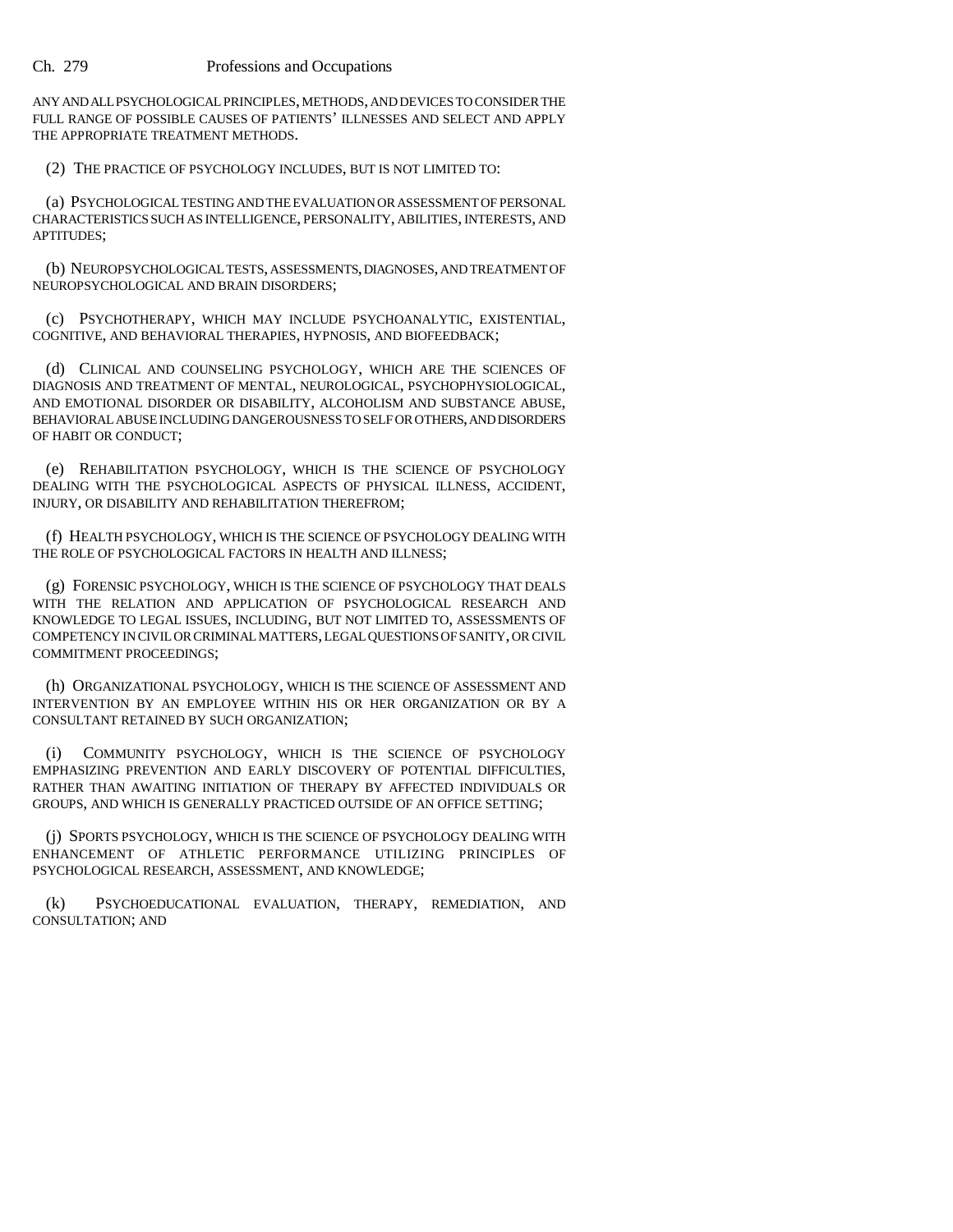ANY AND ALL PSYCHOLOGICAL PRINCIPLES, METHODS, AND DEVICES TO CONSIDER THE FULL RANGE OF POSSIBLE CAUSES OF PATIENTS' ILLNESSES AND SELECT AND APPLY THE APPROPRIATE TREATMENT METHODS.

(2) THE PRACTICE OF PSYCHOLOGY INCLUDES, BUT IS NOT LIMITED TO:

(a) PSYCHOLOGICAL TESTING AND THE EVALUATION OR ASSESSMENT OF PERSONAL CHARACTERISTICS SUCH AS INTELLIGENCE, PERSONALITY, ABILITIES, INTERESTS, AND APTITUDES;

(b) NEUROPSYCHOLOGICAL TESTS, ASSESSMENTS, DIAGNOSES, AND TREATMENT OF NEUROPSYCHOLOGICAL AND BRAIN DISORDERS;

(c) PSYCHOTHERAPY, WHICH MAY INCLUDE PSYCHOANALYTIC, EXISTENTIAL, COGNITIVE, AND BEHAVIORAL THERAPIES, HYPNOSIS, AND BIOFEEDBACK;

(d) CLINICAL AND COUNSELING PSYCHOLOGY, WHICH ARE THE SCIENCES OF DIAGNOSIS AND TREATMENT OF MENTAL, NEUROLOGICAL, PSYCHOPHYSIOLOGICAL, AND EMOTIONAL DISORDER OR DISABILITY, ALCOHOLISM AND SUBSTANCE ABUSE, BEHAVIORAL ABUSE INCLUDING DANGEROUSNESS TO SELF OR OTHERS, AND DISORDERS OF HABIT OR CONDUCT;

(e) REHABILITATION PSYCHOLOGY, WHICH IS THE SCIENCE OF PSYCHOLOGY DEALING WITH THE PSYCHOLOGICAL ASPECTS OF PHYSICAL ILLNESS, ACCIDENT, INJURY, OR DISABILITY AND REHABILITATION THEREFROM;

(f) HEALTH PSYCHOLOGY, WHICH IS THE SCIENCE OF PSYCHOLOGY DEALING WITH THE ROLE OF PSYCHOLOGICAL FACTORS IN HEALTH AND ILLNESS;

(g) FORENSIC PSYCHOLOGY, WHICH IS THE SCIENCE OF PSYCHOLOGY THAT DEALS WITH THE RELATION AND APPLICATION OF PSYCHOLOGICAL RESEARCH AND KNOWLEDGE TO LEGAL ISSUES, INCLUDING, BUT NOT LIMITED TO, ASSESSMENTS OF COMPETENCY IN CIVIL OR CRIMINAL MATTERS, LEGAL QUESTIONS OF SANITY, OR CIVIL COMMITMENT PROCEEDINGS;

(h) ORGANIZATIONAL PSYCHOLOGY, WHICH IS THE SCIENCE OF ASSESSMENT AND INTERVENTION BY AN EMPLOYEE WITHIN HIS OR HER ORGANIZATION OR BY A CONSULTANT RETAINED BY SUCH ORGANIZATION;

(i) COMMUNITY PSYCHOLOGY, WHICH IS THE SCIENCE OF PSYCHOLOGY EMPHASIZING PREVENTION AND EARLY DISCOVERY OF POTENTIAL DIFFICULTIES, RATHER THAN AWAITING INITIATION OF THERAPY BY AFFECTED INDIVIDUALS OR GROUPS, AND WHICH IS GENERALLY PRACTICED OUTSIDE OF AN OFFICE SETTING;

(j) SPORTS PSYCHOLOGY, WHICH IS THE SCIENCE OF PSYCHOLOGY DEALING WITH ENHANCEMENT OF ATHLETIC PERFORMANCE UTILIZING PRINCIPLES OF PSYCHOLOGICAL RESEARCH, ASSESSMENT, AND KNOWLEDGE;

(k) PSYCHOEDUCATIONAL EVALUATION, THERAPY, REMEDIATION, AND CONSULTATION; AND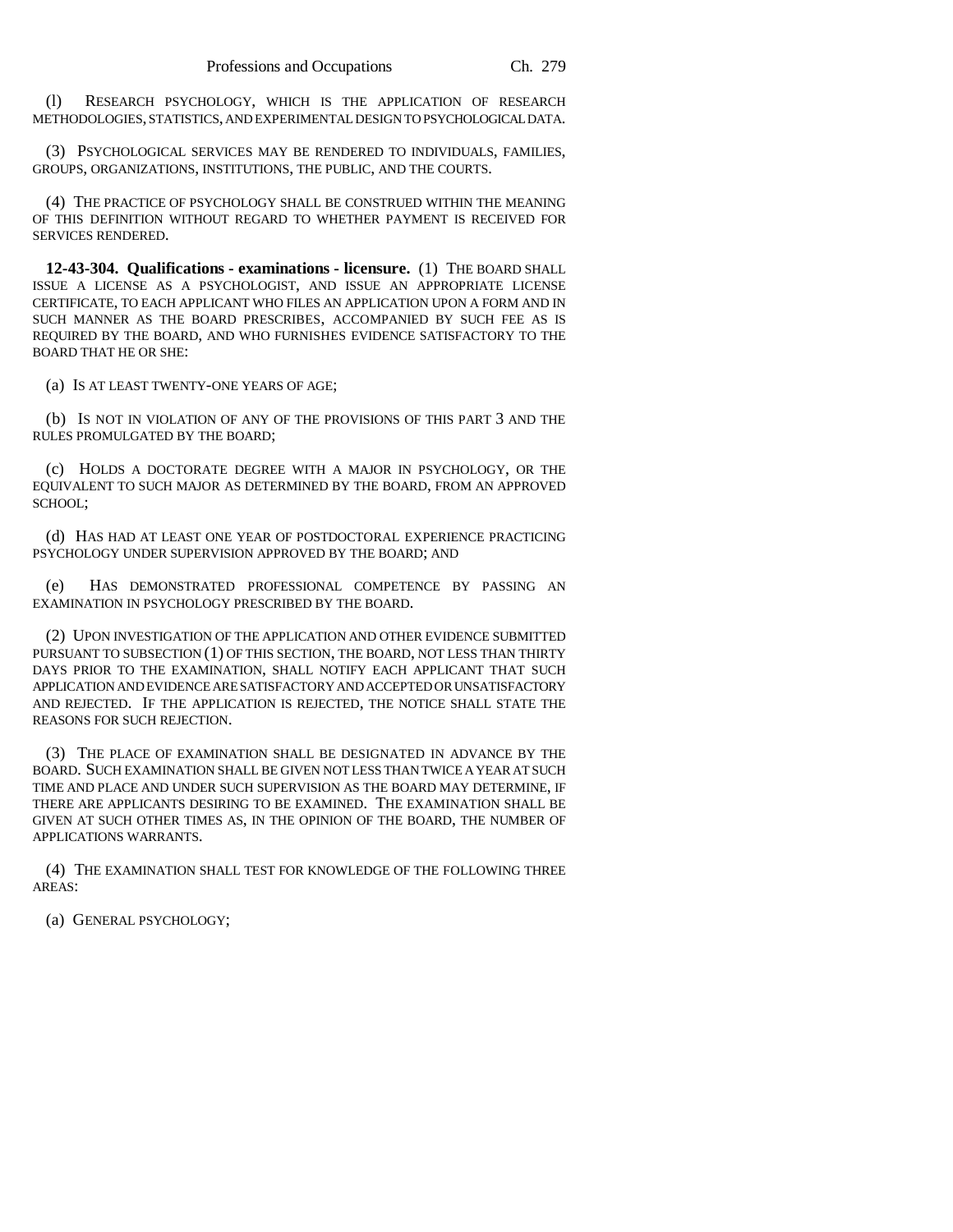(l) RESEARCH PSYCHOLOGY, WHICH IS THE APPLICATION OF RESEARCH METHODOLOGIES, STATISTICS, AND EXPERIMENTAL DESIGN TO PSYCHOLOGICAL DATA.

(3) PSYCHOLOGICAL SERVICES MAY BE RENDERED TO INDIVIDUALS, FAMILIES, GROUPS, ORGANIZATIONS, INSTITUTIONS, THE PUBLIC, AND THE COURTS.

(4) THE PRACTICE OF PSYCHOLOGY SHALL BE CONSTRUED WITHIN THE MEANING OF THIS DEFINITION WITHOUT REGARD TO WHETHER PAYMENT IS RECEIVED FOR SERVICES RENDERED.

**12-43-304. Qualifications - examinations - licensure.** (1) THE BOARD SHALL ISSUE A LICENSE AS A PSYCHOLOGIST, AND ISSUE AN APPROPRIATE LICENSE CERTIFICATE, TO EACH APPLICANT WHO FILES AN APPLICATION UPON A FORM AND IN SUCH MANNER AS THE BOARD PRESCRIBES, ACCOMPANIED BY SUCH FEE AS IS REQUIRED BY THE BOARD, AND WHO FURNISHES EVIDENCE SATISFACTORY TO THE BOARD THAT HE OR SHE:

(a) IS AT LEAST TWENTY-ONE YEARS OF AGE;

(b) IS NOT IN VIOLATION OF ANY OF THE PROVISIONS OF THIS PART 3 AND THE RULES PROMULGATED BY THE BOARD;

(c) HOLDS A DOCTORATE DEGREE WITH A MAJOR IN PSYCHOLOGY, OR THE EQUIVALENT TO SUCH MAJOR AS DETERMINED BY THE BOARD, FROM AN APPROVED SCHOOL;

(d) HAS HAD AT LEAST ONE YEAR OF POSTDOCTORAL EXPERIENCE PRACTICING PSYCHOLOGY UNDER SUPERVISION APPROVED BY THE BOARD; AND

(e) HAS DEMONSTRATED PROFESSIONAL COMPETENCE BY PASSING AN EXAMINATION IN PSYCHOLOGY PRESCRIBED BY THE BOARD.

(2) UPON INVESTIGATION OF THE APPLICATION AND OTHER EVIDENCE SUBMITTED PURSUANT TO SUBSECTION (1) OF THIS SECTION, THE BOARD, NOT LESS THAN THIRTY DAYS PRIOR TO THE EXAMINATION, SHALL NOTIFY EACH APPLICANT THAT SUCH APPLICATION AND EVIDENCE ARE SATISFACTORY AND ACCEPTED OR UNSATISFACTORY AND REJECTED. IF THE APPLICATION IS REJECTED, THE NOTICE SHALL STATE THE REASONS FOR SUCH REJECTION.

(3) THE PLACE OF EXAMINATION SHALL BE DESIGNATED IN ADVANCE BY THE BOARD. SUCH EXAMINATION SHALL BE GIVEN NOT LESS THAN TWICE A YEAR AT SUCH TIME AND PLACE AND UNDER SUCH SUPERVISION AS THE BOARD MAY DETERMINE, IF THERE ARE APPLICANTS DESIRING TO BE EXAMINED. THE EXAMINATION SHALL BE GIVEN AT SUCH OTHER TIMES AS, IN THE OPINION OF THE BOARD, THE NUMBER OF APPLICATIONS WARRANTS.

(4) THE EXAMINATION SHALL TEST FOR KNOWLEDGE OF THE FOLLOWING THREE AREAS:

(a) GENERAL PSYCHOLOGY;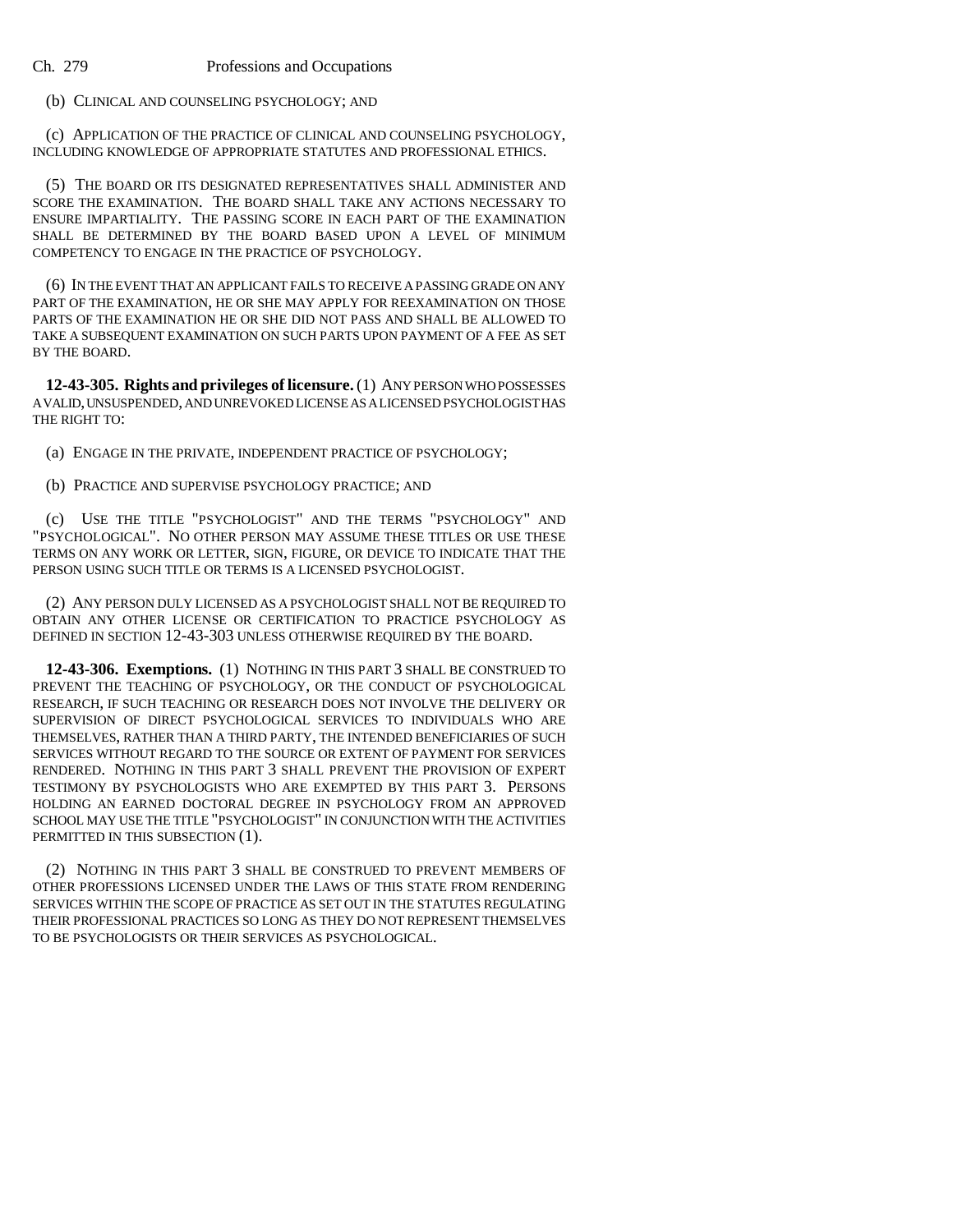# (b) CLINICAL AND COUNSELING PSYCHOLOGY; AND

(c) APPLICATION OF THE PRACTICE OF CLINICAL AND COUNSELING PSYCHOLOGY, INCLUDING KNOWLEDGE OF APPROPRIATE STATUTES AND PROFESSIONAL ETHICS.

(5) THE BOARD OR ITS DESIGNATED REPRESENTATIVES SHALL ADMINISTER AND SCORE THE EXAMINATION. THE BOARD SHALL TAKE ANY ACTIONS NECESSARY TO ENSURE IMPARTIALITY. THE PASSING SCORE IN EACH PART OF THE EXAMINATION SHALL BE DETERMINED BY THE BOARD BASED UPON A LEVEL OF MINIMUM COMPETENCY TO ENGAGE IN THE PRACTICE OF PSYCHOLOGY.

(6) IN THE EVENT THAT AN APPLICANT FAILS TO RECEIVE A PASSING GRADE ON ANY PART OF THE EXAMINATION, HE OR SHE MAY APPLY FOR REEXAMINATION ON THOSE PARTS OF THE EXAMINATION HE OR SHE DID NOT PASS AND SHALL BE ALLOWED TO TAKE A SUBSEQUENT EXAMINATION ON SUCH PARTS UPON PAYMENT OF A FEE AS SET BY THE BOARD.

**12-43-305. Rights and privileges of licensure.** (1) ANY PERSON WHO POSSESSES A VALID, UNSUSPENDED, AND UNREVOKED LICENSE AS A LICENSED PSYCHOLOGIST HAS THE RIGHT TO:

(a) ENGAGE IN THE PRIVATE, INDEPENDENT PRACTICE OF PSYCHOLOGY;

(b) PRACTICE AND SUPERVISE PSYCHOLOGY PRACTICE; AND

(c) USE THE TITLE "PSYCHOLOGIST" AND THE TERMS "PSYCHOLOGY" AND "PSYCHOLOGICAL". NO OTHER PERSON MAY ASSUME THESE TITLES OR USE THESE TERMS ON ANY WORK OR LETTER, SIGN, FIGURE, OR DEVICE TO INDICATE THAT THE PERSON USING SUCH TITLE OR TERMS IS A LICENSED PSYCHOLOGIST.

(2) ANY PERSON DULY LICENSED AS A PSYCHOLOGIST SHALL NOT BE REQUIRED TO OBTAIN ANY OTHER LICENSE OR CERTIFICATION TO PRACTICE PSYCHOLOGY AS DEFINED IN SECTION 12-43-303 UNLESS OTHERWISE REQUIRED BY THE BOARD.

**12-43-306. Exemptions.** (1) NOTHING IN THIS PART 3 SHALL BE CONSTRUED TO PREVENT THE TEACHING OF PSYCHOLOGY, OR THE CONDUCT OF PSYCHOLOGICAL RESEARCH, IF SUCH TEACHING OR RESEARCH DOES NOT INVOLVE THE DELIVERY OR SUPERVISION OF DIRECT PSYCHOLOGICAL SERVICES TO INDIVIDUALS WHO ARE THEMSELVES, RATHER THAN A THIRD PARTY, THE INTENDED BENEFICIARIES OF SUCH SERVICES WITHOUT REGARD TO THE SOURCE OR EXTENT OF PAYMENT FOR SERVICES RENDERED. NOTHING IN THIS PART 3 SHALL PREVENT THE PROVISION OF EXPERT TESTIMONY BY PSYCHOLOGISTS WHO ARE EXEMPTED BY THIS PART 3. PERSONS HOLDING AN EARNED DOCTORAL DEGREE IN PSYCHOLOGY FROM AN APPROVED SCHOOL MAY USE THE TITLE "PSYCHOLOGIST" IN CONJUNCTION WITH THE ACTIVITIES PERMITTED IN THIS SUBSECTION (1).

(2) NOTHING IN THIS PART 3 SHALL BE CONSTRUED TO PREVENT MEMBERS OF OTHER PROFESSIONS LICENSED UNDER THE LAWS OF THIS STATE FROM RENDERING SERVICES WITHIN THE SCOPE OF PRACTICE AS SET OUT IN THE STATUTES REGULATING THEIR PROFESSIONAL PRACTICES SO LONG AS THEY DO NOT REPRESENT THEMSELVES TO BE PSYCHOLOGISTS OR THEIR SERVICES AS PSYCHOLOGICAL.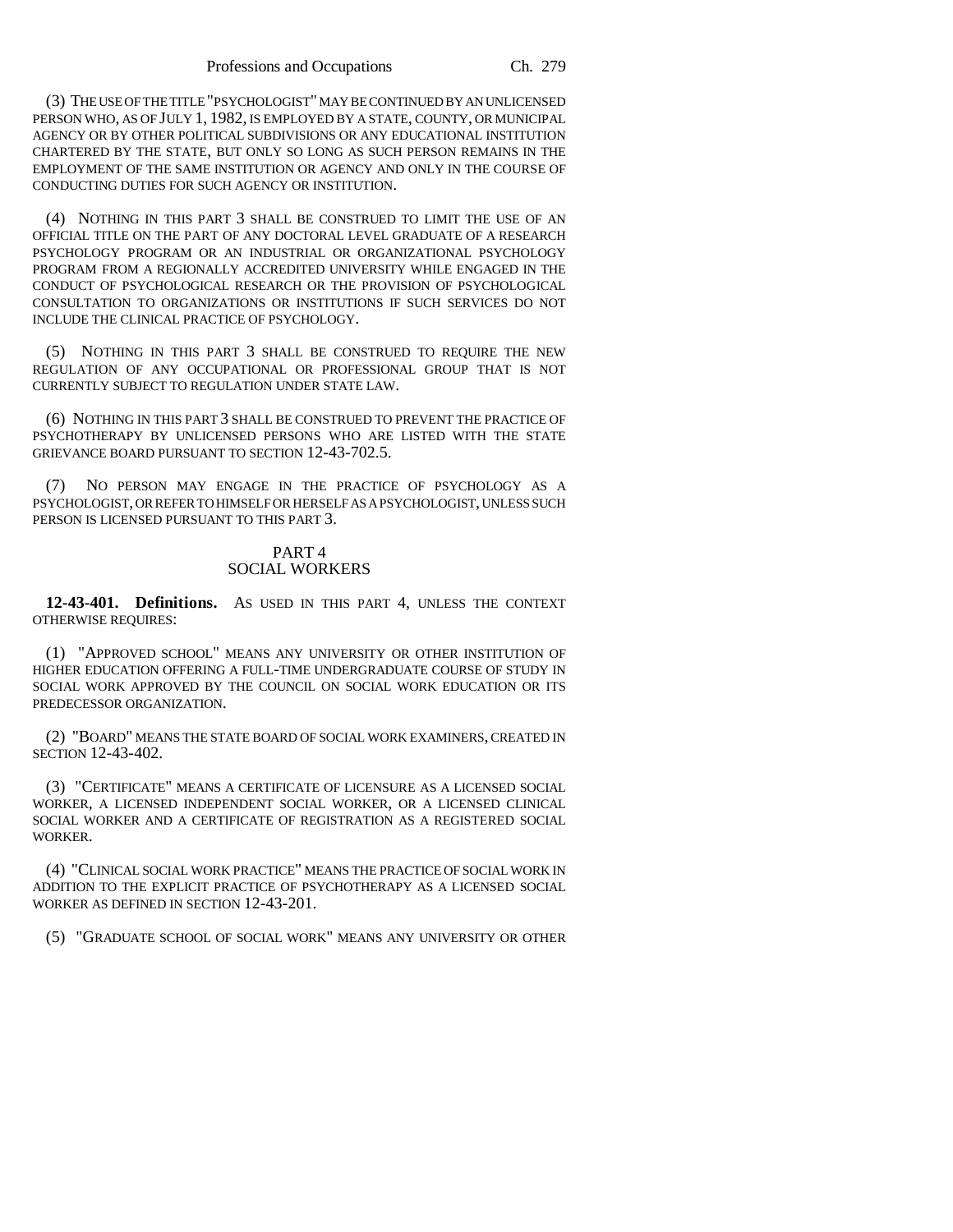(3) THE USE OF THE TITLE "PSYCHOLOGIST" MAY BE CONTINUED BY AN UNLICENSED PERSON WHO, AS OF JULY 1, 1982, IS EMPLOYED BY A STATE, COUNTY, OR MUNICIPAL AGENCY OR BY OTHER POLITICAL SUBDIVISIONS OR ANY EDUCATIONAL INSTITUTION CHARTERED BY THE STATE, BUT ONLY SO LONG AS SUCH PERSON REMAINS IN THE EMPLOYMENT OF THE SAME INSTITUTION OR AGENCY AND ONLY IN THE COURSE OF CONDUCTING DUTIES FOR SUCH AGENCY OR INSTITUTION.

(4) NOTHING IN THIS PART 3 SHALL BE CONSTRUED TO LIMIT THE USE OF AN OFFICIAL TITLE ON THE PART OF ANY DOCTORAL LEVEL GRADUATE OF A RESEARCH PSYCHOLOGY PROGRAM OR AN INDUSTRIAL OR ORGANIZATIONAL PSYCHOLOGY PROGRAM FROM A REGIONALLY ACCREDITED UNIVERSITY WHILE ENGAGED IN THE CONDUCT OF PSYCHOLOGICAL RESEARCH OR THE PROVISION OF PSYCHOLOGICAL CONSULTATION TO ORGANIZATIONS OR INSTITUTIONS IF SUCH SERVICES DO NOT INCLUDE THE CLINICAL PRACTICE OF PSYCHOLOGY.

(5) NOTHING IN THIS PART 3 SHALL BE CONSTRUED TO REQUIRE THE NEW REGULATION OF ANY OCCUPATIONAL OR PROFESSIONAL GROUP THAT IS NOT CURRENTLY SUBJECT TO REGULATION UNDER STATE LAW.

(6) NOTHING IN THIS PART 3 SHALL BE CONSTRUED TO PREVENT THE PRACTICE OF PSYCHOTHERAPY BY UNLICENSED PERSONS WHO ARE LISTED WITH THE STATE GRIEVANCE BOARD PURSUANT TO SECTION 12-43-702.5.

(7) NO PERSON MAY ENGAGE IN THE PRACTICE OF PSYCHOLOGY AS A PSYCHOLOGIST, OR REFER TO HIMSELF OR HERSELF AS A PSYCHOLOGIST, UNLESS SUCH PERSON IS LICENSED PURSUANT TO THIS PART 3.

# PART 4 SOCIAL WORKERS

**12-43-401. Definitions.** AS USED IN THIS PART 4, UNLESS THE CONTEXT OTHERWISE REQUIRES:

(1) "APPROVED SCHOOL" MEANS ANY UNIVERSITY OR OTHER INSTITUTION OF HIGHER EDUCATION OFFERING A FULL-TIME UNDERGRADUATE COURSE OF STUDY IN SOCIAL WORK APPROVED BY THE COUNCIL ON SOCIAL WORK EDUCATION OR ITS PREDECESSOR ORGANIZATION.

(2) "BOARD" MEANS THE STATE BOARD OF SOCIAL WORK EXAMINERS, CREATED IN SECTION 12-43-402.

(3) "CERTIFICATE" MEANS A CERTIFICATE OF LICENSURE AS A LICENSED SOCIAL WORKER, A LICENSED INDEPENDENT SOCIAL WORKER, OR A LICENSED CLINICAL SOCIAL WORKER AND A CERTIFICATE OF REGISTRATION AS A REGISTERED SOCIAL WORKER.

(4) "CLINICAL SOCIAL WORK PRACTICE" MEANS THE PRACTICE OF SOCIAL WORK IN ADDITION TO THE EXPLICIT PRACTICE OF PSYCHOTHERAPY AS A LICENSED SOCIAL WORKER AS DEFINED IN SECTION 12-43-201.

(5) "GRADUATE SCHOOL OF SOCIAL WORK" MEANS ANY UNIVERSITY OR OTHER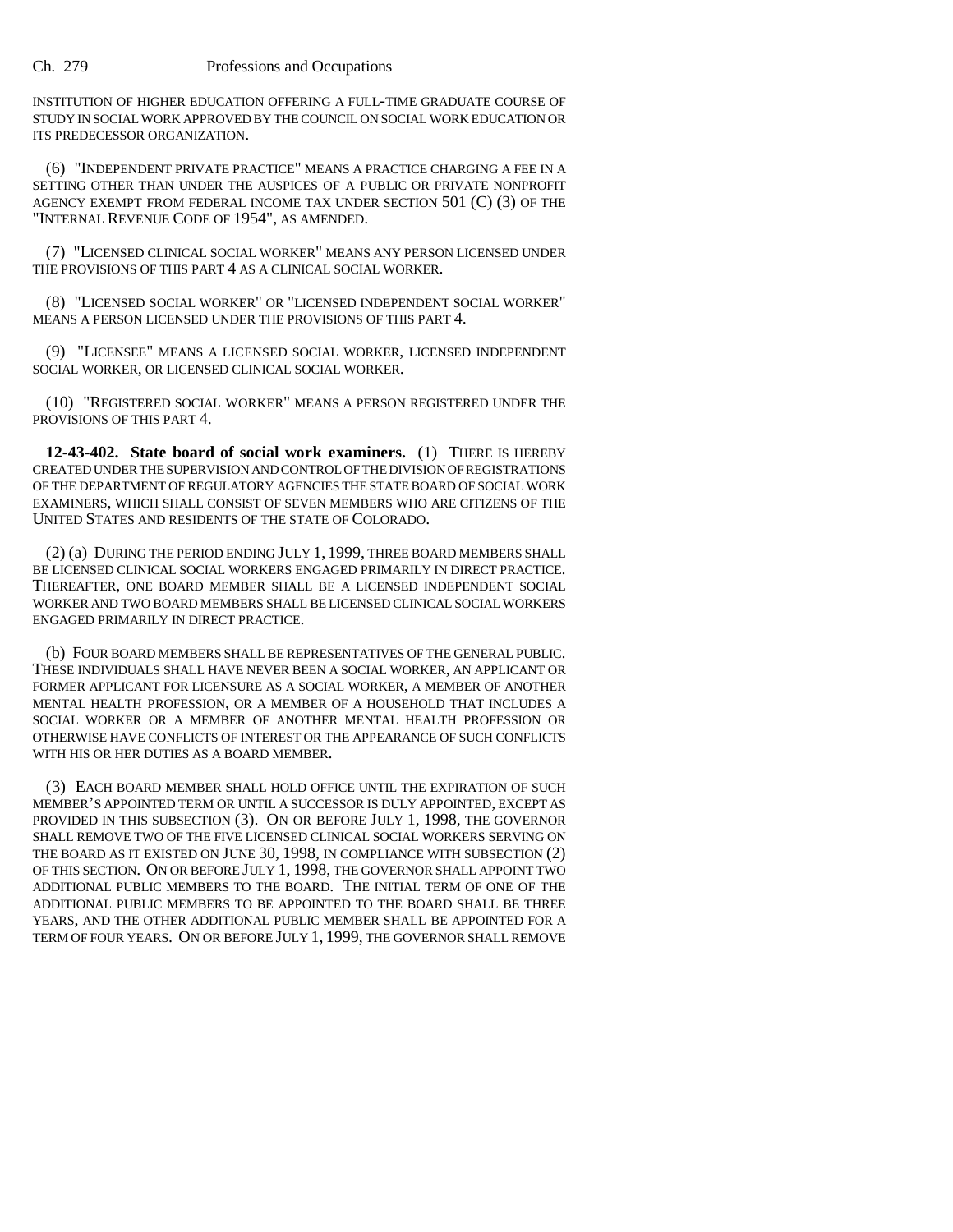INSTITUTION OF HIGHER EDUCATION OFFERING A FULL-TIME GRADUATE COURSE OF STUDY IN SOCIAL WORK APPROVED BY THE COUNCIL ON SOCIAL WORK EDUCATION OR ITS PREDECESSOR ORGANIZATION.

(6) "INDEPENDENT PRIVATE PRACTICE" MEANS A PRACTICE CHARGING A FEE IN A SETTING OTHER THAN UNDER THE AUSPICES OF A PUBLIC OR PRIVATE NONPROFIT AGENCY EXEMPT FROM FEDERAL INCOME TAX UNDER SECTION 501 (C) (3) OF THE "INTERNAL REVENUE CODE OF 1954", AS AMENDED.

(7) "LICENSED CLINICAL SOCIAL WORKER" MEANS ANY PERSON LICENSED UNDER THE PROVISIONS OF THIS PART 4 AS A CLINICAL SOCIAL WORKER.

(8) "LICENSED SOCIAL WORKER" OR "LICENSED INDEPENDENT SOCIAL WORKER" MEANS A PERSON LICENSED UNDER THE PROVISIONS OF THIS PART 4.

(9) "LICENSEE" MEANS A LICENSED SOCIAL WORKER, LICENSED INDEPENDENT SOCIAL WORKER, OR LICENSED CLINICAL SOCIAL WORKER.

(10) "REGISTERED SOCIAL WORKER" MEANS A PERSON REGISTERED UNDER THE PROVISIONS OF THIS PART 4.

**12-43-402. State board of social work examiners.** (1) THERE IS HEREBY CREATED UNDER THE SUPERVISION AND CONTROL OF THE DIVISION OF REGISTRATIONS OF THE DEPARTMENT OF REGULATORY AGENCIES THE STATE BOARD OF SOCIAL WORK EXAMINERS, WHICH SHALL CONSIST OF SEVEN MEMBERS WHO ARE CITIZENS OF THE UNITED STATES AND RESIDENTS OF THE STATE OF COLORADO.

(2) (a) DURING THE PERIOD ENDING JULY 1, 1999, THREE BOARD MEMBERS SHALL BE LICENSED CLINICAL SOCIAL WORKERS ENGAGED PRIMARILY IN DIRECT PRACTICE. THEREAFTER, ONE BOARD MEMBER SHALL BE A LICENSED INDEPENDENT SOCIAL WORKER AND TWO BOARD MEMBERS SHALL BE LICENSED CLINICAL SOCIAL WORKERS ENGAGED PRIMARILY IN DIRECT PRACTICE.

(b) FOUR BOARD MEMBERS SHALL BE REPRESENTATIVES OF THE GENERAL PUBLIC. THESE INDIVIDUALS SHALL HAVE NEVER BEEN A SOCIAL WORKER, AN APPLICANT OR FORMER APPLICANT FOR LICENSURE AS A SOCIAL WORKER, A MEMBER OF ANOTHER MENTAL HEALTH PROFESSION, OR A MEMBER OF A HOUSEHOLD THAT INCLUDES A SOCIAL WORKER OR A MEMBER OF ANOTHER MENTAL HEALTH PROFESSION OR OTHERWISE HAVE CONFLICTS OF INTEREST OR THE APPEARANCE OF SUCH CONFLICTS WITH HIS OR HER DUTIES AS A BOARD MEMBER.

(3) EACH BOARD MEMBER SHALL HOLD OFFICE UNTIL THE EXPIRATION OF SUCH MEMBER'S APPOINTED TERM OR UNTIL A SUCCESSOR IS DULY APPOINTED, EXCEPT AS PROVIDED IN THIS SUBSECTION (3). ON OR BEFORE JULY 1, 1998, THE GOVERNOR SHALL REMOVE TWO OF THE FIVE LICENSED CLINICAL SOCIAL WORKERS SERVING ON THE BOARD AS IT EXISTED ON JUNE 30, 1998, IN COMPLIANCE WITH SUBSECTION (2) OF THIS SECTION. ON OR BEFORE JULY 1, 1998, THE GOVERNOR SHALL APPOINT TWO ADDITIONAL PUBLIC MEMBERS TO THE BOARD. THE INITIAL TERM OF ONE OF THE ADDITIONAL PUBLIC MEMBERS TO BE APPOINTED TO THE BOARD SHALL BE THREE YEARS, AND THE OTHER ADDITIONAL PUBLIC MEMBER SHALL BE APPOINTED FOR A TERM OF FOUR YEARS. ON OR BEFORE JULY 1, 1999, THE GOVERNOR SHALL REMOVE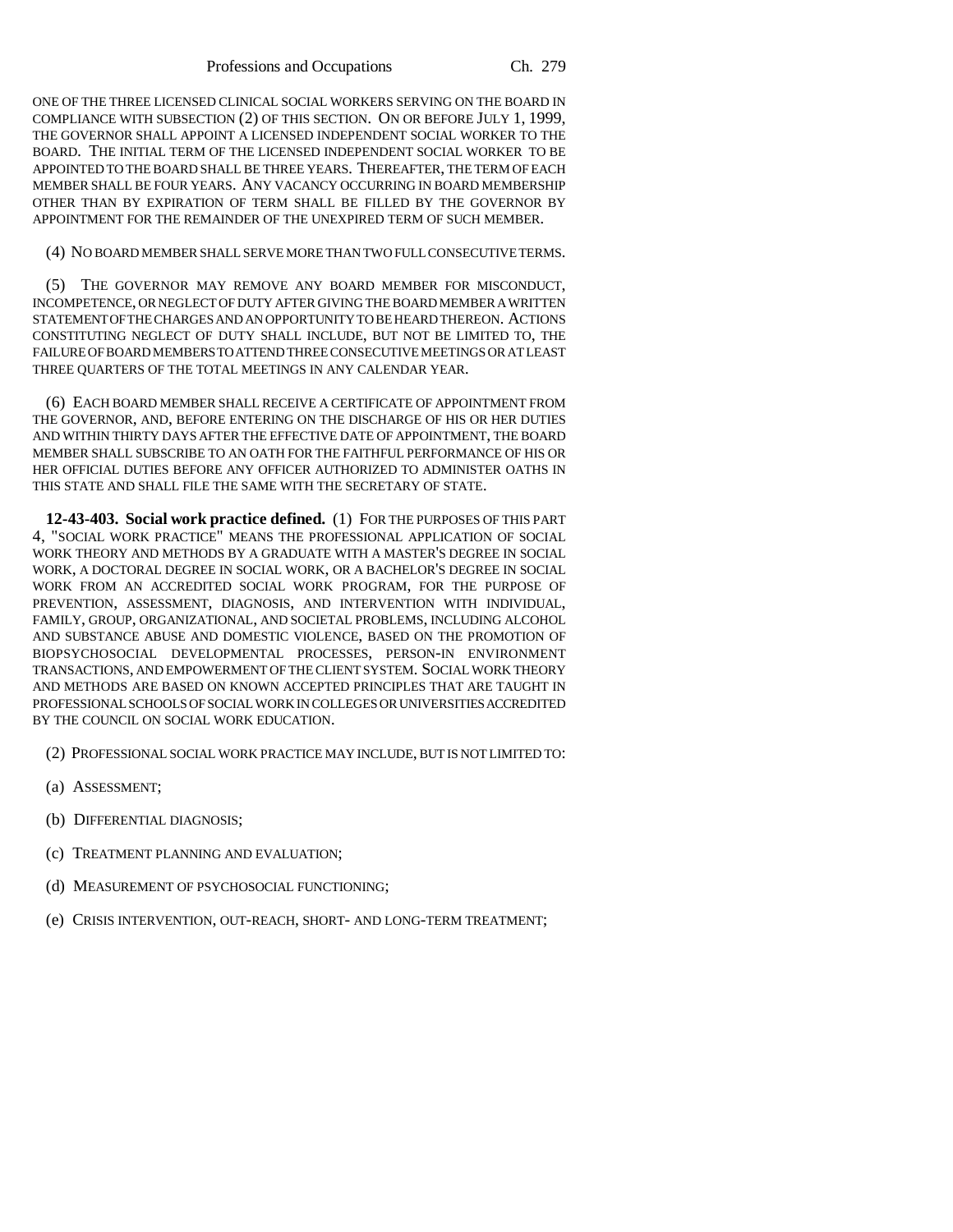ONE OF THE THREE LICENSED CLINICAL SOCIAL WORKERS SERVING ON THE BOARD IN COMPLIANCE WITH SUBSECTION (2) OF THIS SECTION. ON OR BEFORE JULY 1, 1999, THE GOVERNOR SHALL APPOINT A LICENSED INDEPENDENT SOCIAL WORKER TO THE BOARD. THE INITIAL TERM OF THE LICENSED INDEPENDENT SOCIAL WORKER TO BE APPOINTED TO THE BOARD SHALL BE THREE YEARS. THEREAFTER, THE TERM OF EACH MEMBER SHALL BE FOUR YEARS. ANY VACANCY OCCURRING IN BOARD MEMBERSHIP OTHER THAN BY EXPIRATION OF TERM SHALL BE FILLED BY THE GOVERNOR BY APPOINTMENT FOR THE REMAINDER OF THE UNEXPIRED TERM OF SUCH MEMBER.

## (4) NO BOARD MEMBER SHALL SERVE MORE THAN TWO FULL CONSECUTIVE TERMS.

(5) THE GOVERNOR MAY REMOVE ANY BOARD MEMBER FOR MISCONDUCT, INCOMPETENCE, OR NEGLECT OF DUTY AFTER GIVING THE BOARD MEMBER A WRITTEN STATEMENT OF THE CHARGES AND AN OPPORTUNITY TO BE HEARD THEREON. ACTIONS CONSTITUTING NEGLECT OF DUTY SHALL INCLUDE, BUT NOT BE LIMITED TO, THE FAILURE OF BOARD MEMBERS TO ATTEND THREE CONSECUTIVE MEETINGS OR AT LEAST THREE QUARTERS OF THE TOTAL MEETINGS IN ANY CALENDAR YEAR.

(6) EACH BOARD MEMBER SHALL RECEIVE A CERTIFICATE OF APPOINTMENT FROM THE GOVERNOR, AND, BEFORE ENTERING ON THE DISCHARGE OF HIS OR HER DUTIES AND WITHIN THIRTY DAYS AFTER THE EFFECTIVE DATE OF APPOINTMENT, THE BOARD MEMBER SHALL SUBSCRIBE TO AN OATH FOR THE FAITHFUL PERFORMANCE OF HIS OR HER OFFICIAL DUTIES BEFORE ANY OFFICER AUTHORIZED TO ADMINISTER OATHS IN THIS STATE AND SHALL FILE THE SAME WITH THE SECRETARY OF STATE.

**12-43-403. Social work practice defined.** (1) FOR THE PURPOSES OF THIS PART 4, "SOCIAL WORK PRACTICE" MEANS THE PROFESSIONAL APPLICATION OF SOCIAL WORK THEORY AND METHODS BY A GRADUATE WITH A MASTER'S DEGREE IN SOCIAL WORK, A DOCTORAL DEGREE IN SOCIAL WORK, OR A BACHELOR'S DEGREE IN SOCIAL WORK FROM AN ACCREDITED SOCIAL WORK PROGRAM, FOR THE PURPOSE OF PREVENTION, ASSESSMENT, DIAGNOSIS, AND INTERVENTION WITH INDIVIDUAL, FAMILY, GROUP, ORGANIZATIONAL, AND SOCIETAL PROBLEMS, INCLUDING ALCOHOL AND SUBSTANCE ABUSE AND DOMESTIC VIOLENCE, BASED ON THE PROMOTION OF BIOPSYCHOSOCIAL DEVELOPMENTAL PROCESSES, PERSON-IN ENVIRONMENT TRANSACTIONS, AND EMPOWERMENT OF THE CLIENT SYSTEM. SOCIAL WORK THEORY AND METHODS ARE BASED ON KNOWN ACCEPTED PRINCIPLES THAT ARE TAUGHT IN PROFESSIONAL SCHOOLS OF SOCIAL WORK IN COLLEGES OR UNIVERSITIES ACCREDITED BY THE COUNCIL ON SOCIAL WORK EDUCATION.

(2) PROFESSIONAL SOCIAL WORK PRACTICE MAY INCLUDE, BUT IS NOT LIMITED TO:

- (a) ASSESSMENT;
- (b) DIFFERENTIAL DIAGNOSIS;
- (c) TREATMENT PLANNING AND EVALUATION;
- (d) MEASUREMENT OF PSYCHOSOCIAL FUNCTIONING;
- (e) CRISIS INTERVENTION, OUT-REACH, SHORT- AND LONG-TERM TREATMENT;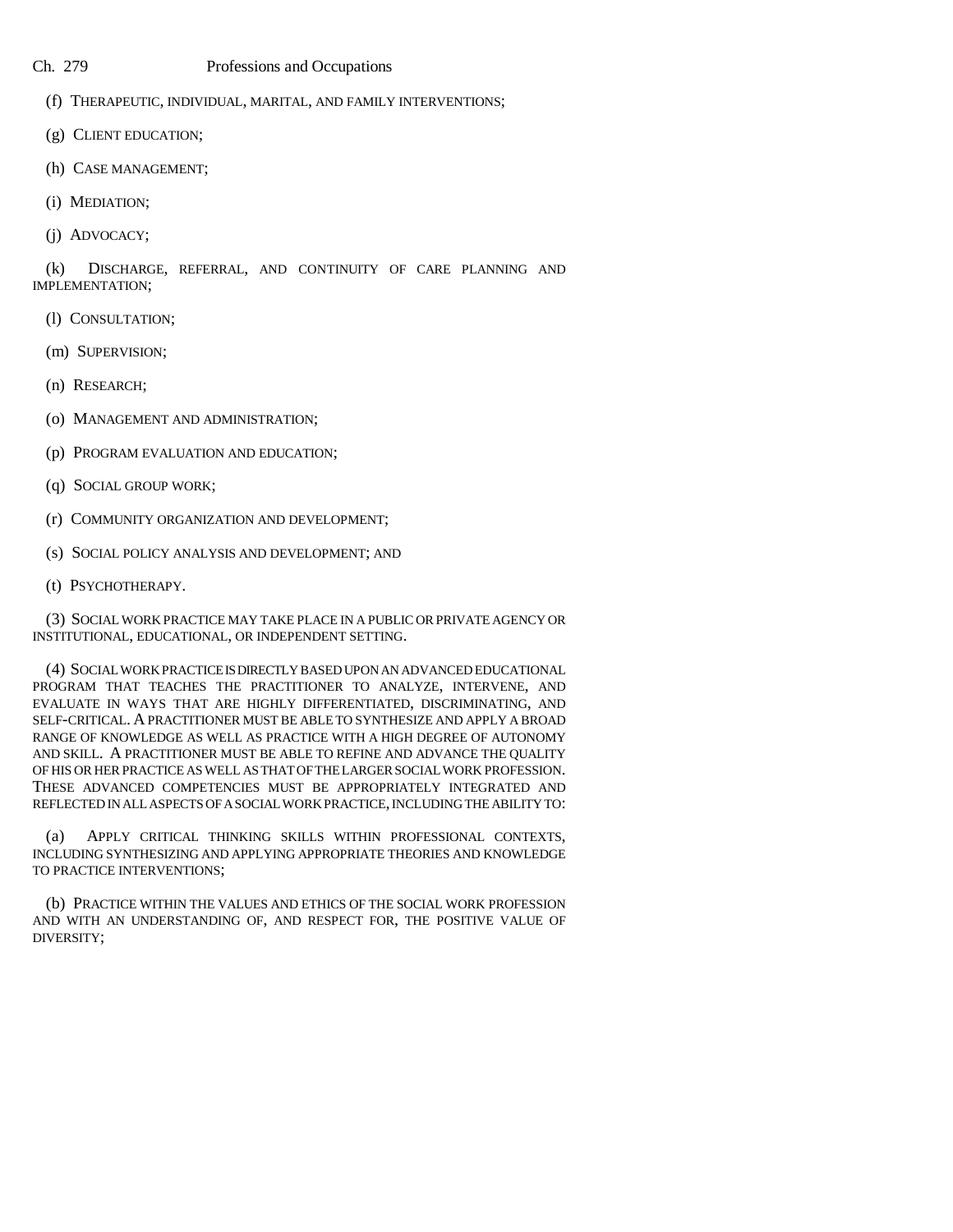- (f) THERAPEUTIC, INDIVIDUAL, MARITAL, AND FAMILY INTERVENTIONS;
- (g) CLIENT EDUCATION;
- (h) CASE MANAGEMENT;
- (i) MEDIATION;
- (j) ADVOCACY;

(k) DISCHARGE, REFERRAL, AND CONTINUITY OF CARE PLANNING AND IMPLEMENTATION;

- (l) CONSULTATION;
- (m) SUPERVISION;
- (n) RESEARCH;
- (o) MANAGEMENT AND ADMINISTRATION;
- (p) PROGRAM EVALUATION AND EDUCATION;
- (q) SOCIAL GROUP WORK;
- (r) COMMUNITY ORGANIZATION AND DEVELOPMENT;
- (s) SOCIAL POLICY ANALYSIS AND DEVELOPMENT; AND
- (t) PSYCHOTHERAPY.

(3) SOCIAL WORK PRACTICE MAY TAKE PLACE IN A PUBLIC OR PRIVATE AGENCY OR INSTITUTIONAL, EDUCATIONAL, OR INDEPENDENT SETTING.

(4) SOCIAL WORK PRACTICE IS DIRECTLY BASED UPON AN ADVANCED EDUCATIONAL PROGRAM THAT TEACHES THE PRACTITIONER TO ANALYZE, INTERVENE, AND EVALUATE IN WAYS THAT ARE HIGHLY DIFFERENTIATED, DISCRIMINATING, AND SELF-CRITICAL. A PRACTITIONER MUST BE ABLE TO SYNTHESIZE AND APPLY A BROAD RANGE OF KNOWLEDGE AS WELL AS PRACTICE WITH A HIGH DEGREE OF AUTONOMY AND SKILL. A PRACTITIONER MUST BE ABLE TO REFINE AND ADVANCE THE QUALITY OF HIS OR HER PRACTICE AS WELL AS THAT OF THE LARGER SOCIAL WORK PROFESSION. THESE ADVANCED COMPETENCIES MUST BE APPROPRIATELY INTEGRATED AND REFLECTED IN ALL ASPECTS OF A SOCIAL WORK PRACTICE, INCLUDING THE ABILITY TO:

(a) APPLY CRITICAL THINKING SKILLS WITHIN PROFESSIONAL CONTEXTS, INCLUDING SYNTHESIZING AND APPLYING APPROPRIATE THEORIES AND KNOWLEDGE TO PRACTICE INTERVENTIONS;

(b) PRACTICE WITHIN THE VALUES AND ETHICS OF THE SOCIAL WORK PROFESSION AND WITH AN UNDERSTANDING OF, AND RESPECT FOR, THE POSITIVE VALUE OF DIVERSITY;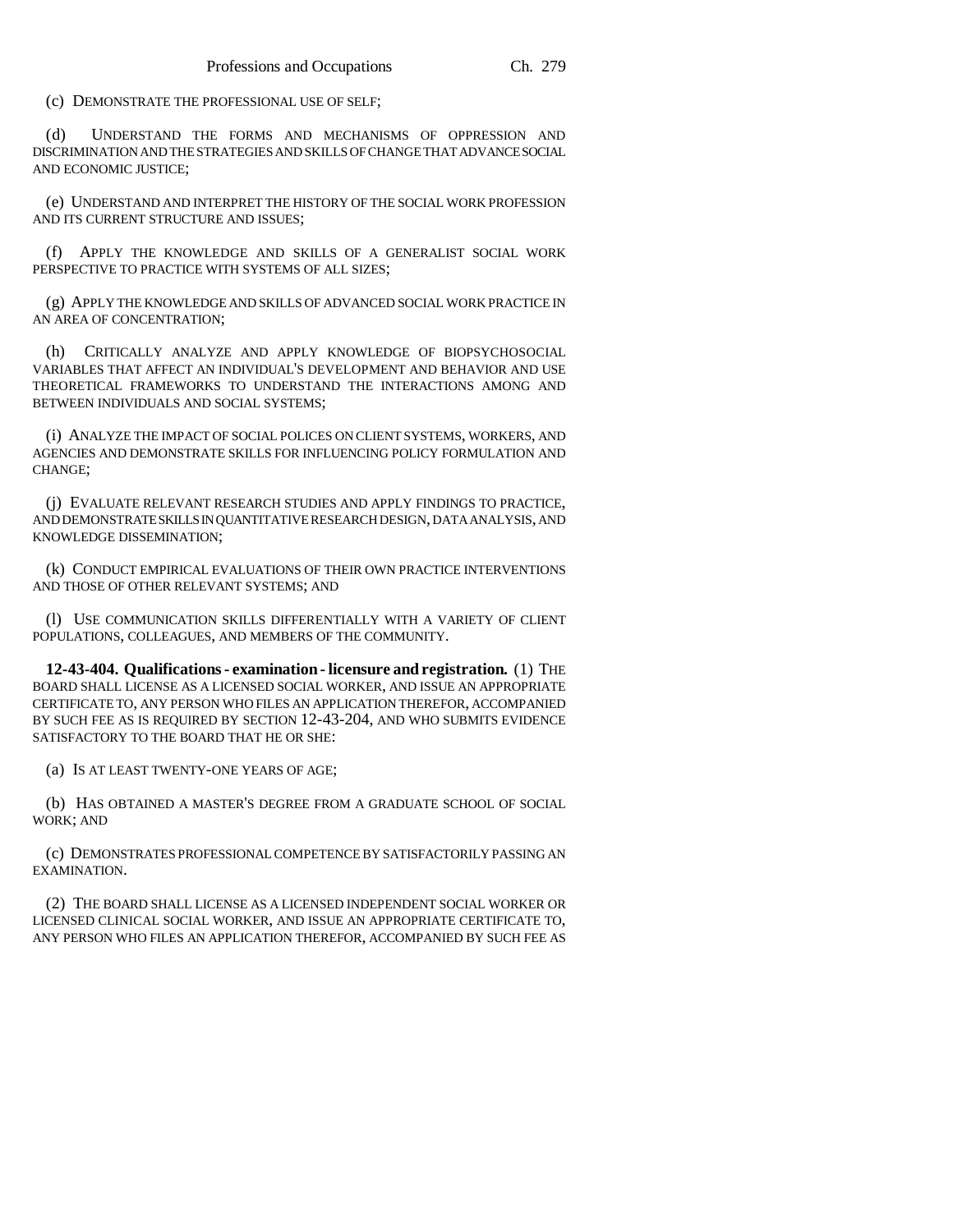(c) DEMONSTRATE THE PROFESSIONAL USE OF SELF;

(d) UNDERSTAND THE FORMS AND MECHANISMS OF OPPRESSION AND DISCRIMINATION AND THE STRATEGIES AND SKILLS OF CHANGE THAT ADVANCE SOCIAL AND ECONOMIC JUSTICE;

(e) UNDERSTAND AND INTERPRET THE HISTORY OF THE SOCIAL WORK PROFESSION AND ITS CURRENT STRUCTURE AND ISSUES;

(f) APPLY THE KNOWLEDGE AND SKILLS OF A GENERALIST SOCIAL WORK PERSPECTIVE TO PRACTICE WITH SYSTEMS OF ALL SIZES;

(g) APPLY THE KNOWLEDGE AND SKILLS OF ADVANCED SOCIAL WORK PRACTICE IN AN AREA OF CONCENTRATION;

(h) CRITICALLY ANALYZE AND APPLY KNOWLEDGE OF BIOPSYCHOSOCIAL VARIABLES THAT AFFECT AN INDIVIDUAL'S DEVELOPMENT AND BEHAVIOR AND USE THEORETICAL FRAMEWORKS TO UNDERSTAND THE INTERACTIONS AMONG AND BETWEEN INDIVIDUALS AND SOCIAL SYSTEMS;

(i) ANALYZE THE IMPACT OF SOCIAL POLICES ON CLIENT SYSTEMS, WORKERS, AND AGENCIES AND DEMONSTRATE SKILLS FOR INFLUENCING POLICY FORMULATION AND CHANGE;

(j) EVALUATE RELEVANT RESEARCH STUDIES AND APPLY FINDINGS TO PRACTICE, AND DEMONSTRATE SKILLS IN QUANTITATIVE RESEARCH DESIGN, DATA ANALYSIS, AND KNOWLEDGE DISSEMINATION;

(k) CONDUCT EMPIRICAL EVALUATIONS OF THEIR OWN PRACTICE INTERVENTIONS AND THOSE OF OTHER RELEVANT SYSTEMS; AND

(l) USE COMMUNICATION SKILLS DIFFERENTIALLY WITH A VARIETY OF CLIENT POPULATIONS, COLLEAGUES, AND MEMBERS OF THE COMMUNITY.

**12-43-404. Qualifications - examination - licensure and registration.** (1) THE BOARD SHALL LICENSE AS A LICENSED SOCIAL WORKER, AND ISSUE AN APPROPRIATE CERTIFICATE TO, ANY PERSON WHO FILES AN APPLICATION THEREFOR, ACCOMPANIED BY SUCH FEE AS IS REQUIRED BY SECTION 12-43-204, AND WHO SUBMITS EVIDENCE SATISFACTORY TO THE BOARD THAT HE OR SHE:

(a) IS AT LEAST TWENTY-ONE YEARS OF AGE;

(b) HAS OBTAINED A MASTER'S DEGREE FROM A GRADUATE SCHOOL OF SOCIAL WORK; AND

(c) DEMONSTRATES PROFESSIONAL COMPETENCE BY SATISFACTORILY PASSING AN EXAMINATION.

(2) THE BOARD SHALL LICENSE AS A LICENSED INDEPENDENT SOCIAL WORKER OR LICENSED CLINICAL SOCIAL WORKER, AND ISSUE AN APPROPRIATE CERTIFICATE TO, ANY PERSON WHO FILES AN APPLICATION THEREFOR, ACCOMPANIED BY SUCH FEE AS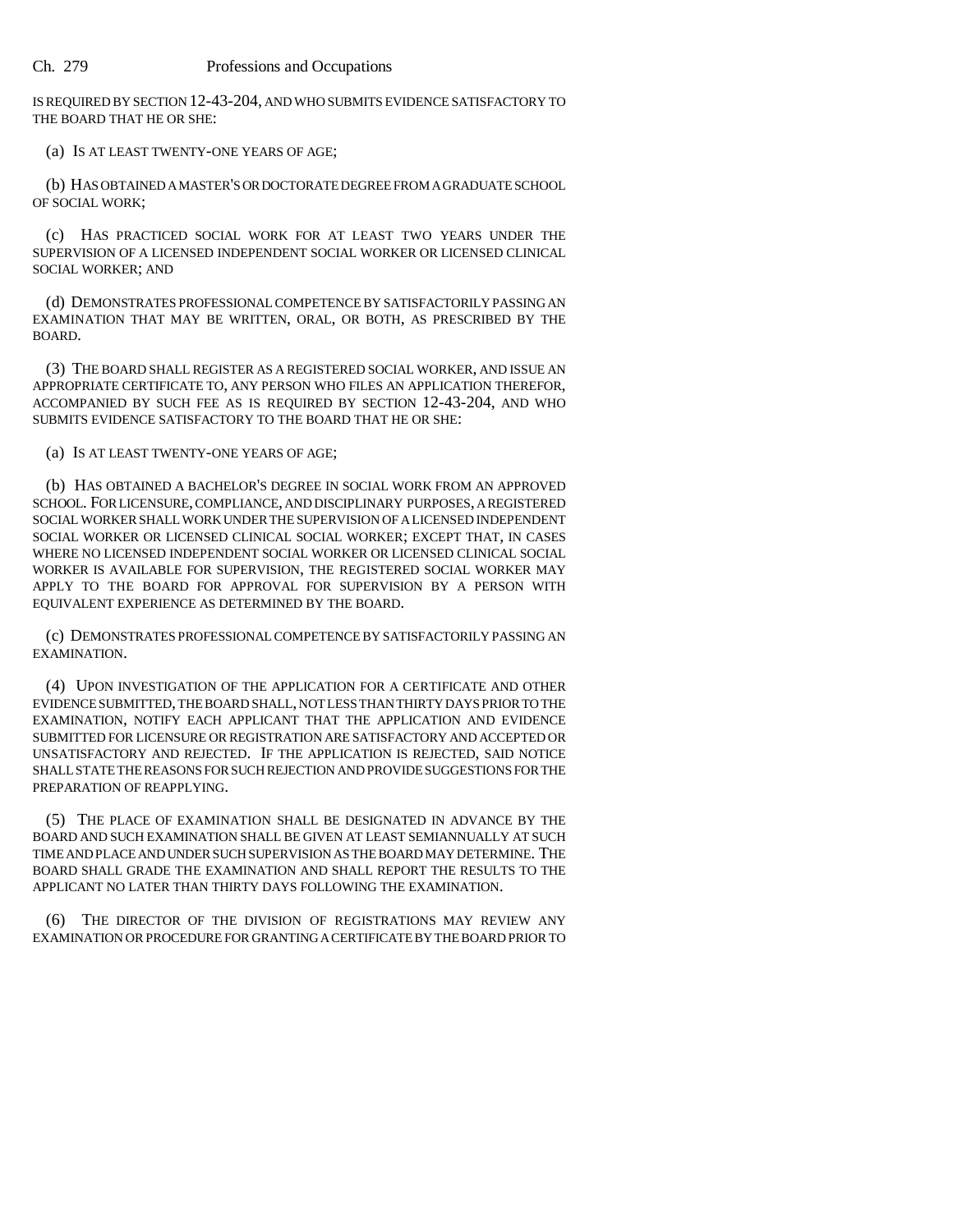IS REQUIRED BY SECTION 12-43-204, AND WHO SUBMITS EVIDENCE SATISFACTORY TO THE BOARD THAT HE OR SHE:

(a) IS AT LEAST TWENTY-ONE YEARS OF AGE;

(b) HAS OBTAINED A MASTER'S OR DOCTORATE DEGREE FROM A GRADUATE SCHOOL OF SOCIAL WORK;

(c) HAS PRACTICED SOCIAL WORK FOR AT LEAST TWO YEARS UNDER THE SUPERVISION OF A LICENSED INDEPENDENT SOCIAL WORKER OR LICENSED CLINICAL SOCIAL WORKER; AND

(d) DEMONSTRATES PROFESSIONAL COMPETENCE BY SATISFACTORILY PASSING AN EXAMINATION THAT MAY BE WRITTEN, ORAL, OR BOTH, AS PRESCRIBED BY THE BOARD.

(3) THE BOARD SHALL REGISTER AS A REGISTERED SOCIAL WORKER, AND ISSUE AN APPROPRIATE CERTIFICATE TO, ANY PERSON WHO FILES AN APPLICATION THEREFOR, ACCOMPANIED BY SUCH FEE AS IS REQUIRED BY SECTION 12-43-204, AND WHO SUBMITS EVIDENCE SATISFACTORY TO THE BOARD THAT HE OR SHE:

(a) IS AT LEAST TWENTY-ONE YEARS OF AGE;

(b) HAS OBTAINED A BACHELOR'S DEGREE IN SOCIAL WORK FROM AN APPROVED SCHOOL. FOR LICENSURE, COMPLIANCE, AND DISCIPLINARY PURPOSES, A REGISTERED SOCIAL WORKER SHALL WORK UNDER THE SUPERVISION OF A LICENSED INDEPENDENT SOCIAL WORKER OR LICENSED CLINICAL SOCIAL WORKER; EXCEPT THAT, IN CASES WHERE NO LICENSED INDEPENDENT SOCIAL WORKER OR LICENSED CLINICAL SOCIAL WORKER IS AVAILABLE FOR SUPERVISION, THE REGISTERED SOCIAL WORKER MAY APPLY TO THE BOARD FOR APPROVAL FOR SUPERVISION BY A PERSON WITH EQUIVALENT EXPERIENCE AS DETERMINED BY THE BOARD.

(c) DEMONSTRATES PROFESSIONAL COMPETENCE BY SATISFACTORILY PASSING AN EXAMINATION.

(4) UPON INVESTIGATION OF THE APPLICATION FOR A CERTIFICATE AND OTHER EVIDENCE SUBMITTED, THE BOARD SHALL, NOT LESS THAN THIRTY DAYS PRIOR TO THE EXAMINATION, NOTIFY EACH APPLICANT THAT THE APPLICATION AND EVIDENCE SUBMITTED FOR LICENSURE OR REGISTRATION ARE SATISFACTORY AND ACCEPTED OR UNSATISFACTORY AND REJECTED. IF THE APPLICATION IS REJECTED, SAID NOTICE SHALL STATE THE REASONS FOR SUCH REJECTION AND PROVIDE SUGGESTIONS FOR THE PREPARATION OF REAPPLYING.

(5) THE PLACE OF EXAMINATION SHALL BE DESIGNATED IN ADVANCE BY THE BOARD AND SUCH EXAMINATION SHALL BE GIVEN AT LEAST SEMIANNUALLY AT SUCH TIME AND PLACE AND UNDER SUCH SUPERVISION AS THE BOARD MAY DETERMINE. THE BOARD SHALL GRADE THE EXAMINATION AND SHALL REPORT THE RESULTS TO THE APPLICANT NO LATER THAN THIRTY DAYS FOLLOWING THE EXAMINATION.

(6) THE DIRECTOR OF THE DIVISION OF REGISTRATIONS MAY REVIEW ANY EXAMINATION OR PROCEDURE FOR GRANTING A CERTIFICATE BY THE BOARD PRIOR TO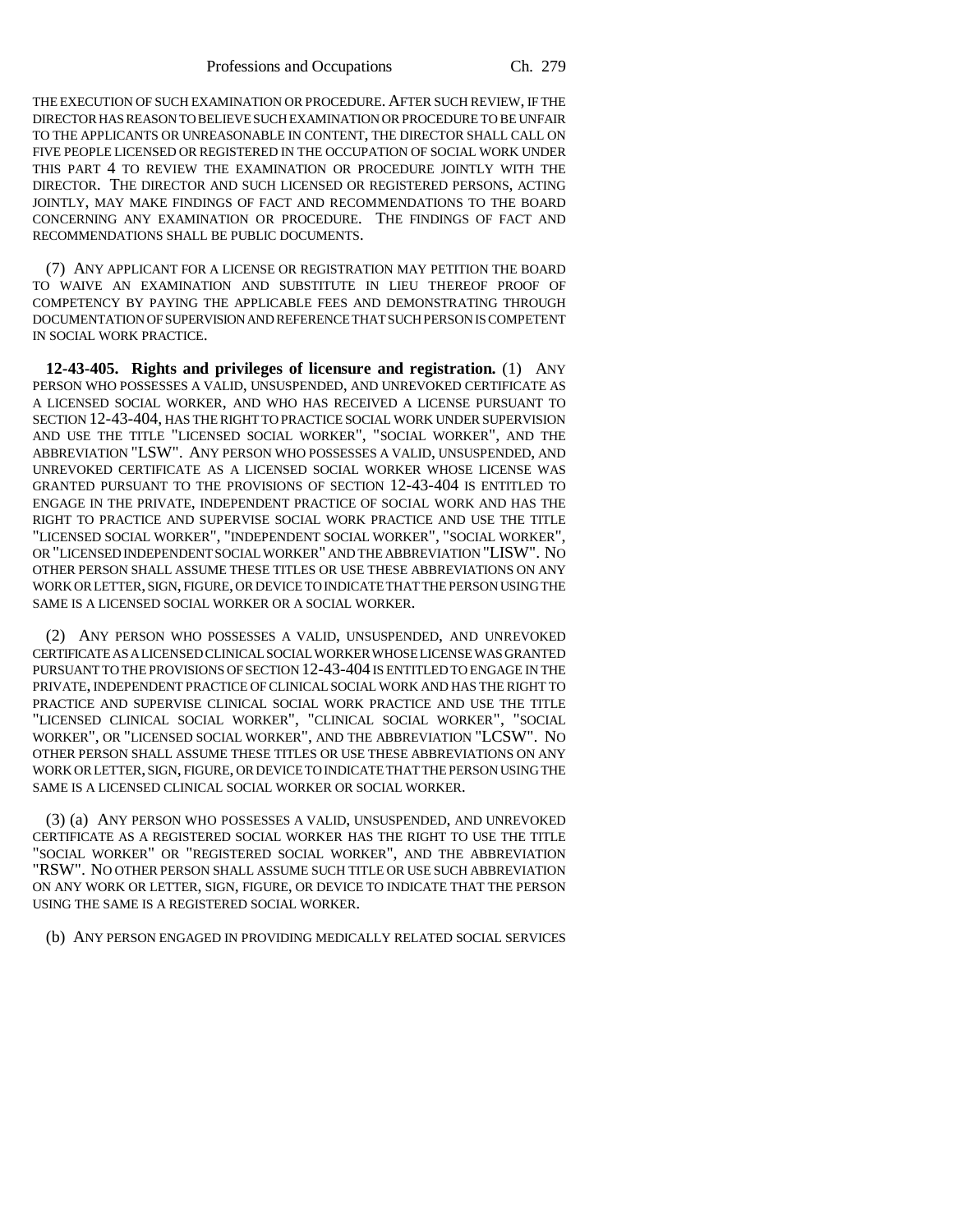Professions and Occupations Ch. 279

THE EXECUTION OF SUCH EXAMINATION OR PROCEDURE. AFTER SUCH REVIEW, IF THE DIRECTOR HAS REASON TO BELIEVE SUCH EXAMINATION OR PROCEDURE TO BE UNFAIR TO THE APPLICANTS OR UNREASONABLE IN CONTENT, THE DIRECTOR SHALL CALL ON FIVE PEOPLE LICENSED OR REGISTERED IN THE OCCUPATION OF SOCIAL WORK UNDER THIS PART 4 TO REVIEW THE EXAMINATION OR PROCEDURE JOINTLY WITH THE DIRECTOR. THE DIRECTOR AND SUCH LICENSED OR REGISTERED PERSONS, ACTING JOINTLY, MAY MAKE FINDINGS OF FACT AND RECOMMENDATIONS TO THE BOARD CONCERNING ANY EXAMINATION OR PROCEDURE. THE FINDINGS OF FACT AND RECOMMENDATIONS SHALL BE PUBLIC DOCUMENTS.

(7) ANY APPLICANT FOR A LICENSE OR REGISTRATION MAY PETITION THE BOARD TO WAIVE AN EXAMINATION AND SUBSTITUTE IN LIEU THEREOF PROOF OF COMPETENCY BY PAYING THE APPLICABLE FEES AND DEMONSTRATING THROUGH DOCUMENTATION OF SUPERVISION AND REFERENCE THAT SUCH PERSON IS COMPETENT IN SOCIAL WORK PRACTICE.

**12-43-405. Rights and privileges of licensure and registration.** (1) ANY PERSON WHO POSSESSES A VALID, UNSUSPENDED, AND UNREVOKED CERTIFICATE AS A LICENSED SOCIAL WORKER, AND WHO HAS RECEIVED A LICENSE PURSUANT TO SECTION 12-43-404, HAS THE RIGHT TO PRACTICE SOCIAL WORK UNDER SUPERVISION AND USE THE TITLE "LICENSED SOCIAL WORKER", "SOCIAL WORKER", AND THE ABBREVIATION "LSW". ANY PERSON WHO POSSESSES A VALID, UNSUSPENDED, AND UNREVOKED CERTIFICATE AS A LICENSED SOCIAL WORKER WHOSE LICENSE WAS GRANTED PURSUANT TO THE PROVISIONS OF SECTION 12-43-404 IS ENTITLED TO ENGAGE IN THE PRIVATE, INDEPENDENT PRACTICE OF SOCIAL WORK AND HAS THE RIGHT TO PRACTICE AND SUPERVISE SOCIAL WORK PRACTICE AND USE THE TITLE "LICENSED SOCIAL WORKER", "INDEPENDENT SOCIAL WORKER", "SOCIAL WORKER", OR "LICENSED INDEPENDENT SOCIAL WORKER" AND THE ABBREVIATION "LISW". NO OTHER PERSON SHALL ASSUME THESE TITLES OR USE THESE ABBREVIATIONS ON ANY WORK OR LETTER, SIGN, FIGURE, OR DEVICE TO INDICATE THAT THE PERSON USING THE SAME IS A LICENSED SOCIAL WORKER OR A SOCIAL WORKER.

(2) ANY PERSON WHO POSSESSES A VALID, UNSUSPENDED, AND UNREVOKED CERTIFICATE AS A LICENSED CLINICAL SOCIAL WORKER WHOSE LICENSE WAS GRANTED PURSUANT TO THE PROVISIONS OF SECTION 12-43-404 IS ENTITLED TO ENGAGE IN THE PRIVATE, INDEPENDENT PRACTICE OF CLINICAL SOCIAL WORK AND HAS THE RIGHT TO PRACTICE AND SUPERVISE CLINICAL SOCIAL WORK PRACTICE AND USE THE TITLE "LICENSED CLINICAL SOCIAL WORKER", "CLINICAL SOCIAL WORKER", "SOCIAL WORKER", OR "LICENSED SOCIAL WORKER", AND THE ABBREVIATION "LCSW". NO OTHER PERSON SHALL ASSUME THESE TITLES OR USE THESE ABBREVIATIONS ON ANY WORK OR LETTER, SIGN, FIGURE, OR DEVICE TO INDICATE THAT THE PERSON USING THE SAME IS A LICENSED CLINICAL SOCIAL WORKER OR SOCIAL WORKER.

(3) (a) ANY PERSON WHO POSSESSES A VALID, UNSUSPENDED, AND UNREVOKED CERTIFICATE AS A REGISTERED SOCIAL WORKER HAS THE RIGHT TO USE THE TITLE "SOCIAL WORKER" OR "REGISTERED SOCIAL WORKER", AND THE ABBREVIATION "RSW". NO OTHER PERSON SHALL ASSUME SUCH TITLE OR USE SUCH ABBREVIATION ON ANY WORK OR LETTER, SIGN, FIGURE, OR DEVICE TO INDICATE THAT THE PERSON USING THE SAME IS A REGISTERED SOCIAL WORKER.

(b) ANY PERSON ENGAGED IN PROVIDING MEDICALLY RELATED SOCIAL SERVICES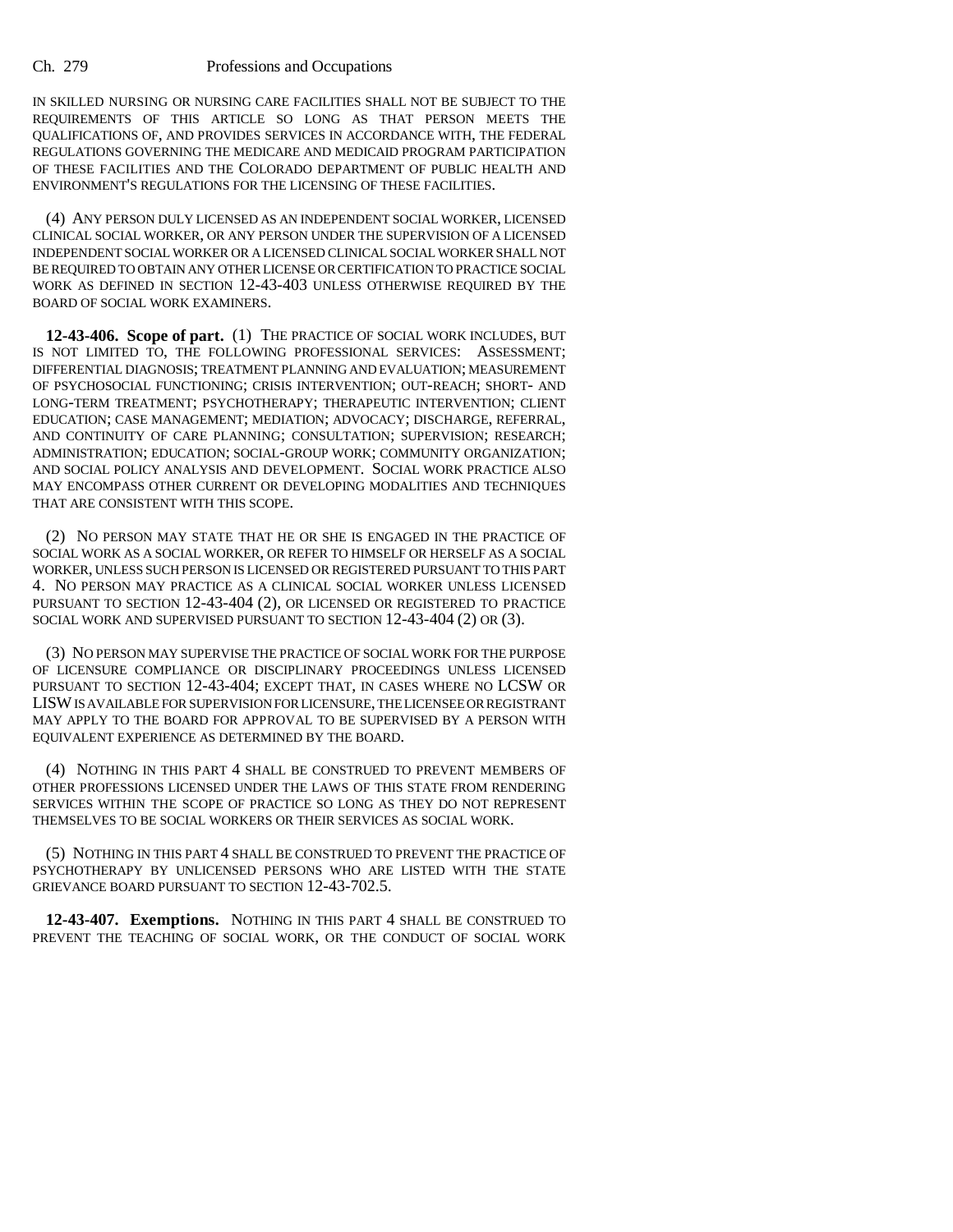IN SKILLED NURSING OR NURSING CARE FACILITIES SHALL NOT BE SUBJECT TO THE REQUIREMENTS OF THIS ARTICLE SO LONG AS THAT PERSON MEETS THE QUALIFICATIONS OF, AND PROVIDES SERVICES IN ACCORDANCE WITH, THE FEDERAL REGULATIONS GOVERNING THE MEDICARE AND MEDICAID PROGRAM PARTICIPATION OF THESE FACILITIES AND THE COLORADO DEPARTMENT OF PUBLIC HEALTH AND ENVIRONMENT'S REGULATIONS FOR THE LICENSING OF THESE FACILITIES.

(4) ANY PERSON DULY LICENSED AS AN INDEPENDENT SOCIAL WORKER, LICENSED CLINICAL SOCIAL WORKER, OR ANY PERSON UNDER THE SUPERVISION OF A LICENSED INDEPENDENT SOCIAL WORKER OR A LICENSED CLINICAL SOCIAL WORKER SHALL NOT BE REQUIRED TO OBTAIN ANY OTHER LICENSE OR CERTIFICATION TO PRACTICE SOCIAL WORK AS DEFINED IN SECTION 12-43-403 UNLESS OTHERWISE REQUIRED BY THE BOARD OF SOCIAL WORK EXAMINERS.

**12-43-406. Scope of part.** (1) THE PRACTICE OF SOCIAL WORK INCLUDES, BUT IS NOT LIMITED TO, THE FOLLOWING PROFESSIONAL SERVICES: ASSESSMENT; DIFFERENTIAL DIAGNOSIS; TREATMENT PLANNING AND EVALUATION; MEASUREMENT OF PSYCHOSOCIAL FUNCTIONING; CRISIS INTERVENTION; OUT-REACH; SHORT- AND LONG-TERM TREATMENT; PSYCHOTHERAPY; THERAPEUTIC INTERVENTION; CLIENT EDUCATION; CASE MANAGEMENT; MEDIATION; ADVOCACY; DISCHARGE, REFERRAL, AND CONTINUITY OF CARE PLANNING; CONSULTATION; SUPERVISION; RESEARCH; ADMINISTRATION; EDUCATION; SOCIAL-GROUP WORK; COMMUNITY ORGANIZATION; AND SOCIAL POLICY ANALYSIS AND DEVELOPMENT. SOCIAL WORK PRACTICE ALSO MAY ENCOMPASS OTHER CURRENT OR DEVELOPING MODALITIES AND TECHNIQUES THAT ARE CONSISTENT WITH THIS SCOPE.

(2) NO PERSON MAY STATE THAT HE OR SHE IS ENGAGED IN THE PRACTICE OF SOCIAL WORK AS A SOCIAL WORKER, OR REFER TO HIMSELF OR HERSELF AS A SOCIAL WORKER, UNLESS SUCH PERSON IS LICENSED OR REGISTERED PURSUANT TO THIS PART 4. NO PERSON MAY PRACTICE AS A CLINICAL SOCIAL WORKER UNLESS LICENSED PURSUANT TO SECTION 12-43-404 (2), OR LICENSED OR REGISTERED TO PRACTICE SOCIAL WORK AND SUPERVISED PURSUANT TO SECTION 12-43-404 (2) OR (3).

(3) NO PERSON MAY SUPERVISE THE PRACTICE OF SOCIAL WORK FOR THE PURPOSE OF LICENSURE COMPLIANCE OR DISCIPLINARY PROCEEDINGS UNLESS LICENSED PURSUANT TO SECTION 12-43-404; EXCEPT THAT, IN CASES WHERE NO LCSW OR LISW IS AVAILABLE FOR SUPERVISION FOR LICENSURE, THE LICENSEE OR REGISTRANT MAY APPLY TO THE BOARD FOR APPROVAL TO BE SUPERVISED BY A PERSON WITH EQUIVALENT EXPERIENCE AS DETERMINED BY THE BOARD.

(4) NOTHING IN THIS PART 4 SHALL BE CONSTRUED TO PREVENT MEMBERS OF OTHER PROFESSIONS LICENSED UNDER THE LAWS OF THIS STATE FROM RENDERING SERVICES WITHIN THE SCOPE OF PRACTICE SO LONG AS THEY DO NOT REPRESENT THEMSELVES TO BE SOCIAL WORKERS OR THEIR SERVICES AS SOCIAL WORK.

(5) NOTHING IN THIS PART 4 SHALL BE CONSTRUED TO PREVENT THE PRACTICE OF PSYCHOTHERAPY BY UNLICENSED PERSONS WHO ARE LISTED WITH THE STATE GRIEVANCE BOARD PURSUANT TO SECTION 12-43-702.5.

**12-43-407. Exemptions.** NOTHING IN THIS PART 4 SHALL BE CONSTRUED TO PREVENT THE TEACHING OF SOCIAL WORK, OR THE CONDUCT OF SOCIAL WORK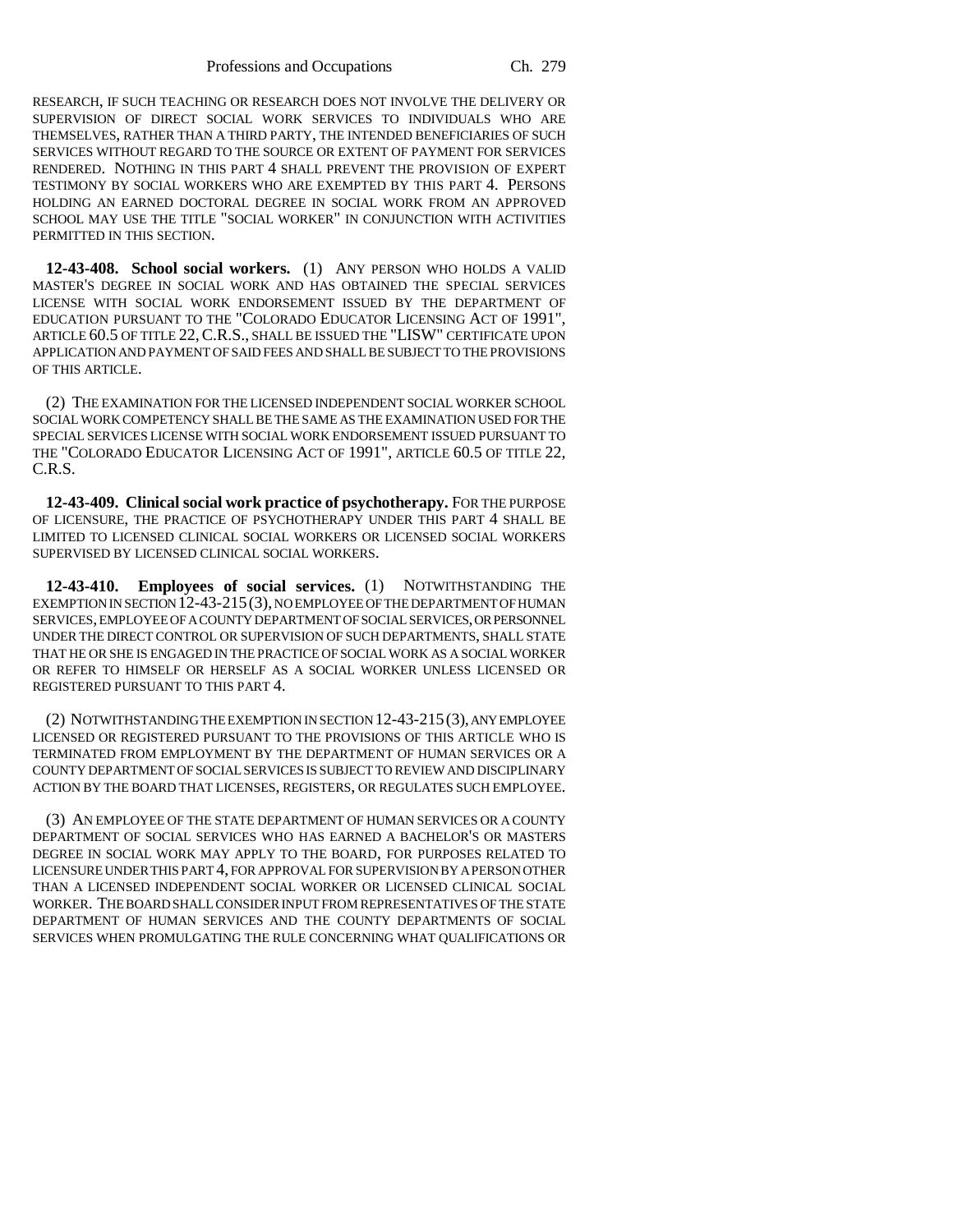RESEARCH, IF SUCH TEACHING OR RESEARCH DOES NOT INVOLVE THE DELIVERY OR SUPERVISION OF DIRECT SOCIAL WORK SERVICES TO INDIVIDUALS WHO ARE THEMSELVES, RATHER THAN A THIRD PARTY, THE INTENDED BENEFICIARIES OF SUCH SERVICES WITHOUT REGARD TO THE SOURCE OR EXTENT OF PAYMENT FOR SERVICES RENDERED. NOTHING IN THIS PART 4 SHALL PREVENT THE PROVISION OF EXPERT TESTIMONY BY SOCIAL WORKERS WHO ARE EXEMPTED BY THIS PART 4. PERSONS HOLDING AN EARNED DOCTORAL DEGREE IN SOCIAL WORK FROM AN APPROVED SCHOOL MAY USE THE TITLE "SOCIAL WORKER" IN CONJUNCTION WITH ACTIVITIES PERMITTED IN THIS SECTION.

**12-43-408. School social workers.** (1) ANY PERSON WHO HOLDS A VALID MASTER'S DEGREE IN SOCIAL WORK AND HAS OBTAINED THE SPECIAL SERVICES LICENSE WITH SOCIAL WORK ENDORSEMENT ISSUED BY THE DEPARTMENT OF EDUCATION PURSUANT TO THE "COLORADO EDUCATOR LICENSING ACT OF 1991", ARTICLE 60.5 OF TITLE 22, C.R.S., SHALL BE ISSUED THE "LISW" CERTIFICATE UPON APPLICATION AND PAYMENT OF SAID FEES AND SHALL BE SUBJECT TO THE PROVISIONS OF THIS ARTICLE.

(2) THE EXAMINATION FOR THE LICENSED INDEPENDENT SOCIAL WORKER SCHOOL SOCIAL WORK COMPETENCY SHALL BE THE SAME AS THE EXAMINATION USED FOR THE SPECIAL SERVICES LICENSE WITH SOCIAL WORK ENDORSEMENT ISSUED PURSUANT TO THE "COLORADO EDUCATOR LICENSING ACT OF 1991", ARTICLE 60.5 OF TITLE 22, C.R.S.

**12-43-409. Clinical social work practice of psychotherapy.** FOR THE PURPOSE OF LICENSURE, THE PRACTICE OF PSYCHOTHERAPY UNDER THIS PART 4 SHALL BE LIMITED TO LICENSED CLINICAL SOCIAL WORKERS OR LICENSED SOCIAL WORKERS SUPERVISED BY LICENSED CLINICAL SOCIAL WORKERS.

**12-43-410. Employees of social services.** (1) NOTWITHSTANDING THE EXEMPTION IN SECTION 12-43-215(3), NO EMPLOYEE OF THE DEPARTMENT OF HUMAN SERVICES, EMPLOYEE OF A COUNTY DEPARTMENT OF SOCIAL SERVICES, OR PERSONNEL UNDER THE DIRECT CONTROL OR SUPERVISION OF SUCH DEPARTMENTS, SHALL STATE THAT HE OR SHE IS ENGAGED IN THE PRACTICE OF SOCIAL WORK AS A SOCIAL WORKER OR REFER TO HIMSELF OR HERSELF AS A SOCIAL WORKER UNLESS LICENSED OR REGISTERED PURSUANT TO THIS PART 4.

(2) NOTWITHSTANDING THE EXEMPTION IN SECTION 12-43-215(3), ANY EMPLOYEE LICENSED OR REGISTERED PURSUANT TO THE PROVISIONS OF THIS ARTICLE WHO IS TERMINATED FROM EMPLOYMENT BY THE DEPARTMENT OF HUMAN SERVICES OR A COUNTY DEPARTMENT OF SOCIAL SERVICES IS SUBJECT TO REVIEW AND DISCIPLINARY ACTION BY THE BOARD THAT LICENSES, REGISTERS, OR REGULATES SUCH EMPLOYEE.

(3) AN EMPLOYEE OF THE STATE DEPARTMENT OF HUMAN SERVICES OR A COUNTY DEPARTMENT OF SOCIAL SERVICES WHO HAS EARNED A BACHELOR'S OR MASTERS DEGREE IN SOCIAL WORK MAY APPLY TO THE BOARD, FOR PURPOSES RELATED TO LICENSURE UNDER THIS PART 4, FOR APPROVAL FOR SUPERVISION BY A PERSON OTHER THAN A LICENSED INDEPENDENT SOCIAL WORKER OR LICENSED CLINICAL SOCIAL WORKER. THE BOARD SHALL CONSIDER INPUT FROM REPRESENTATIVES OF THE STATE DEPARTMENT OF HUMAN SERVICES AND THE COUNTY DEPARTMENTS OF SOCIAL SERVICES WHEN PROMULGATING THE RULE CONCERNING WHAT QUALIFICATIONS OR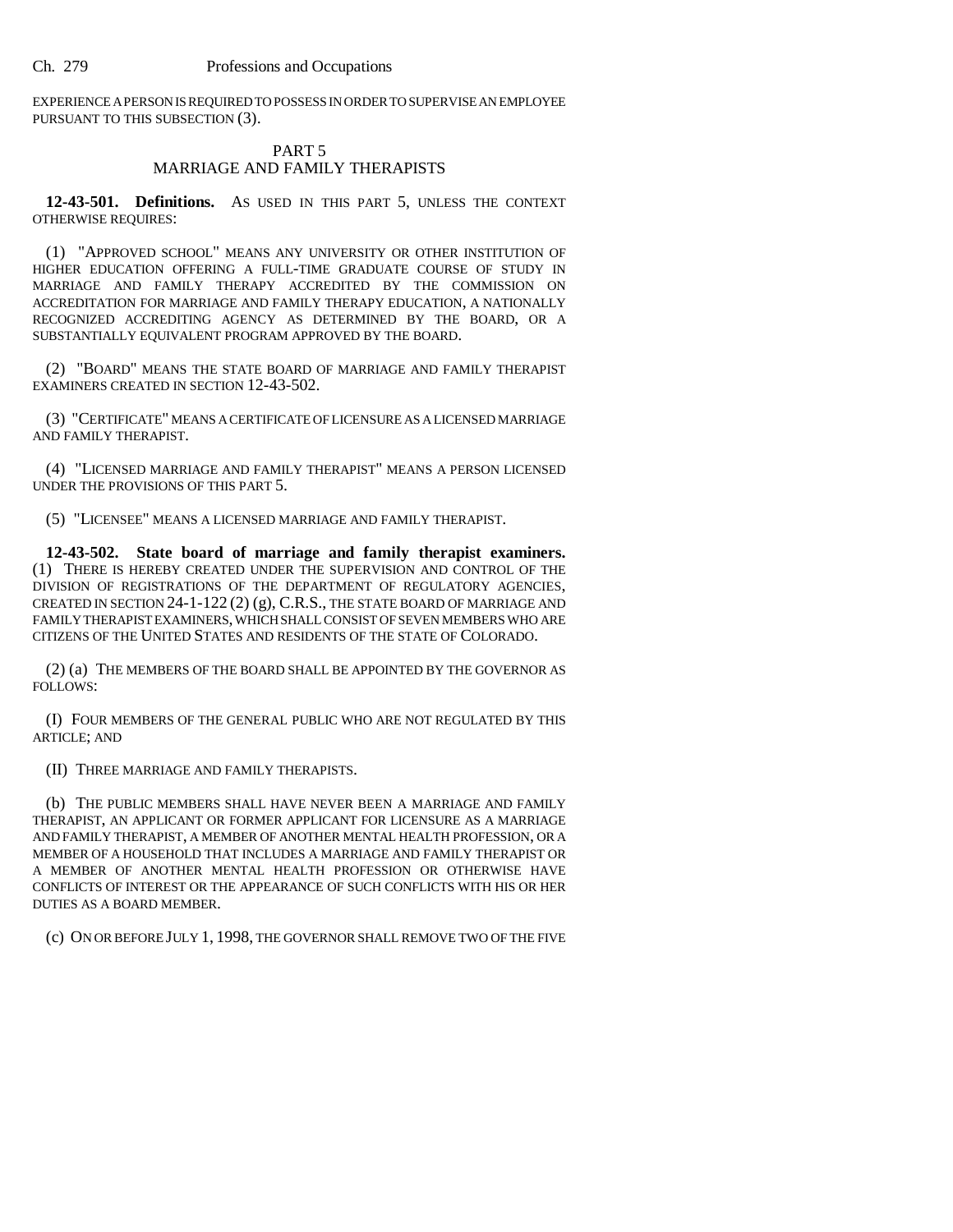EXPERIENCE A PERSON IS REQUIRED TO POSSESS IN ORDER TO SUPERVISE AN EMPLOYEE PURSUANT TO THIS SUBSECTION (3).

# PART 5 MARRIAGE AND FAMILY THERAPISTS

**12-43-501. Definitions.** AS USED IN THIS PART 5, UNLESS THE CONTEXT OTHERWISE REQUIRES:

(1) "APPROVED SCHOOL" MEANS ANY UNIVERSITY OR OTHER INSTITUTION OF HIGHER EDUCATION OFFERING A FULL-TIME GRADUATE COURSE OF STUDY IN MARRIAGE AND FAMILY THERAPY ACCREDITED BY THE COMMISSION ON ACCREDITATION FOR MARRIAGE AND FAMILY THERAPY EDUCATION, A NATIONALLY RECOGNIZED ACCREDITING AGENCY AS DETERMINED BY THE BOARD, OR A SUBSTANTIALLY EQUIVALENT PROGRAM APPROVED BY THE BOARD.

(2) "BOARD" MEANS THE STATE BOARD OF MARRIAGE AND FAMILY THERAPIST EXAMINERS CREATED IN SECTION 12-43-502.

(3) "CERTIFICATE" MEANS A CERTIFICATE OF LICENSURE AS A LICENSED MARRIAGE AND FAMILY THERAPIST.

(4) "LICENSED MARRIAGE AND FAMILY THERAPIST" MEANS A PERSON LICENSED UNDER THE PROVISIONS OF THIS PART 5.

(5) "LICENSEE" MEANS A LICENSED MARRIAGE AND FAMILY THERAPIST.

**12-43-502. State board of marriage and family therapist examiners.** (1) THERE IS HEREBY CREATED UNDER THE SUPERVISION AND CONTROL OF THE DIVISION OF REGISTRATIONS OF THE DEPARTMENT OF REGULATORY AGENCIES, CREATED IN SECTION 24-1-122 (2) (g), C.R.S., THE STATE BOARD OF MARRIAGE AND FAMILY THERAPIST EXAMINERS, WHICH SHALL CONSIST OF SEVEN MEMBERS WHO ARE CITIZENS OF THE UNITED STATES AND RESIDENTS OF THE STATE OF COLORADO.

(2) (a) THE MEMBERS OF THE BOARD SHALL BE APPOINTED BY THE GOVERNOR AS FOLLOWS:

(I) FOUR MEMBERS OF THE GENERAL PUBLIC WHO ARE NOT REGULATED BY THIS ARTICLE; AND

(II) THREE MARRIAGE AND FAMILY THERAPISTS.

(b) THE PUBLIC MEMBERS SHALL HAVE NEVER BEEN A MARRIAGE AND FAMILY THERAPIST, AN APPLICANT OR FORMER APPLICANT FOR LICENSURE AS A MARRIAGE AND FAMILY THERAPIST, A MEMBER OF ANOTHER MENTAL HEALTH PROFESSION, OR A MEMBER OF A HOUSEHOLD THAT INCLUDES A MARRIAGE AND FAMILY THERAPIST OR A MEMBER OF ANOTHER MENTAL HEALTH PROFESSION OR OTHERWISE HAVE CONFLICTS OF INTEREST OR THE APPEARANCE OF SUCH CONFLICTS WITH HIS OR HER DUTIES AS A BOARD MEMBER.

(c) ON OR BEFORE JULY 1, 1998, THE GOVERNOR SHALL REMOVE TWO OF THE FIVE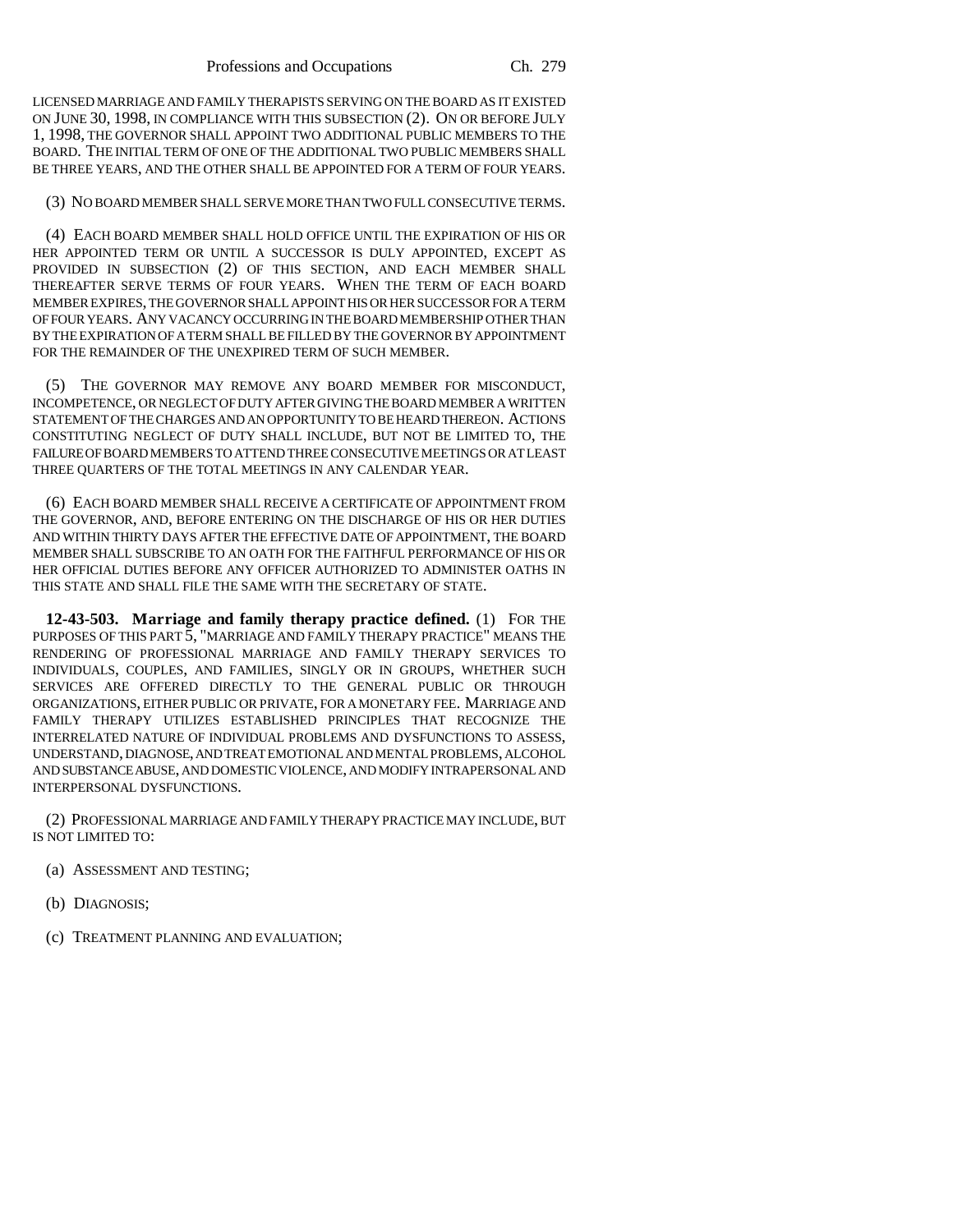LICENSED MARRIAGE AND FAMILY THERAPISTS SERVING ON THE BOARD AS IT EXISTED ON JUNE 30, 1998, IN COMPLIANCE WITH THIS SUBSECTION (2). ON OR BEFORE JULY 1, 1998, THE GOVERNOR SHALL APPOINT TWO ADDITIONAL PUBLIC MEMBERS TO THE BOARD. THE INITIAL TERM OF ONE OF THE ADDITIONAL TWO PUBLIC MEMBERS SHALL BE THREE YEARS, AND THE OTHER SHALL BE APPOINTED FOR A TERM OF FOUR YEARS.

#### (3) NO BOARD MEMBER SHALL SERVE MORE THAN TWO FULL CONSECUTIVE TERMS.

(4) EACH BOARD MEMBER SHALL HOLD OFFICE UNTIL THE EXPIRATION OF HIS OR HER APPOINTED TERM OR UNTIL A SUCCESSOR IS DULY APPOINTED, EXCEPT AS PROVIDED IN SUBSECTION (2) OF THIS SECTION, AND EACH MEMBER SHALL THEREAFTER SERVE TERMS OF FOUR YEARS. WHEN THE TERM OF EACH BOARD MEMBER EXPIRES, THE GOVERNOR SHALL APPOINT HIS OR HER SUCCESSOR FOR A TERM OF FOUR YEARS. ANY VACANCY OCCURRING IN THE BOARD MEMBERSHIP OTHER THAN BY THE EXPIRATION OF A TERM SHALL BE FILLED BY THE GOVERNOR BY APPOINTMENT FOR THE REMAINDER OF THE UNEXPIRED TERM OF SUCH MEMBER.

(5) THE GOVERNOR MAY REMOVE ANY BOARD MEMBER FOR MISCONDUCT, INCOMPETENCE, OR NEGLECT OF DUTY AFTER GIVING THE BOARD MEMBER A WRITTEN STATEMENT OF THE CHARGES AND AN OPPORTUNITY TO BE HEARD THEREON. ACTIONS CONSTITUTING NEGLECT OF DUTY SHALL INCLUDE, BUT NOT BE LIMITED TO, THE FAILURE OF BOARD MEMBERS TO ATTEND THREE CONSECUTIVE MEETINGS OR AT LEAST THREE QUARTERS OF THE TOTAL MEETINGS IN ANY CALENDAR YEAR.

(6) EACH BOARD MEMBER SHALL RECEIVE A CERTIFICATE OF APPOINTMENT FROM THE GOVERNOR, AND, BEFORE ENTERING ON THE DISCHARGE OF HIS OR HER DUTIES AND WITHIN THIRTY DAYS AFTER THE EFFECTIVE DATE OF APPOINTMENT, THE BOARD MEMBER SHALL SUBSCRIBE TO AN OATH FOR THE FAITHFUL PERFORMANCE OF HIS OR HER OFFICIAL DUTIES BEFORE ANY OFFICER AUTHORIZED TO ADMINISTER OATHS IN THIS STATE AND SHALL FILE THE SAME WITH THE SECRETARY OF STATE.

**12-43-503. Marriage and family therapy practice defined.** (1) FOR THE PURPOSES OF THIS PART 5, "MARRIAGE AND FAMILY THERAPY PRACTICE" MEANS THE RENDERING OF PROFESSIONAL MARRIAGE AND FAMILY THERAPY SERVICES TO INDIVIDUALS, COUPLES, AND FAMILIES, SINGLY OR IN GROUPS, WHETHER SUCH SERVICES ARE OFFERED DIRECTLY TO THE GENERAL PUBLIC OR THROUGH ORGANIZATIONS, EITHER PUBLIC OR PRIVATE, FOR A MONETARY FEE. MARRIAGE AND FAMILY THERAPY UTILIZES ESTABLISHED PRINCIPLES THAT RECOGNIZE THE INTERRELATED NATURE OF INDIVIDUAL PROBLEMS AND DYSFUNCTIONS TO ASSESS, UNDERSTAND, DIAGNOSE, AND TREAT EMOTIONAL AND MENTAL PROBLEMS, ALCOHOL AND SUBSTANCE ABUSE, AND DOMESTIC VIOLENCE, AND MODIFY INTRAPERSONAL AND INTERPERSONAL DYSFUNCTIONS.

(2) PROFESSIONAL MARRIAGE AND FAMILY THERAPY PRACTICE MAY INCLUDE, BUT IS NOT LIMITED TO:

- (a) ASSESSMENT AND TESTING;
- (b) DIAGNOSIS;
- (c) TREATMENT PLANNING AND EVALUATION;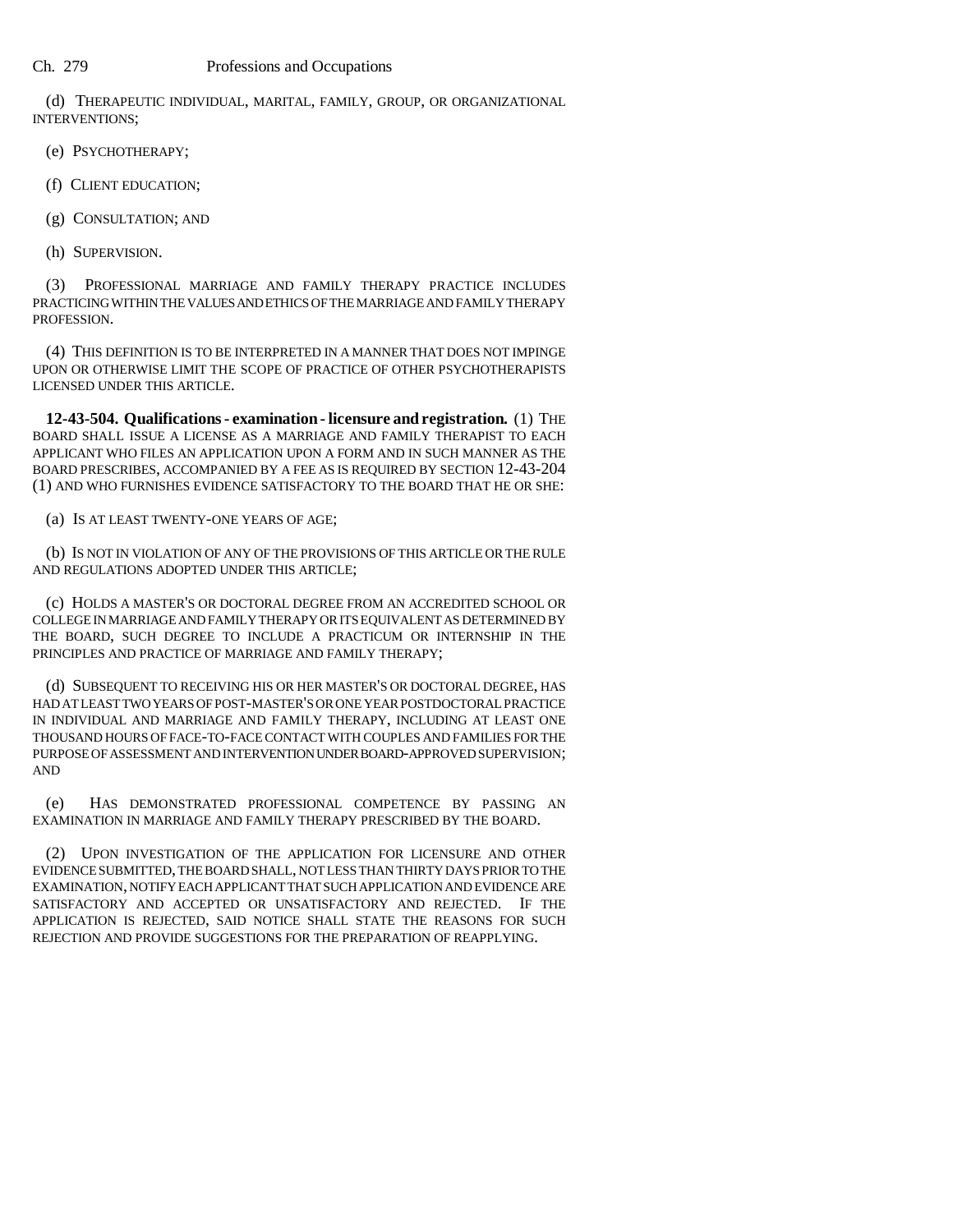(d) THERAPEUTIC INDIVIDUAL, MARITAL, FAMILY, GROUP, OR ORGANIZATIONAL INTERVENTIONS;

(e) PSYCHOTHERAPY;

(f) CLIENT EDUCATION;

(g) CONSULTATION; AND

(h) SUPERVISION.

(3) PROFESSIONAL MARRIAGE AND FAMILY THERAPY PRACTICE INCLUDES PRACTICING WITHIN THE VALUES AND ETHICS OF THE MARRIAGE AND FAMILY THERAPY PROFESSION.

(4) THIS DEFINITION IS TO BE INTERPRETED IN A MANNER THAT DOES NOT IMPINGE UPON OR OTHERWISE LIMIT THE SCOPE OF PRACTICE OF OTHER PSYCHOTHERAPISTS LICENSED UNDER THIS ARTICLE.

**12-43-504. Qualifications - examination - licensure and registration.** (1) THE BOARD SHALL ISSUE A LICENSE AS A MARRIAGE AND FAMILY THERAPIST TO EACH APPLICANT WHO FILES AN APPLICATION UPON A FORM AND IN SUCH MANNER AS THE BOARD PRESCRIBES, ACCOMPANIED BY A FEE AS IS REQUIRED BY SECTION 12-43-204 (1) AND WHO FURNISHES EVIDENCE SATISFACTORY TO THE BOARD THAT HE OR SHE:

(a) IS AT LEAST TWENTY-ONE YEARS OF AGE;

(b) IS NOT IN VIOLATION OF ANY OF THE PROVISIONS OF THIS ARTICLE OR THE RULE AND REGULATIONS ADOPTED UNDER THIS ARTICLE;

(c) HOLDS A MASTER'S OR DOCTORAL DEGREE FROM AN ACCREDITED SCHOOL OR COLLEGE IN MARRIAGE AND FAMILY THERAPY OR ITS EQUIVALENT AS DETERMINED BY THE BOARD, SUCH DEGREE TO INCLUDE A PRACTICUM OR INTERNSHIP IN THE PRINCIPLES AND PRACTICE OF MARRIAGE AND FAMILY THERAPY;

(d) SUBSEQUENT TO RECEIVING HIS OR HER MASTER'S OR DOCTORAL DEGREE, HAS HAD AT LEAST TWO YEARS OF POST-MASTER'S OR ONE YEAR POSTDOCTORAL PRACTICE IN INDIVIDUAL AND MARRIAGE AND FAMILY THERAPY, INCLUDING AT LEAST ONE THOUSAND HOURS OF FACE-TO-FACE CONTACT WITH COUPLES AND FAMILIES FOR THE PURPOSE OF ASSESSMENT AND INTERVENTION UNDER BOARD-APPROVED SUPERVISION; AND

(e) HAS DEMONSTRATED PROFESSIONAL COMPETENCE BY PASSING AN EXAMINATION IN MARRIAGE AND FAMILY THERAPY PRESCRIBED BY THE BOARD.

(2) UPON INVESTIGATION OF THE APPLICATION FOR LICENSURE AND OTHER EVIDENCE SUBMITTED, THE BOARD SHALL, NOT LESS THAN THIRTY DAYS PRIOR TO THE EXAMINATION, NOTIFY EACH APPLICANT THAT SUCH APPLICATION AND EVIDENCE ARE SATISFACTORY AND ACCEPTED OR UNSATISFACTORY AND REJECTED. IF THE APPLICATION IS REJECTED, SAID NOTICE SHALL STATE THE REASONS FOR SUCH REJECTION AND PROVIDE SUGGESTIONS FOR THE PREPARATION OF REAPPLYING.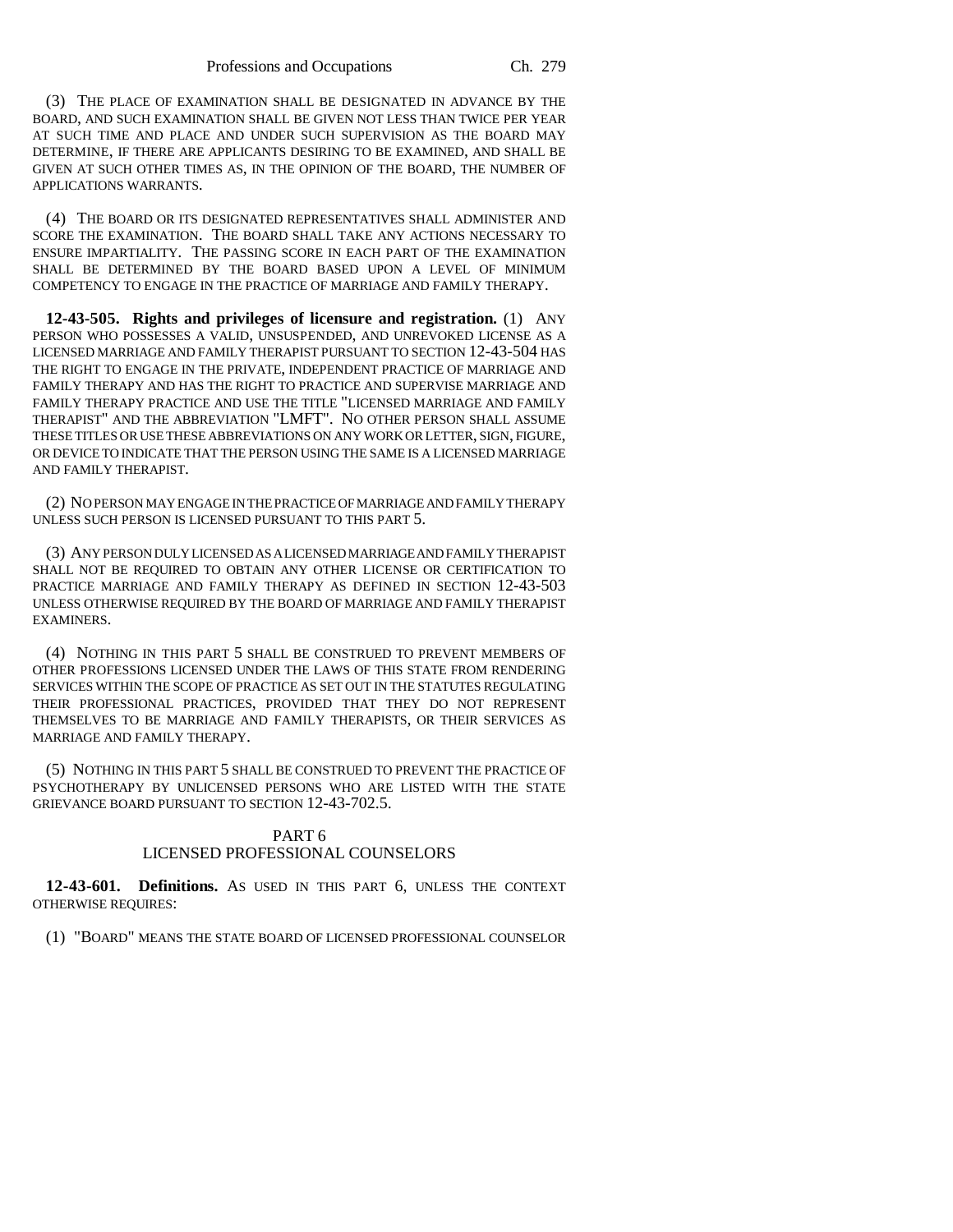(3) THE PLACE OF EXAMINATION SHALL BE DESIGNATED IN ADVANCE BY THE BOARD, AND SUCH EXAMINATION SHALL BE GIVEN NOT LESS THAN TWICE PER YEAR AT SUCH TIME AND PLACE AND UNDER SUCH SUPERVISION AS THE BOARD MAY DETERMINE, IF THERE ARE APPLICANTS DESIRING TO BE EXAMINED, AND SHALL BE GIVEN AT SUCH OTHER TIMES AS, IN THE OPINION OF THE BOARD, THE NUMBER OF APPLICATIONS WARRANTS.

(4) THE BOARD OR ITS DESIGNATED REPRESENTATIVES SHALL ADMINISTER AND SCORE THE EXAMINATION. THE BOARD SHALL TAKE ANY ACTIONS NECESSARY TO ENSURE IMPARTIALITY. THE PASSING SCORE IN EACH PART OF THE EXAMINATION SHALL BE DETERMINED BY THE BOARD BASED UPON A LEVEL OF MINIMUM COMPETENCY TO ENGAGE IN THE PRACTICE OF MARRIAGE AND FAMILY THERAPY.

**12-43-505. Rights and privileges of licensure and registration.** (1) ANY PERSON WHO POSSESSES A VALID, UNSUSPENDED, AND UNREVOKED LICENSE AS A LICENSED MARRIAGE AND FAMILY THERAPIST PURSUANT TO SECTION 12-43-504 HAS THE RIGHT TO ENGAGE IN THE PRIVATE, INDEPENDENT PRACTICE OF MARRIAGE AND FAMILY THERAPY AND HAS THE RIGHT TO PRACTICE AND SUPERVISE MARRIAGE AND FAMILY THERAPY PRACTICE AND USE THE TITLE "LICENSED MARRIAGE AND FAMILY THERAPIST" AND THE ABBREVIATION "LMFT". NO OTHER PERSON SHALL ASSUME THESE TITLES OR USE THESE ABBREVIATIONS ON ANY WORK OR LETTER, SIGN, FIGURE, OR DEVICE TO INDICATE THAT THE PERSON USING THE SAME IS A LICENSED MARRIAGE AND FAMILY THERAPIST.

(2) NO PERSON MAY ENGAGE IN THE PRACTICE OF MARRIAGE AND FAMILY THERAPY UNLESS SUCH PERSON IS LICENSED PURSUANT TO THIS PART 5.

(3) ANY PERSON DULY LICENSED AS A LICENSED MARRIAGE AND FAMILY THERAPIST SHALL NOT BE REQUIRED TO OBTAIN ANY OTHER LICENSE OR CERTIFICATION TO PRACTICE MARRIAGE AND FAMILY THERAPY AS DEFINED IN SECTION 12-43-503 UNLESS OTHERWISE REQUIRED BY THE BOARD OF MARRIAGE AND FAMILY THERAPIST EXAMINERS.

(4) NOTHING IN THIS PART 5 SHALL BE CONSTRUED TO PREVENT MEMBERS OF OTHER PROFESSIONS LICENSED UNDER THE LAWS OF THIS STATE FROM RENDERING SERVICES WITHIN THE SCOPE OF PRACTICE AS SET OUT IN THE STATUTES REGULATING THEIR PROFESSIONAL PRACTICES, PROVIDED THAT THEY DO NOT REPRESENT THEMSELVES TO BE MARRIAGE AND FAMILY THERAPISTS, OR THEIR SERVICES AS MARRIAGE AND FAMILY THERAPY.

(5) NOTHING IN THIS PART 5 SHALL BE CONSTRUED TO PREVENT THE PRACTICE OF PSYCHOTHERAPY BY UNLICENSED PERSONS WHO ARE LISTED WITH THE STATE GRIEVANCE BOARD PURSUANT TO SECTION 12-43-702.5.

# PART 6 LICENSED PROFESSIONAL COUNSELORS

**12-43-601. Definitions.** AS USED IN THIS PART 6, UNLESS THE CONTEXT OTHERWISE REQUIRES:

(1) "BOARD" MEANS THE STATE BOARD OF LICENSED PROFESSIONAL COUNSELOR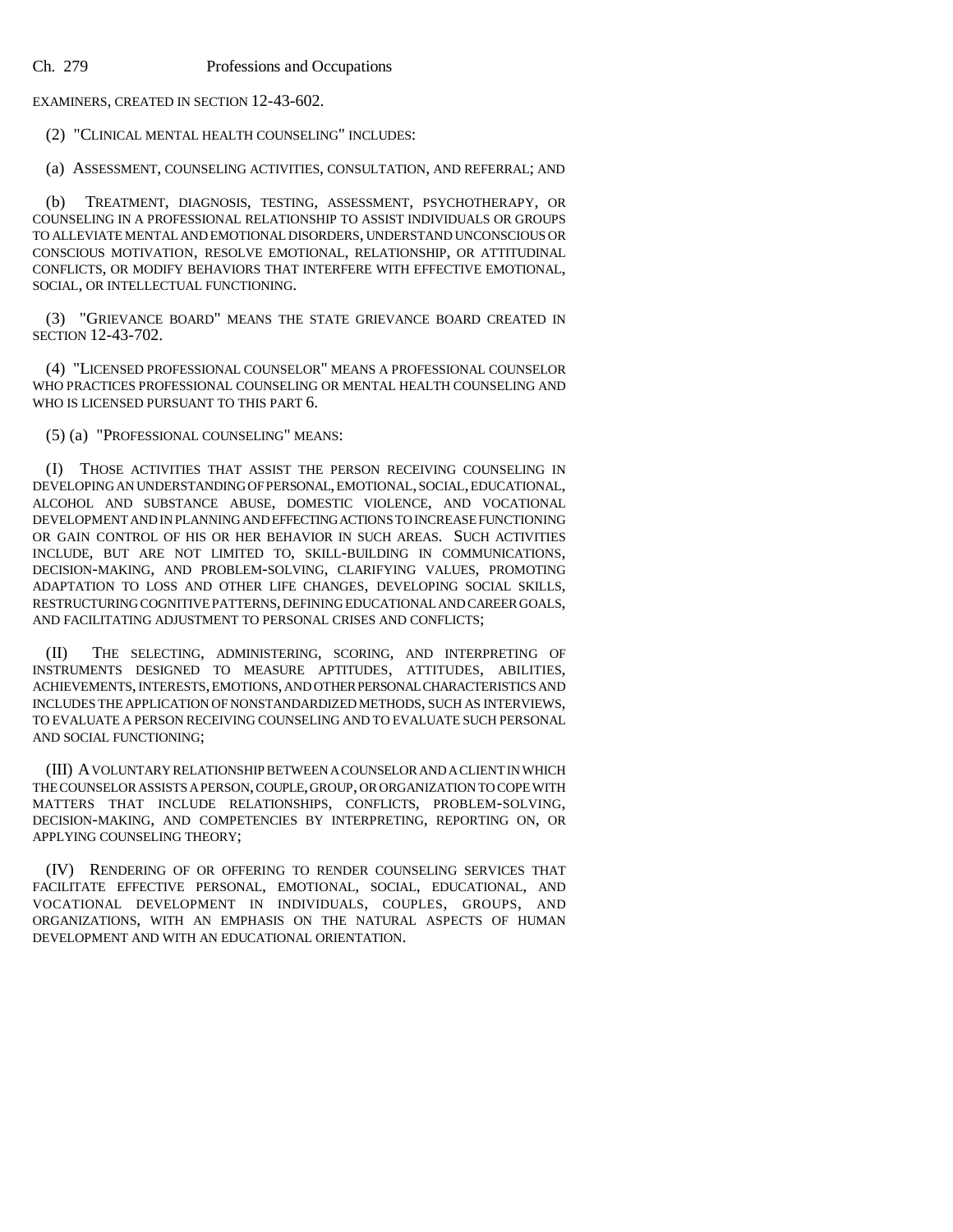EXAMINERS, CREATED IN SECTION 12-43-602.

(2) "CLINICAL MENTAL HEALTH COUNSELING" INCLUDES:

(a) ASSESSMENT, COUNSELING ACTIVITIES, CONSULTATION, AND REFERRAL; AND

(b) TREATMENT, DIAGNOSIS, TESTING, ASSESSMENT, PSYCHOTHERAPY, OR COUNSELING IN A PROFESSIONAL RELATIONSHIP TO ASSIST INDIVIDUALS OR GROUPS TO ALLEVIATE MENTAL AND EMOTIONAL DISORDERS, UNDERSTAND UNCONSCIOUS OR CONSCIOUS MOTIVATION, RESOLVE EMOTIONAL, RELATIONSHIP, OR ATTITUDINAL CONFLICTS, OR MODIFY BEHAVIORS THAT INTERFERE WITH EFFECTIVE EMOTIONAL, SOCIAL, OR INTELLECTUAL FUNCTIONING.

(3) "GRIEVANCE BOARD" MEANS THE STATE GRIEVANCE BOARD CREATED IN SECTION 12-43-702.

(4) "LICENSED PROFESSIONAL COUNSELOR" MEANS A PROFESSIONAL COUNSELOR WHO PRACTICES PROFESSIONAL COUNSELING OR MENTAL HEALTH COUNSELING AND WHO IS LICENSED PURSUANT TO THIS PART 6.

(5) (a) "PROFESSIONAL COUNSELING" MEANS:

(I) THOSE ACTIVITIES THAT ASSIST THE PERSON RECEIVING COUNSELING IN DEVELOPING AN UNDERSTANDING OF PERSONAL, EMOTIONAL, SOCIAL, EDUCATIONAL, ALCOHOL AND SUBSTANCE ABUSE, DOMESTIC VIOLENCE, AND VOCATIONAL DEVELOPMENT AND IN PLANNING AND EFFECTING ACTIONS TO INCREASE FUNCTIONING OR GAIN CONTROL OF HIS OR HER BEHAVIOR IN SUCH AREAS. SUCH ACTIVITIES INCLUDE, BUT ARE NOT LIMITED TO, SKILL-BUILDING IN COMMUNICATIONS, DECISION-MAKING, AND PROBLEM-SOLVING, CLARIFYING VALUES, PROMOTING ADAPTATION TO LOSS AND OTHER LIFE CHANGES, DEVELOPING SOCIAL SKILLS, RESTRUCTURING COGNITIVE PATTERNS, DEFINING EDUCATIONAL AND CAREER GOALS, AND FACILITATING ADJUSTMENT TO PERSONAL CRISES AND CONFLICTS;

(II) THE SELECTING, ADMINISTERING, SCORING, AND INTERPRETING OF INSTRUMENTS DESIGNED TO MEASURE APTITUDES, ATTITUDES, ABILITIES, ACHIEVEMENTS, INTERESTS, EMOTIONS, AND OTHER PERSONAL CHARACTERISTICS AND INCLUDES THE APPLICATION OF NONSTANDARDIZED METHODS, SUCH AS INTERVIEWS, TO EVALUATE A PERSON RECEIVING COUNSELING AND TO EVALUATE SUCH PERSONAL AND SOCIAL FUNCTIONING;

(III) A VOLUNTARY RELATIONSHIP BETWEEN A COUNSELOR AND A CLIENT IN WHICH THE COUNSELOR ASSISTS A PERSON, COUPLE, GROUP, OR ORGANIZATION TO COPE WITH MATTERS THAT INCLUDE RELATIONSHIPS, CONFLICTS, PROBLEM-SOLVING, DECISION-MAKING, AND COMPETENCIES BY INTERPRETING, REPORTING ON, OR APPLYING COUNSELING THEORY;

(IV) RENDERING OF OR OFFERING TO RENDER COUNSELING SERVICES THAT FACILITATE EFFECTIVE PERSONAL, EMOTIONAL, SOCIAL, EDUCATIONAL, AND VOCATIONAL DEVELOPMENT IN INDIVIDUALS, COUPLES, GROUPS, AND ORGANIZATIONS, WITH AN EMPHASIS ON THE NATURAL ASPECTS OF HUMAN DEVELOPMENT AND WITH AN EDUCATIONAL ORIENTATION.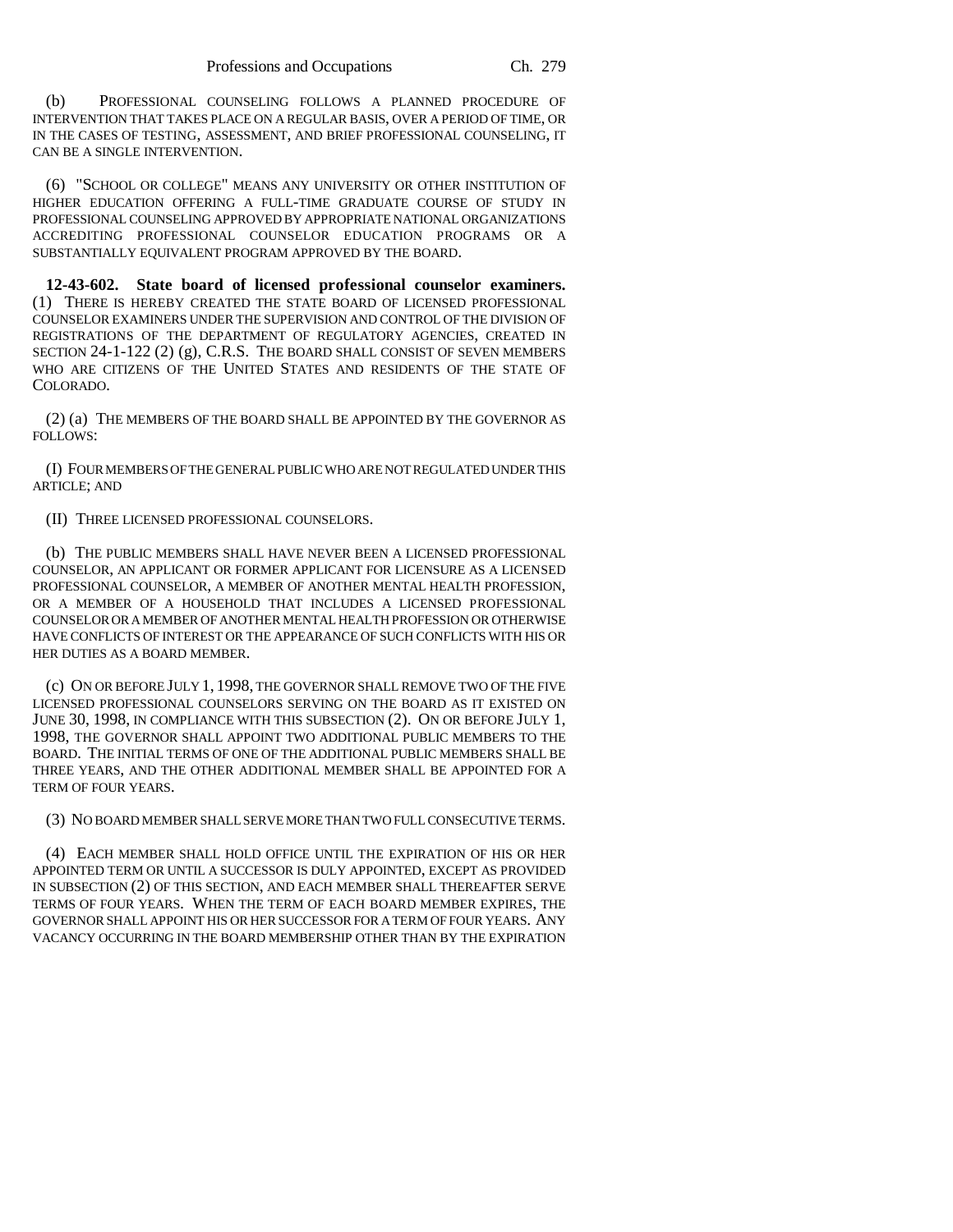(b) PROFESSIONAL COUNSELING FOLLOWS A PLANNED PROCEDURE OF INTERVENTION THAT TAKES PLACE ON A REGULAR BASIS, OVER A PERIOD OF TIME, OR IN THE CASES OF TESTING, ASSESSMENT, AND BRIEF PROFESSIONAL COUNSELING, IT CAN BE A SINGLE INTERVENTION.

(6) "SCHOOL OR COLLEGE" MEANS ANY UNIVERSITY OR OTHER INSTITUTION OF HIGHER EDUCATION OFFERING A FULL-TIME GRADUATE COURSE OF STUDY IN PROFESSIONAL COUNSELING APPROVED BY APPROPRIATE NATIONAL ORGANIZATIONS ACCREDITING PROFESSIONAL COUNSELOR EDUCATION PROGRAMS OR A SUBSTANTIALLY EQUIVALENT PROGRAM APPROVED BY THE BOARD.

**12-43-602. State board of licensed professional counselor examiners.** (1) THERE IS HEREBY CREATED THE STATE BOARD OF LICENSED PROFESSIONAL COUNSELOR EXAMINERS UNDER THE SUPERVISION AND CONTROL OF THE DIVISION OF REGISTRATIONS OF THE DEPARTMENT OF REGULATORY AGENCIES, CREATED IN SECTION 24-1-122 (2) (g), C.R.S. THE BOARD SHALL CONSIST OF SEVEN MEMBERS WHO ARE CITIZENS OF THE UNITED STATES AND RESIDENTS OF THE STATE OF COLORADO.

(2) (a) THE MEMBERS OF THE BOARD SHALL BE APPOINTED BY THE GOVERNOR AS FOLLOWS:

(I) FOUR MEMBERS OF THE GENERAL PUBLIC WHO ARE NOT REGULATED UNDER THIS ARTICLE; AND

(II) THREE LICENSED PROFESSIONAL COUNSELORS.

(b) THE PUBLIC MEMBERS SHALL HAVE NEVER BEEN A LICENSED PROFESSIONAL COUNSELOR, AN APPLICANT OR FORMER APPLICANT FOR LICENSURE AS A LICENSED PROFESSIONAL COUNSELOR, A MEMBER OF ANOTHER MENTAL HEALTH PROFESSION, OR A MEMBER OF A HOUSEHOLD THAT INCLUDES A LICENSED PROFESSIONAL COUNSELOR OR A MEMBER OF ANOTHER MENTAL HEALTH PROFESSION OR OTHERWISE HAVE CONFLICTS OF INTEREST OR THE APPEARANCE OF SUCH CONFLICTS WITH HIS OR HER DUTIES AS A BOARD MEMBER.

(c) ON OR BEFORE JULY 1, 1998, THE GOVERNOR SHALL REMOVE TWO OF THE FIVE LICENSED PROFESSIONAL COUNSELORS SERVING ON THE BOARD AS IT EXISTED ON JUNE 30, 1998, IN COMPLIANCE WITH THIS SUBSECTION (2). ON OR BEFORE JULY 1, 1998, THE GOVERNOR SHALL APPOINT TWO ADDITIONAL PUBLIC MEMBERS TO THE BOARD. THE INITIAL TERMS OF ONE OF THE ADDITIONAL PUBLIC MEMBERS SHALL BE THREE YEARS, AND THE OTHER ADDITIONAL MEMBER SHALL BE APPOINTED FOR A TERM OF FOUR YEARS.

(3) NO BOARD MEMBER SHALL SERVE MORE THAN TWO FULL CONSECUTIVE TERMS.

(4) EACH MEMBER SHALL HOLD OFFICE UNTIL THE EXPIRATION OF HIS OR HER APPOINTED TERM OR UNTIL A SUCCESSOR IS DULY APPOINTED, EXCEPT AS PROVIDED IN SUBSECTION (2) OF THIS SECTION, AND EACH MEMBER SHALL THEREAFTER SERVE TERMS OF FOUR YEARS. WHEN THE TERM OF EACH BOARD MEMBER EXPIRES, THE GOVERNOR SHALL APPOINT HIS OR HER SUCCESSOR FOR A TERM OF FOUR YEARS. ANY VACANCY OCCURRING IN THE BOARD MEMBERSHIP OTHER THAN BY THE EXPIRATION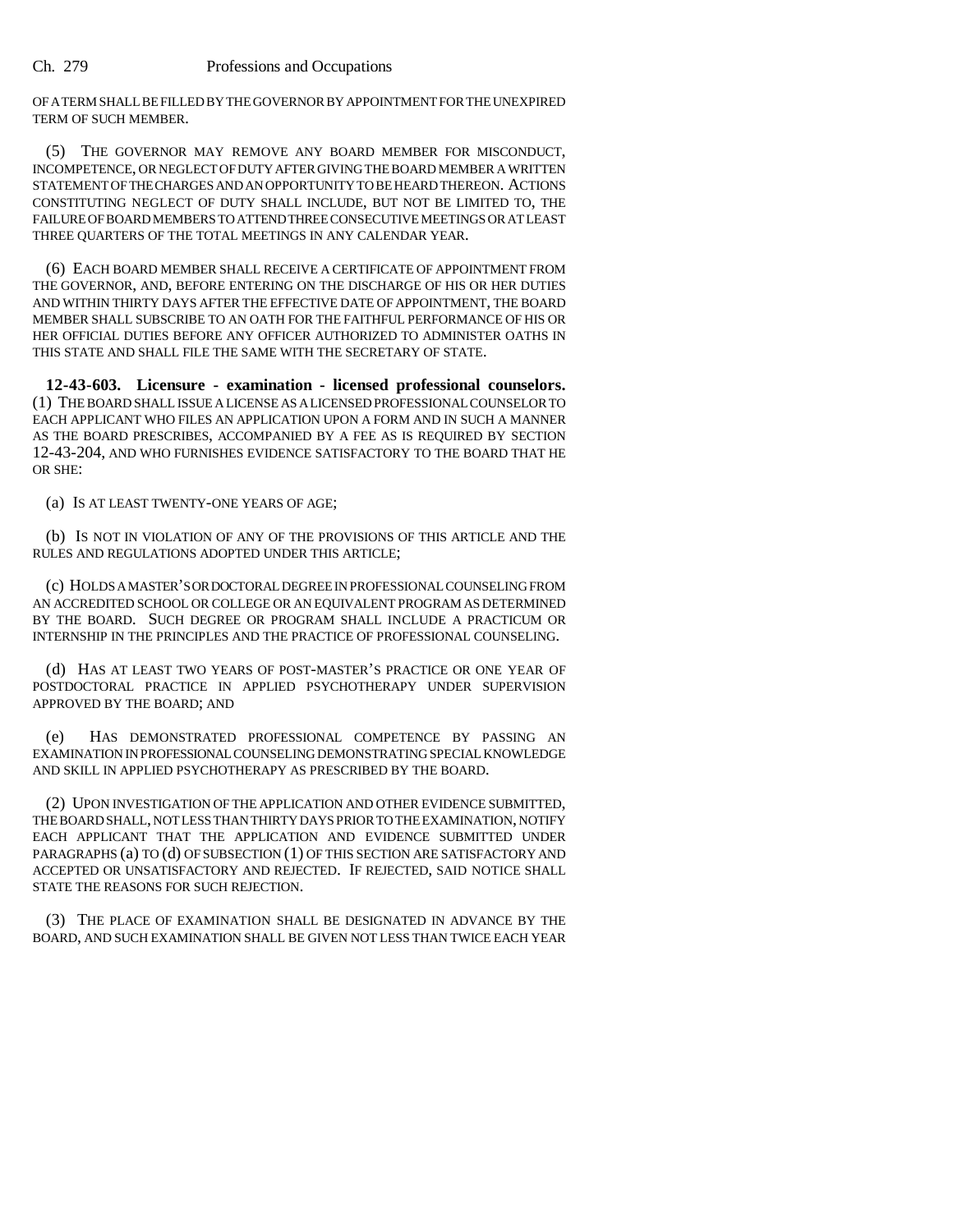OF A TERM SHALL BE FILLED BY THE GOVERNOR BY APPOINTMENT FOR THE UNEXPIRED TERM OF SUCH MEMBER.

(5) THE GOVERNOR MAY REMOVE ANY BOARD MEMBER FOR MISCONDUCT, INCOMPETENCE, OR NEGLECT OF DUTY AFTER GIVING THE BOARD MEMBER A WRITTEN STATEMENT OF THE CHARGES AND AN OPPORTUNITY TO BE HEARD THEREON. ACTIONS CONSTITUTING NEGLECT OF DUTY SHALL INCLUDE, BUT NOT BE LIMITED TO, THE FAILURE OF BOARD MEMBERS TO ATTEND THREE CONSECUTIVE MEETINGS OR AT LEAST THREE QUARTERS OF THE TOTAL MEETINGS IN ANY CALENDAR YEAR.

(6) EACH BOARD MEMBER SHALL RECEIVE A CERTIFICATE OF APPOINTMENT FROM THE GOVERNOR, AND, BEFORE ENTERING ON THE DISCHARGE OF HIS OR HER DUTIES AND WITHIN THIRTY DAYS AFTER THE EFFECTIVE DATE OF APPOINTMENT, THE BOARD MEMBER SHALL SUBSCRIBE TO AN OATH FOR THE FAITHFUL PERFORMANCE OF HIS OR HER OFFICIAL DUTIES BEFORE ANY OFFICER AUTHORIZED TO ADMINISTER OATHS IN THIS STATE AND SHALL FILE THE SAME WITH THE SECRETARY OF STATE.

**12-43-603. Licensure - examination - licensed professional counselors.** (1) THE BOARD SHALL ISSUE A LICENSE AS A LICENSED PROFESSIONAL COUNSELOR TO EACH APPLICANT WHO FILES AN APPLICATION UPON A FORM AND IN SUCH A MANNER AS THE BOARD PRESCRIBES, ACCOMPANIED BY A FEE AS IS REQUIRED BY SECTION 12-43-204, AND WHO FURNISHES EVIDENCE SATISFACTORY TO THE BOARD THAT HE OR SHE:

(a) IS AT LEAST TWENTY-ONE YEARS OF AGE;

(b) IS NOT IN VIOLATION OF ANY OF THE PROVISIONS OF THIS ARTICLE AND THE RULES AND REGULATIONS ADOPTED UNDER THIS ARTICLE;

(c) HOLDS A MASTER'S OR DOCTORAL DEGREE IN PROFESSIONAL COUNSELING FROM AN ACCREDITED SCHOOL OR COLLEGE OR AN EQUIVALENT PROGRAM AS DETERMINED BY THE BOARD. SUCH DEGREE OR PROGRAM SHALL INCLUDE A PRACTICUM OR INTERNSHIP IN THE PRINCIPLES AND THE PRACTICE OF PROFESSIONAL COUNSELING.

(d) HAS AT LEAST TWO YEARS OF POST-MASTER'S PRACTICE OR ONE YEAR OF POSTDOCTORAL PRACTICE IN APPLIED PSYCHOTHERAPY UNDER SUPERVISION APPROVED BY THE BOARD; AND

(e) HAS DEMONSTRATED PROFESSIONAL COMPETENCE BY PASSING AN EXAMINATION IN PROFESSIONAL COUNSELING DEMONSTRATING SPECIAL KNOWLEDGE AND SKILL IN APPLIED PSYCHOTHERAPY AS PRESCRIBED BY THE BOARD.

(2) UPON INVESTIGATION OF THE APPLICATION AND OTHER EVIDENCE SUBMITTED, THE BOARD SHALL, NOT LESS THAN THIRTY DAYS PRIOR TO THE EXAMINATION, NOTIFY EACH APPLICANT THAT THE APPLICATION AND EVIDENCE SUBMITTED UNDER PARAGRAPHS (a) TO (d) OF SUBSECTION (1) OF THIS SECTION ARE SATISFACTORY AND ACCEPTED OR UNSATISFACTORY AND REJECTED. IF REJECTED, SAID NOTICE SHALL STATE THE REASONS FOR SUCH REJECTION.

(3) THE PLACE OF EXAMINATION SHALL BE DESIGNATED IN ADVANCE BY THE BOARD, AND SUCH EXAMINATION SHALL BE GIVEN NOT LESS THAN TWICE EACH YEAR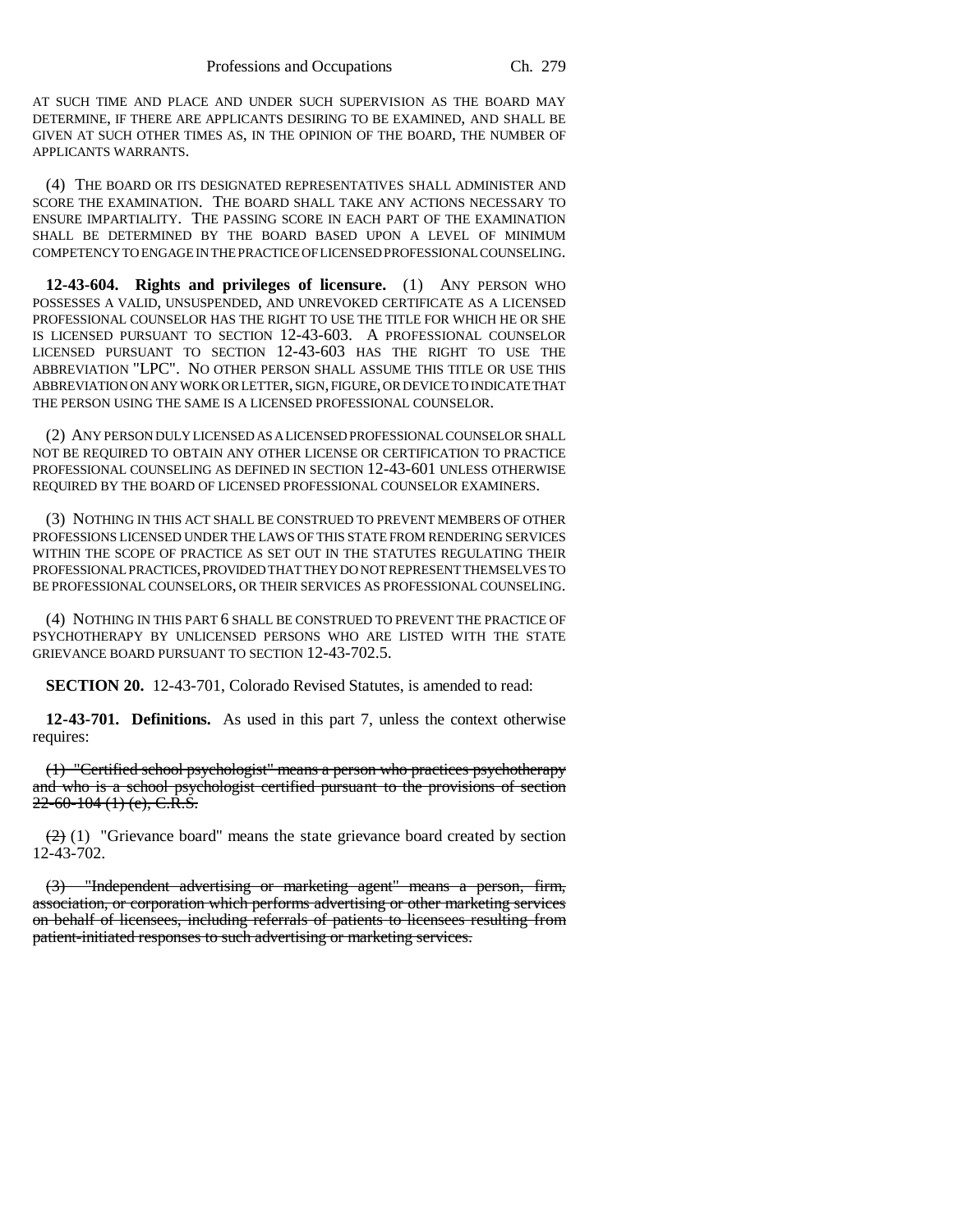AT SUCH TIME AND PLACE AND UNDER SUCH SUPERVISION AS THE BOARD MAY DETERMINE, IF THERE ARE APPLICANTS DESIRING TO BE EXAMINED, AND SHALL BE GIVEN AT SUCH OTHER TIMES AS, IN THE OPINION OF THE BOARD, THE NUMBER OF APPLICANTS WARRANTS.

(4) THE BOARD OR ITS DESIGNATED REPRESENTATIVES SHALL ADMINISTER AND SCORE THE EXAMINATION. THE BOARD SHALL TAKE ANY ACTIONS NECESSARY TO ENSURE IMPARTIALITY. THE PASSING SCORE IN EACH PART OF THE EXAMINATION SHALL BE DETERMINED BY THE BOARD BASED UPON A LEVEL OF MINIMUM COMPETENCY TO ENGAGE IN THE PRACTICE OF LICENSED PROFESSIONAL COUNSELING.

**12-43-604. Rights and privileges of licensure.** (1) ANY PERSON WHO POSSESSES A VALID, UNSUSPENDED, AND UNREVOKED CERTIFICATE AS A LICENSED PROFESSIONAL COUNSELOR HAS THE RIGHT TO USE THE TITLE FOR WHICH HE OR SHE IS LICENSED PURSUANT TO SECTION 12-43-603. A PROFESSIONAL COUNSELOR LICENSED PURSUANT TO SECTION 12-43-603 HAS THE RIGHT TO USE THE ABBREVIATION "LPC". NO OTHER PERSON SHALL ASSUME THIS TITLE OR USE THIS ABBREVIATION ON ANY WORK OR LETTER, SIGN, FIGURE, OR DEVICE TO INDICATE THAT THE PERSON USING THE SAME IS A LICENSED PROFESSIONAL COUNSELOR.

(2) ANY PERSON DULY LICENSED AS A LICENSED PROFESSIONAL COUNSELOR SHALL NOT BE REQUIRED TO OBTAIN ANY OTHER LICENSE OR CERTIFICATION TO PRACTICE PROFESSIONAL COUNSELING AS DEFINED IN SECTION 12-43-601 UNLESS OTHERWISE REQUIRED BY THE BOARD OF LICENSED PROFESSIONAL COUNSELOR EXAMINERS.

(3) NOTHING IN THIS ACT SHALL BE CONSTRUED TO PREVENT MEMBERS OF OTHER PROFESSIONS LICENSED UNDER THE LAWS OF THIS STATE FROM RENDERING SERVICES WITHIN THE SCOPE OF PRACTICE AS SET OUT IN THE STATUTES REGULATING THEIR PROFESSIONAL PRACTICES, PROVIDED THAT THEY DO NOT REPRESENT THEMSELVES TO BE PROFESSIONAL COUNSELORS, OR THEIR SERVICES AS PROFESSIONAL COUNSELING.

(4) NOTHING IN THIS PART 6 SHALL BE CONSTRUED TO PREVENT THE PRACTICE OF PSYCHOTHERAPY BY UNLICENSED PERSONS WHO ARE LISTED WITH THE STATE GRIEVANCE BOARD PURSUANT TO SECTION 12-43-702.5.

**SECTION 20.** 12-43-701, Colorado Revised Statutes, is amended to read:

**12-43-701. Definitions.** As used in this part 7, unless the context otherwise requires:

(1) "Certified school psychologist" means a person who practices psychotherapy and who is a school psychologist certified pursuant to the provisions of section  $22-60-104(1)$  (e), C.R.S.

 $(2)$  (1) "Grievance board" means the state grievance board created by section 12-43-702.

(3) "Independent advertising or marketing agent" means a person, firm, association, or corporation which performs advertising or other marketing services on behalf of licensees, including referrals of patients to licensees resulting from patient-initiated responses to such advertising or marketing services.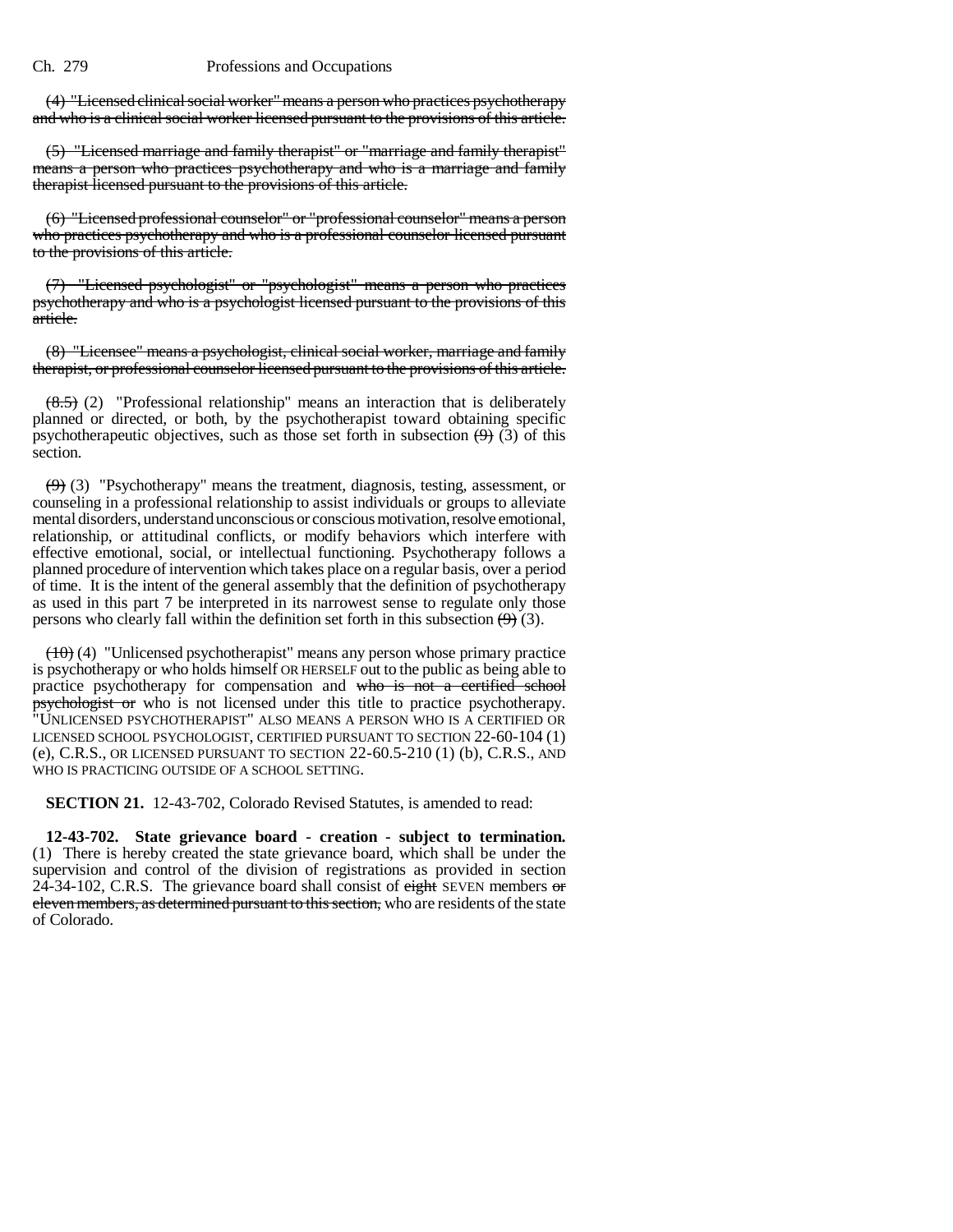(4) "Licensed clinical social worker" means a person who practices psychotherapy and who is a clinical social worker licensed pursuant to the provisions of this article.

(5) "Licensed marriage and family therapist" or "marriage and family therapist" means a person who practices psychotherapy and who is a marriage and family therapist licensed pursuant to the provisions of this article.

(6) "Licensed professional counselor" or "professional counselor" means a person who practices psychotherapy and who is a professional counselor licensed pursuant to the provisions of this article.

(7) "Licensed psychologist" or "psychologist" means a person who practices psychotherapy and who is a psychologist licensed pursuant to the provisions of this article.

(8) "Licensee" means a psychologist, clinical social worker, marriage and family therapist, or professional counselor licensed pursuant to the provisions of this article.

 $(8.5)$  (2) "Professional relationship" means an interaction that is deliberately planned or directed, or both, by the psychotherapist toward obtaining specific psychotherapeutic objectives, such as those set forth in subsection  $(9)$  (3) of this section.

 $(9)$  (3) "Psychotherapy" means the treatment, diagnosis, testing, assessment, or counseling in a professional relationship to assist individuals or groups to alleviate mental disorders, understand unconscious or conscious motivation, resolve emotional, relationship, or attitudinal conflicts, or modify behaviors which interfere with effective emotional, social, or intellectual functioning. Psychotherapy follows a planned procedure of intervention which takes place on a regular basis, over a period of time. It is the intent of the general assembly that the definition of psychotherapy as used in this part 7 be interpreted in its narrowest sense to regulate only those persons who clearly fall within the definition set forth in this subsection  $(9)$  (3).

 $(10)$  (4) "Unlicensed psychotherapist" means any person whose primary practice is psychotherapy or who holds himself OR HERSELF out to the public as being able to practice psychotherapy for compensation and who is not a certified school psychologist or who is not licensed under this title to practice psychotherapy. "UNLICENSED PSYCHOTHERAPIST" ALSO MEANS A PERSON WHO IS A CERTIFIED OR LICENSED SCHOOL PSYCHOLOGIST, CERTIFIED PURSUANT TO SECTION 22-60-104 (1) (e), C.R.S., OR LICENSED PURSUANT TO SECTION 22-60.5-210 (1) (b), C.R.S., AND WHO IS PRACTICING OUTSIDE OF A SCHOOL SETTING.

**SECTION 21.** 12-43-702, Colorado Revised Statutes, is amended to read:

**12-43-702. State grievance board - creation - subject to termination.** (1) There is hereby created the state grievance board, which shall be under the supervision and control of the division of registrations as provided in section 24-34-102, C.R.S. The grievance board shall consist of  $\frac{e^{i\theta}}{12}$  SEVEN members or eleven members, as determined pursuant to this section, who are residents of the state of Colorado.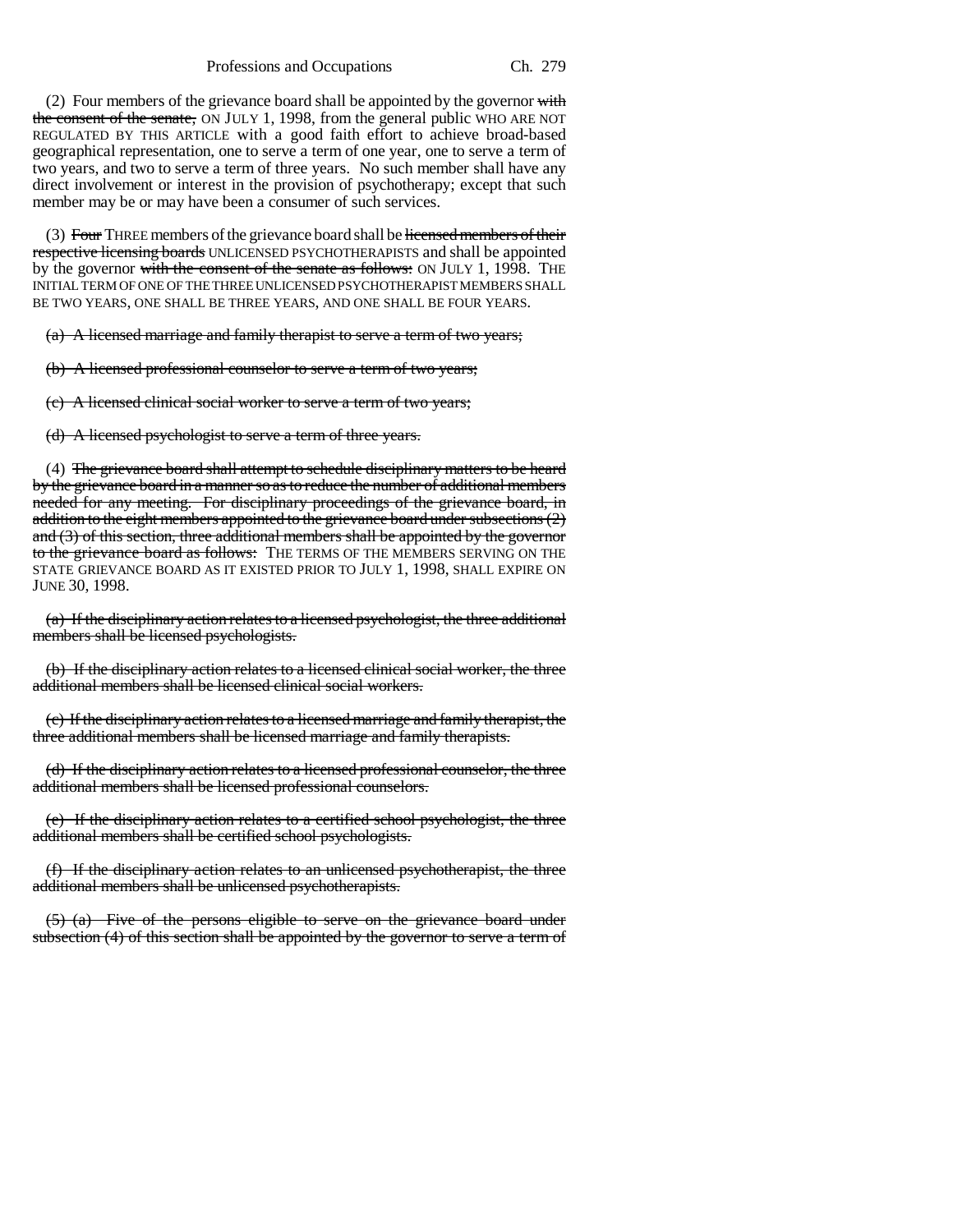Professions and Occupations Ch. 279

(2) Four members of the grievance board shall be appointed by the governor  $\frac{with}{}$ the consent of the senate, ON JULY 1, 1998, from the general public WHO ARE NOT REGULATED BY THIS ARTICLE with a good faith effort to achieve broad-based geographical representation, one to serve a term of one year, one to serve a term of two years, and two to serve a term of three years. No such member shall have any direct involvement or interest in the provision of psychotherapy; except that such member may be or may have been a consumer of such services.

(3) Four THREE members of the grievance board shall be licensed members of their respective licensing boards UNLICENSED PSYCHOTHERAPISTS and shall be appointed by the governor with the consent of the senate as follows: ON JULY 1, 1998. THE INITIAL TERM OF ONE OF THE THREE UNLICENSED PSYCHOTHERAPIST MEMBERS SHALL BE TWO YEARS, ONE SHALL BE THREE YEARS, AND ONE SHALL BE FOUR YEARS.

(a) A licensed marriage and family therapist to serve a term of two years;

(b) A licensed professional counselor to serve a term of two years;

(c) A licensed clinical social worker to serve a term of two years;

(d) A licensed psychologist to serve a term of three years.

(4) The grievance board shall attempt to schedule disciplinary matters to be heard by the grievance board in a manner so as to reduce the number of additional members needed for any meeting. For disciplinary proceedings of the grievance board, in addition to the eight members appointed to the grievance board under subsections (2) and  $(3)$  of this section, three additional members shall be appointed by the governor to the grievance board as follows: THE TERMS OF THE MEMBERS SERVING ON THE STATE GRIEVANCE BOARD AS IT EXISTED PRIOR TO JULY 1, 1998, SHALL EXPIRE ON JUNE 30, 1998.

(a) If the disciplinary action relates to a licensed psychologist, the three additional members shall be licensed psychologists.

(b) If the disciplinary action relates to a licensed clinical social worker, the three additional members shall be licensed clinical social workers.

(c) If the disciplinary action relates to a licensed marriage and family therapist, the three additional members shall be licensed marriage and family therapists.

(d) If the disciplinary action relates to a licensed professional counselor, the three additional members shall be licensed professional counselors.

(e) If the disciplinary action relates to a certified school psychologist, the three additional members shall be certified school psychologists.

(f) If the disciplinary action relates to an unlicensed psychotherapist, the three additional members shall be unlicensed psychotherapists.

(5) (a) Five of the persons eligible to serve on the grievance board under subsection (4) of this section shall be appointed by the governor to serve a term of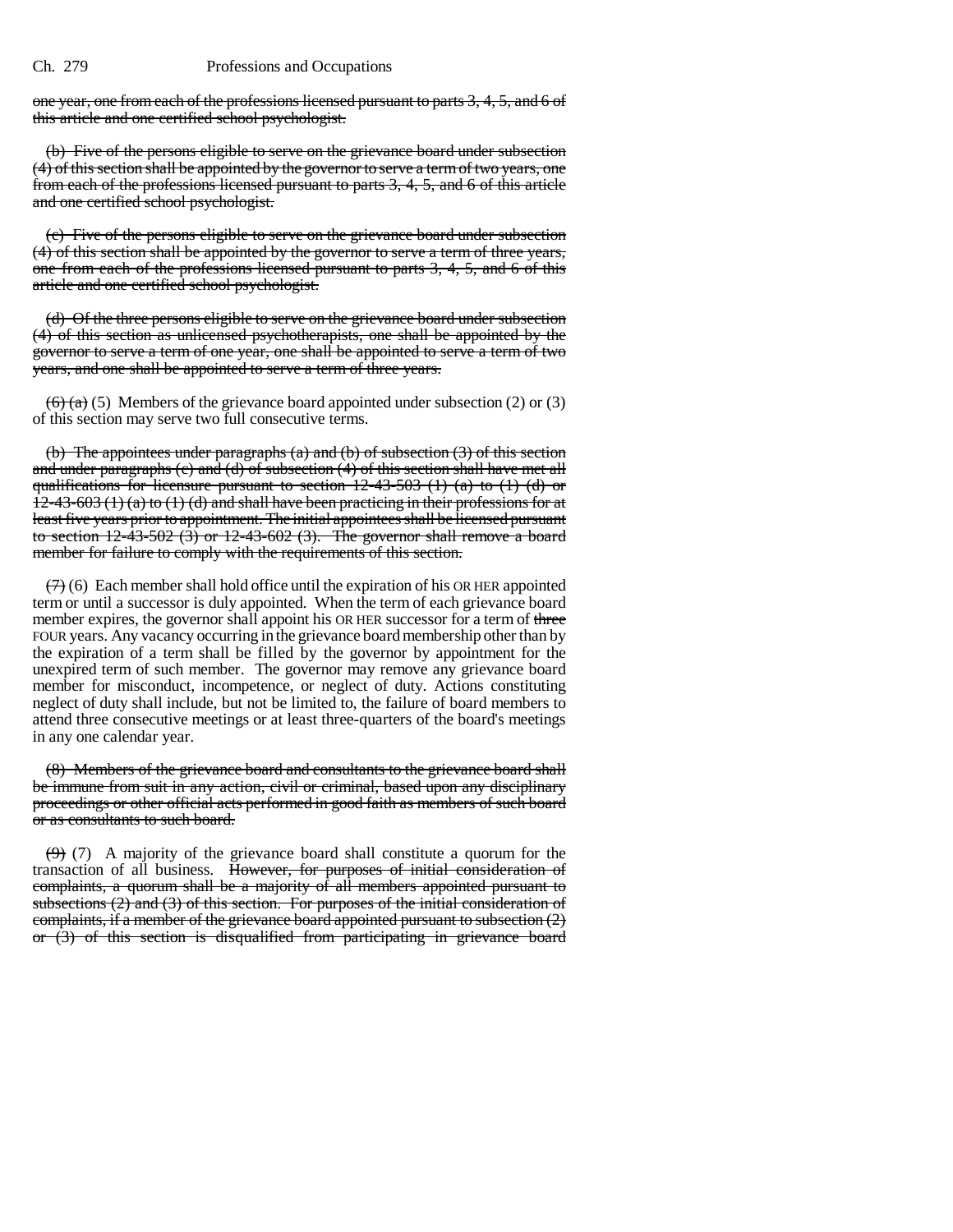one year, one from each of the professions licensed pursuant to parts 3, 4, 5, and 6 of this article and one certified school psychologist.

(b) Five of the persons eligible to serve on the grievance board under subsection (4) of this section shall be appointed by the governor to serve a term of two years, one from each of the professions licensed pursuant to parts 3, 4, 5, and 6 of this article and one certified school psychologist.

(c) Five of the persons eligible to serve on the grievance board under subsection (4) of this section shall be appointed by the governor to serve a term of three years, one from each of the professions licensed pursuant to parts 3, 4, 5, and 6 of this article and one certified school psychologist.

(d) Of the three persons eligible to serve on the grievance board under subsection (4) of this section as unlicensed psychotherapists, one shall be appointed by the governor to serve a term of one year, one shall be appointed to serve a term of two years, and one shall be appointed to serve a term of three years.

 $\left(\frac{6}{2}\right)$  (5) Members of the grievance board appointed under subsection (2) or (3) of this section may serve two full consecutive terms.

(b) The appointees under paragraphs (a) and (b) of subsection (3) of this section and under paragraphs (c) and (d) of subsection (4) of this section shall have met all qualifications for licensure pursuant to section 12-43-503 (1) (a) to (1) (d) or  $12-43-603$  (1) (a) to (1) (d) and shall have been practicing in their professions for at least five years prior to appointment. The initial appointees shall be licensed pursuant to section  $12-\overline{43-502}$  (3) or  $12-\overline{43-602}$  (3). The governor shall remove a board member for failure to comply with the requirements of this section.

 $(7)$  (6) Each member shall hold office until the expiration of his OR HER appointed term or until a successor is duly appointed. When the term of each grievance board member expires, the governor shall appoint his OR HER successor for a term of three FOUR years. Any vacancy occurring in the grievance board membership other than by the expiration of a term shall be filled by the governor by appointment for the unexpired term of such member. The governor may remove any grievance board member for misconduct, incompetence, or neglect of duty. Actions constituting neglect of duty shall include, but not be limited to, the failure of board members to attend three consecutive meetings or at least three-quarters of the board's meetings in any one calendar year.

(8) Members of the grievance board and consultants to the grievance board shall be immune from suit in any action, civil or criminal, based upon any disciplinary proceedings or other official acts performed in good faith as members of such board or as consultants to such board.

 $(9)$  (7) A majority of the grievance board shall constitute a quorum for the transaction of all business. However, for purposes of initial consideration of complaints, a quorum shall be a majority of all members appointed pursuant to subsections (2) and (3) of this section. For purposes of the initial consideration of complaints, if a member of the grievance board appointed pursuant to subsection (2) or (3) of this section is disqualified from participating in grievance board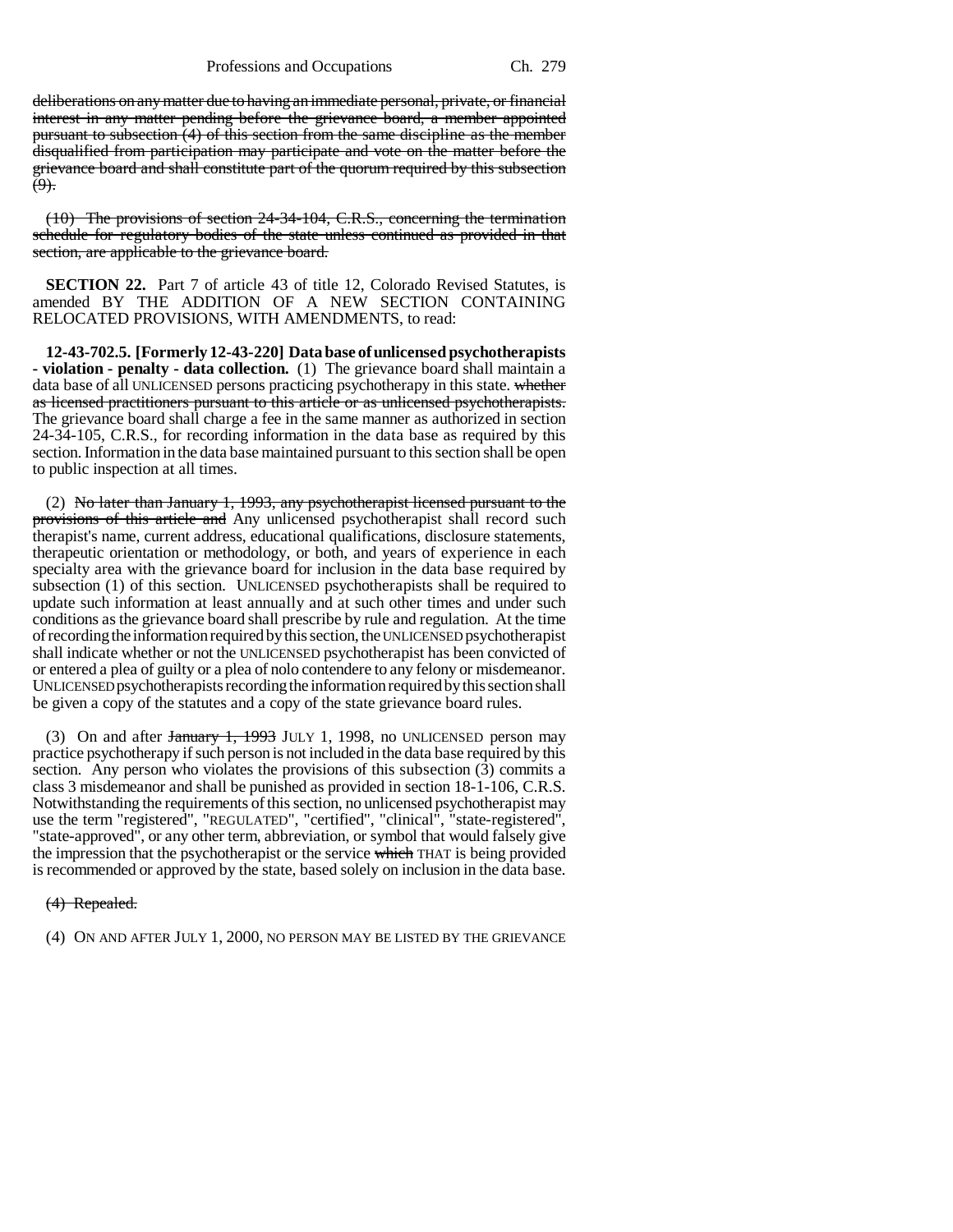deliberations on any matter due to having an immediate personal, private, or financial interest in any matter pending before the grievance board, a member appointed pursuant to subsection (4) of this section from the same discipline as the member disqualified from participation may participate and vote on the matter before the grievance board and shall constitute part of the quorum required by this subsection  $(9)$ .

(10) The provisions of section 24-34-104, C.R.S., concerning the termination schedule for regulatory bodies of the state unless continued as provided in that section, are applicable to the grievance board.

**SECTION 22.** Part 7 of article 43 of title 12, Colorado Revised Statutes, is amended BY THE ADDITION OF A NEW SECTION CONTAINING RELOCATED PROVISIONS, WITH AMENDMENTS, to read:

**12-43-702.5. [Formerly 12-43-220] Data base of unlicensed psychotherapists - violation - penalty - data collection.** (1) The grievance board shall maintain a data base of all UNLICENSED persons practicing psychotherapy in this state. whether as licensed practitioners pursuant to this article or as unlicensed psychotherapists. The grievance board shall charge a fee in the same manner as authorized in section 24-34-105, C.R.S., for recording information in the data base as required by this section. Information in the data base maintained pursuant to this section shall be open to public inspection at all times.

(2) No later than January 1, 1993, any psychotherapist licensed pursuant to the provisions of this article and Any unlicensed psychotherapist shall record such therapist's name, current address, educational qualifications, disclosure statements, therapeutic orientation or methodology, or both, and years of experience in each specialty area with the grievance board for inclusion in the data base required by subsection (1) of this section. UNLICENSED psychotherapists shall be required to update such information at least annually and at such other times and under such conditions as the grievance board shall prescribe by rule and regulation. At the time of recording the information required by this section, the UNLICENSED psychotherapist shall indicate whether or not the UNLICENSED psychotherapist has been convicted of or entered a plea of guilty or a plea of nolo contendere to any felony or misdemeanor. UNLICENSED psychotherapists recording the information required by this section shall be given a copy of the statutes and a copy of the state grievance board rules.

(3) On and after January 1, 1993 JULY 1, 1998, no UNLICENSED person may practice psychotherapy if such person is not included in the data base required by this section. Any person who violates the provisions of this subsection (3) commits a class 3 misdemeanor and shall be punished as provided in section 18-1-106, C.R.S. Notwithstanding the requirements of this section, no unlicensed psychotherapist may use the term "registered", "REGULATED", "certified", "clinical", "state-registered", "state-approved", or any other term, abbreviation, or symbol that would falsely give the impression that the psychotherapist or the service which THAT is being provided is recommended or approved by the state, based solely on inclusion in the data base.

### (4) Repealed.

(4) ON AND AFTER JULY 1, 2000, NO PERSON MAY BE LISTED BY THE GRIEVANCE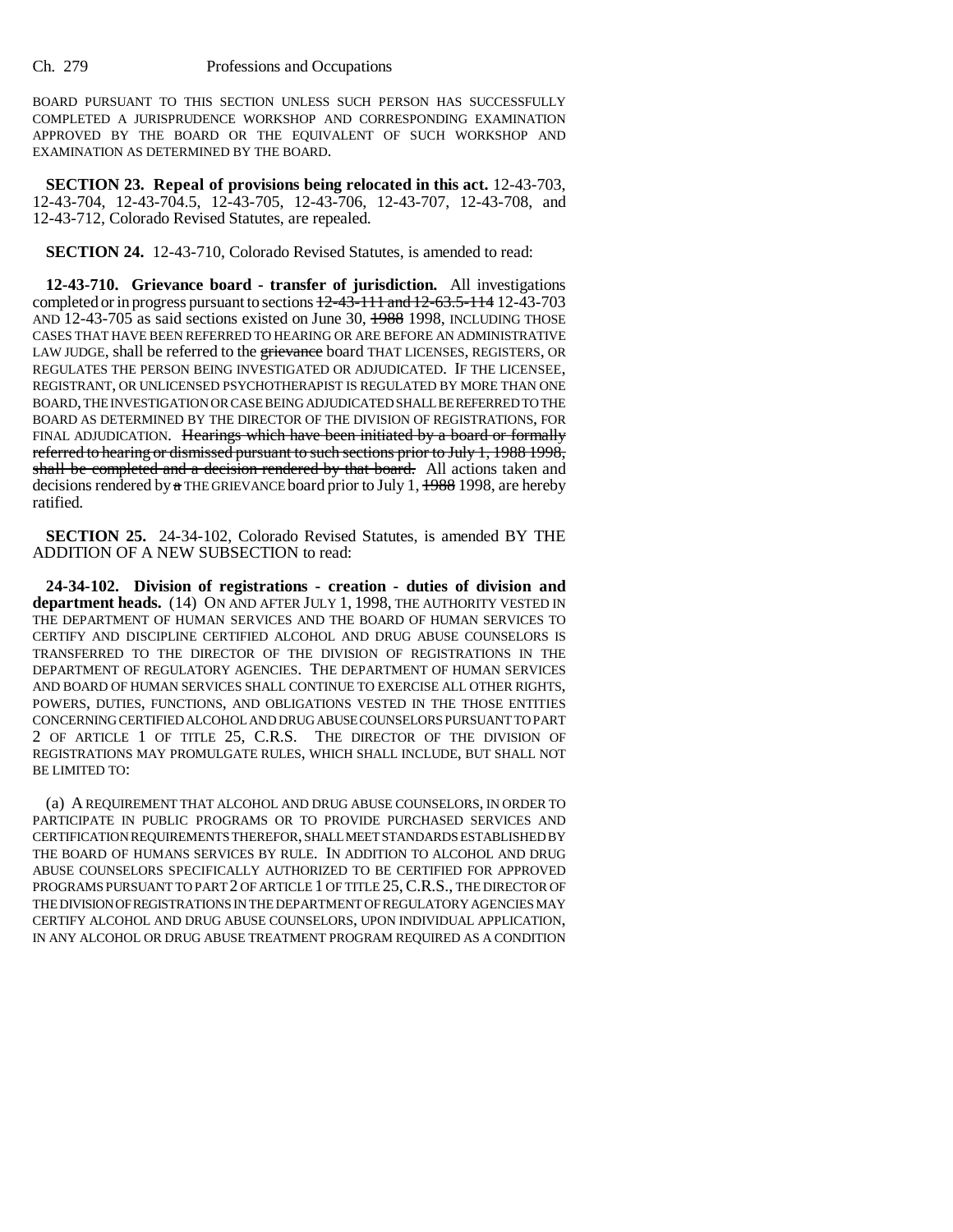BOARD PURSUANT TO THIS SECTION UNLESS SUCH PERSON HAS SUCCESSFULLY COMPLETED A JURISPRUDENCE WORKSHOP AND CORRESPONDING EXAMINATION APPROVED BY THE BOARD OR THE EQUIVALENT OF SUCH WORKSHOP AND EXAMINATION AS DETERMINED BY THE BOARD.

**SECTION 23. Repeal of provisions being relocated in this act.** 12-43-703, 12-43-704, 12-43-704.5, 12-43-705, 12-43-706, 12-43-707, 12-43-708, and 12-43-712, Colorado Revised Statutes, are repealed.

**SECTION 24.** 12-43-710, Colorado Revised Statutes, is amended to read:

**12-43-710. Grievance board - transfer of jurisdiction.** All investigations completed or in progress pursuant to sections  $\frac{12-43-111}{2}$  and  $\frac{12-63.5-114}{2}$  12-43-703 AND 12-43-705 as said sections existed on June 30, 1988 1998, INCLUDING THOSE CASES THAT HAVE BEEN REFERRED TO HEARING OR ARE BEFORE AN ADMINISTRATIVE LAW JUDGE, shall be referred to the grievance board THAT LICENSES, REGISTERS, OR REGULATES THE PERSON BEING INVESTIGATED OR ADJUDICATED. IF THE LICENSEE, REGISTRANT, OR UNLICENSED PSYCHOTHERAPIST IS REGULATED BY MORE THAN ONE BOARD, THE INVESTIGATION OR CASE BEING ADJUDICATED SHALL BE REFERRED TO THE BOARD AS DETERMINED BY THE DIRECTOR OF THE DIVISION OF REGISTRATIONS, FOR FINAL ADJUDICATION. Hearings which have been initiated by a board or formally referred to hearing or dismissed pursuant to such sections prior to July 1, 1988 1998, shall be completed and a decision rendered by that board. All actions taken and decisions rendered by  $\alpha$  THE GRIEVANCE board prior to July 1,  $\frac{1988}{1998}$ , are hereby ratified.

**SECTION 25.** 24-34-102, Colorado Revised Statutes, is amended BY THE ADDITION OF A NEW SUBSECTION to read:

**24-34-102. Division of registrations - creation - duties of division and department heads.** (14) ON AND AFTER JULY 1, 1998, THE AUTHORITY VESTED IN THE DEPARTMENT OF HUMAN SERVICES AND THE BOARD OF HUMAN SERVICES TO CERTIFY AND DISCIPLINE CERTIFIED ALCOHOL AND DRUG ABUSE COUNSELORS IS TRANSFERRED TO THE DIRECTOR OF THE DIVISION OF REGISTRATIONS IN THE DEPARTMENT OF REGULATORY AGENCIES. THE DEPARTMENT OF HUMAN SERVICES AND BOARD OF HUMAN SERVICES SHALL CONTINUE TO EXERCISE ALL OTHER RIGHTS, POWERS, DUTIES, FUNCTIONS, AND OBLIGATIONS VESTED IN THE THOSE ENTITIES CONCERNING CERTIFIED ALCOHOL AND DRUG ABUSE COUNSELORS PURSUANT TO PART 2 OF ARTICLE 1 OF TITLE 25, C.R.S. THE DIRECTOR OF THE DIVISION OF REGISTRATIONS MAY PROMULGATE RULES, WHICH SHALL INCLUDE, BUT SHALL NOT BE LIMITED TO:

(a) A REQUIREMENT THAT ALCOHOL AND DRUG ABUSE COUNSELORS, IN ORDER TO PARTICIPATE IN PUBLIC PROGRAMS OR TO PROVIDE PURCHASED SERVICES AND CERTIFICATION REQUIREMENTS THEREFOR, SHALL MEET STANDARDS ESTABLISHED BY THE BOARD OF HUMANS SERVICES BY RULE. IN ADDITION TO ALCOHOL AND DRUG ABUSE COUNSELORS SPECIFICALLY AUTHORIZED TO BE CERTIFIED FOR APPROVED PROGRAMS PURSUANT TO PART 2 OF ARTICLE 1 OF TITLE 25,C.R.S., THE DIRECTOR OF THE DIVISION OF REGISTRATIONS IN THE DEPARTMENT OF REGULATORY AGENCIES MAY CERTIFY ALCOHOL AND DRUG ABUSE COUNSELORS, UPON INDIVIDUAL APPLICATION, IN ANY ALCOHOL OR DRUG ABUSE TREATMENT PROGRAM REQUIRED AS A CONDITION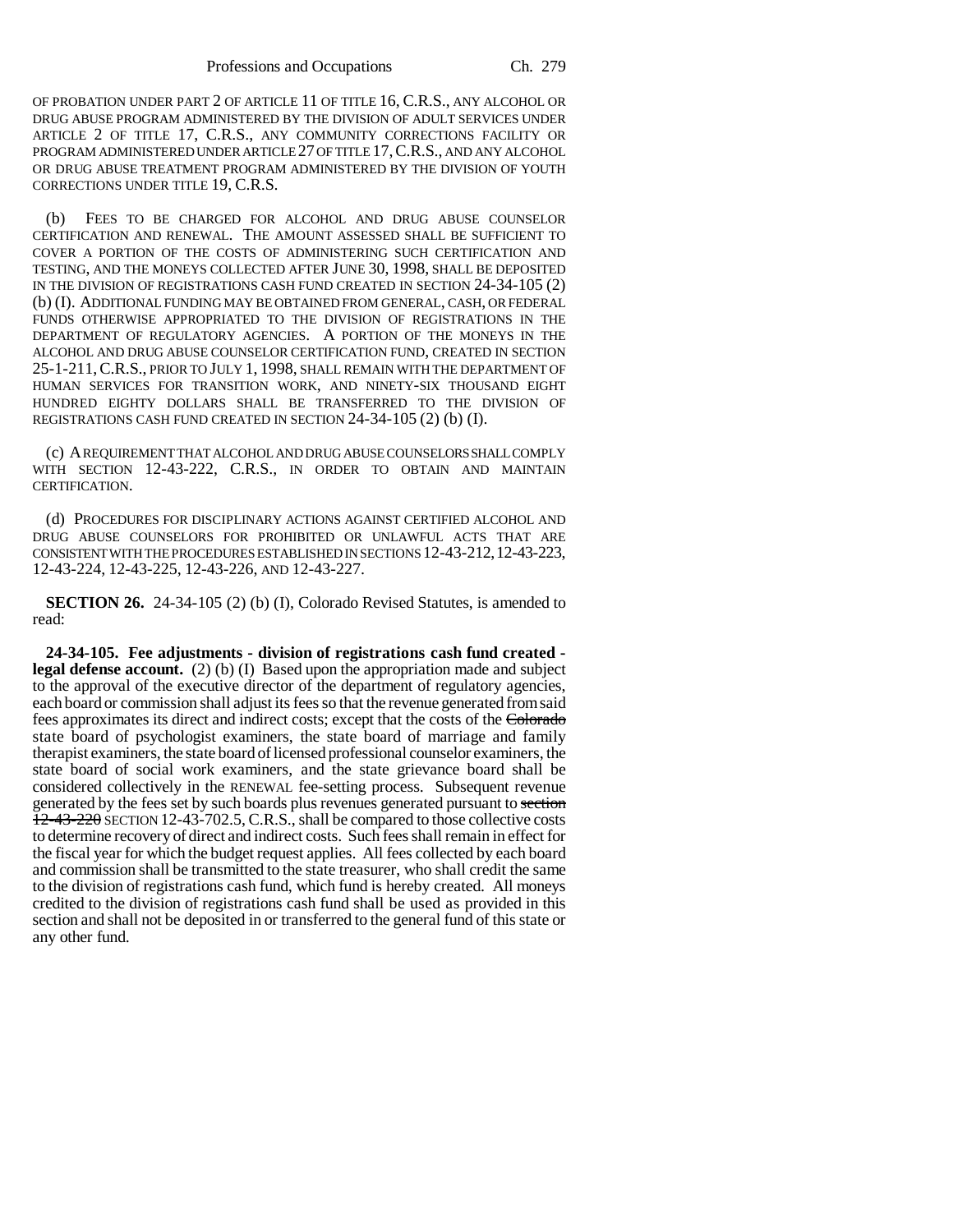OF PROBATION UNDER PART 2 OF ARTICLE 11 OF TITLE 16, C.R.S., ANY ALCOHOL OR DRUG ABUSE PROGRAM ADMINISTERED BY THE DIVISION OF ADULT SERVICES UNDER ARTICLE 2 OF TITLE 17, C.R.S., ANY COMMUNITY CORRECTIONS FACILITY OR PROGRAM ADMINISTERED UNDER ARTICLE 27 OF TITLE 17,C.R.S., AND ANY ALCOHOL OR DRUG ABUSE TREATMENT PROGRAM ADMINISTERED BY THE DIVISION OF YOUTH CORRECTIONS UNDER TITLE 19, C.R.S.

(b) FEES TO BE CHARGED FOR ALCOHOL AND DRUG ABUSE COUNSELOR CERTIFICATION AND RENEWAL. THE AMOUNT ASSESSED SHALL BE SUFFICIENT TO COVER A PORTION OF THE COSTS OF ADMINISTERING SUCH CERTIFICATION AND TESTING, AND THE MONEYS COLLECTED AFTER JUNE 30, 1998, SHALL BE DEPOSITED IN THE DIVISION OF REGISTRATIONS CASH FUND CREATED IN SECTION 24-34-105 (2) (b) (I). ADDITIONAL FUNDING MAY BE OBTAINED FROM GENERAL, CASH, OR FEDERAL FUNDS OTHERWISE APPROPRIATED TO THE DIVISION OF REGISTRATIONS IN THE DEPARTMENT OF REGULATORY AGENCIES. A PORTION OF THE MONEYS IN THE ALCOHOL AND DRUG ABUSE COUNSELOR CERTIFICATION FUND, CREATED IN SECTION 25-1-211,C.R.S., PRIOR TO JULY 1, 1998, SHALL REMAIN WITH THE DEPARTMENT OF HUMAN SERVICES FOR TRANSITION WORK, AND NINETY-SIX THOUSAND EIGHT HUNDRED EIGHTY DOLLARS SHALL BE TRANSFERRED TO THE DIVISION OF REGISTRATIONS CASH FUND CREATED IN SECTION 24-34-105 (2) (b) (I).

(c) A REQUIREMENT THAT ALCOHOL AND DRUG ABUSE COUNSELORS SHALL COMPLY WITH SECTION 12-43-222, C.R.S., IN ORDER TO OBTAIN AND MAINTAIN CERTIFICATION.

(d) PROCEDURES FOR DISCIPLINARY ACTIONS AGAINST CERTIFIED ALCOHOL AND DRUG ABUSE COUNSELORS FOR PROHIBITED OR UNLAWFUL ACTS THAT ARE CONSISTENT WITH THE PROCEDURES ESTABLISHED IN SECTIONS 12-43-212,12-43-223, 12-43-224, 12-43-225, 12-43-226, AND 12-43-227.

**SECTION 26.** 24-34-105 (2) (b) (I), Colorado Revised Statutes, is amended to read:

**24-34-105. Fee adjustments - division of registrations cash fund created legal defense account.** (2) (b) (I) Based upon the appropriation made and subject to the approval of the executive director of the department of regulatory agencies, each board or commission shall adjust its fees so that the revenue generated from said fees approximates its direct and indirect costs; except that the costs of the Colorado state board of psychologist examiners, the state board of marriage and family therapist examiners, the state board of licensed professional counselor examiners, the state board of social work examiners, and the state grievance board shall be considered collectively in the RENEWAL fee-setting process. Subsequent revenue generated by the fees set by such boards plus revenues generated pursuant to section  $12-43-220$  SECTION 12-43-702.5, C.R.S., shall be compared to those collective costs to determine recovery of direct and indirect costs. Such fees shall remain in effect for the fiscal year for which the budget request applies. All fees collected by each board and commission shall be transmitted to the state treasurer, who shall credit the same to the division of registrations cash fund, which fund is hereby created. All moneys credited to the division of registrations cash fund shall be used as provided in this section and shall not be deposited in or transferred to the general fund of this state or any other fund.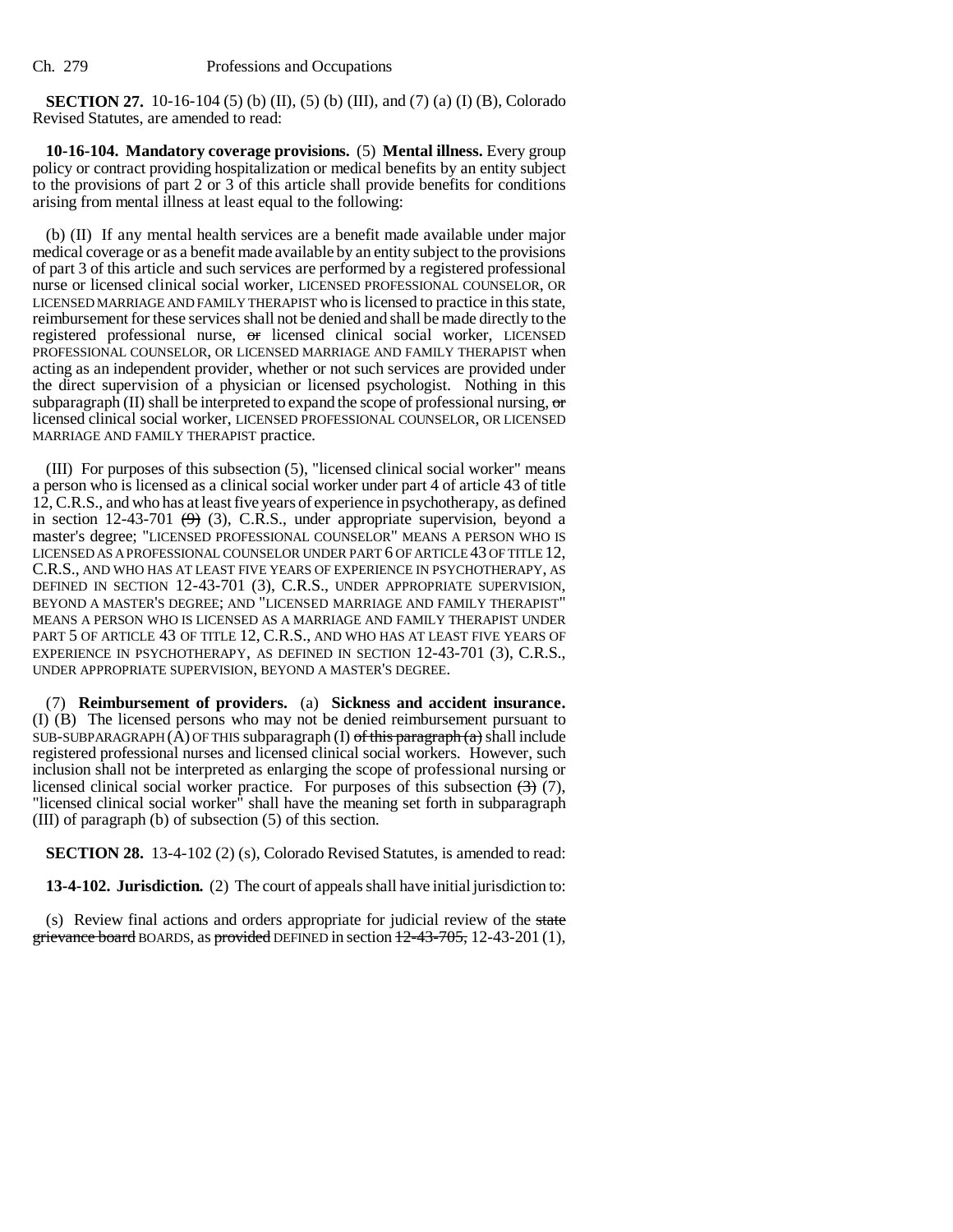**SECTION 27.** 10-16-104 (5) (b) (II), (5) (b) (III), and (7) (a) (I) (B), Colorado Revised Statutes, are amended to read:

**10-16-104. Mandatory coverage provisions.** (5) **Mental illness.** Every group policy or contract providing hospitalization or medical benefits by an entity subject to the provisions of part 2 or 3 of this article shall provide benefits for conditions arising from mental illness at least equal to the following:

(b) (II) If any mental health services are a benefit made available under major medical coverage or as a benefit made available by an entity subject to the provisions of part 3 of this article and such services are performed by a registered professional nurse or licensed clinical social worker, LICENSED PROFESSIONAL COUNSELOR, OR LICENSED MARRIAGE AND FAMILY THERAPIST who is licensed to practice in this state, reimbursement for these services shall not be denied and shall be made directly to the registered professional nurse, or licensed clinical social worker, LICENSED PROFESSIONAL COUNSELOR, OR LICENSED MARRIAGE AND FAMILY THERAPIST when acting as an independent provider, whether or not such services are provided under the direct supervision of a physician or licensed psychologist. Nothing in this subparagraph (II) shall be interpreted to expand the scope of professional nursing,  $\sigma$ licensed clinical social worker, LICENSED PROFESSIONAL COUNSELOR, OR LICENSED MARRIAGE AND FAMILY THERAPIST practice.

(III) For purposes of this subsection (5), "licensed clinical social worker" means a person who is licensed as a clinical social worker under part 4 of article 43 of title 12, C.R.S., and who has at least five years of experience in psychotherapy, as defined in section 12-43-701  $(9)$  (3), C.R.S., under appropriate supervision, beyond a master's degree; "LICENSED PROFESSIONAL COUNSELOR" MEANS A PERSON WHO IS LICENSED AS A PROFESSIONAL COUNSELOR UNDER PART 6 OF ARTICLE 43 OF TITLE 12, C.R.S., AND WHO HAS AT LEAST FIVE YEARS OF EXPERIENCE IN PSYCHOTHERAPY, AS DEFINED IN SECTION 12-43-701 (3), C.R.S., UNDER APPROPRIATE SUPERVISION, BEYOND A MASTER'S DEGREE; AND "LICENSED MARRIAGE AND FAMILY THERAPIST" MEANS A PERSON WHO IS LICENSED AS A MARRIAGE AND FAMILY THERAPIST UNDER PART 5 OF ARTICLE 43 OF TITLE 12, C.R.S., AND WHO HAS AT LEAST FIVE YEARS OF EXPERIENCE IN PSYCHOTHERAPY, AS DEFINED IN SECTION 12-43-701 (3), C.R.S., UNDER APPROPRIATE SUPERVISION, BEYOND A MASTER'S DEGREE.

(7) **Reimbursement of providers.** (a) **Sickness and accident insurance.** (I) (B) The licensed persons who may not be denied reimbursement pursuant to SUB-SUBPARAGRAPH  $(A)$  OF THIS subparagraph  $(I)$  of this paragraph  $(a)$  shall include registered professional nurses and licensed clinical social workers. However, such inclusion shall not be interpreted as enlarging the scope of professional nursing or licensed clinical social worker practice. For purposes of this subsection  $\left(\frac{3}{2}\right)$  (7), "licensed clinical social worker" shall have the meaning set forth in subparagraph (III) of paragraph (b) of subsection (5) of this section.

**SECTION 28.** 13-4-102 (2) (s), Colorado Revised Statutes, is amended to read:

**13-4-102. Jurisdiction.** (2) The court of appeals shall have initial jurisdiction to:

(s) Review final actions and orders appropriate for judicial review of the state grievance board BOARDS, as provided DEFINED in section  $12-43-705$ , 12-43-201(1),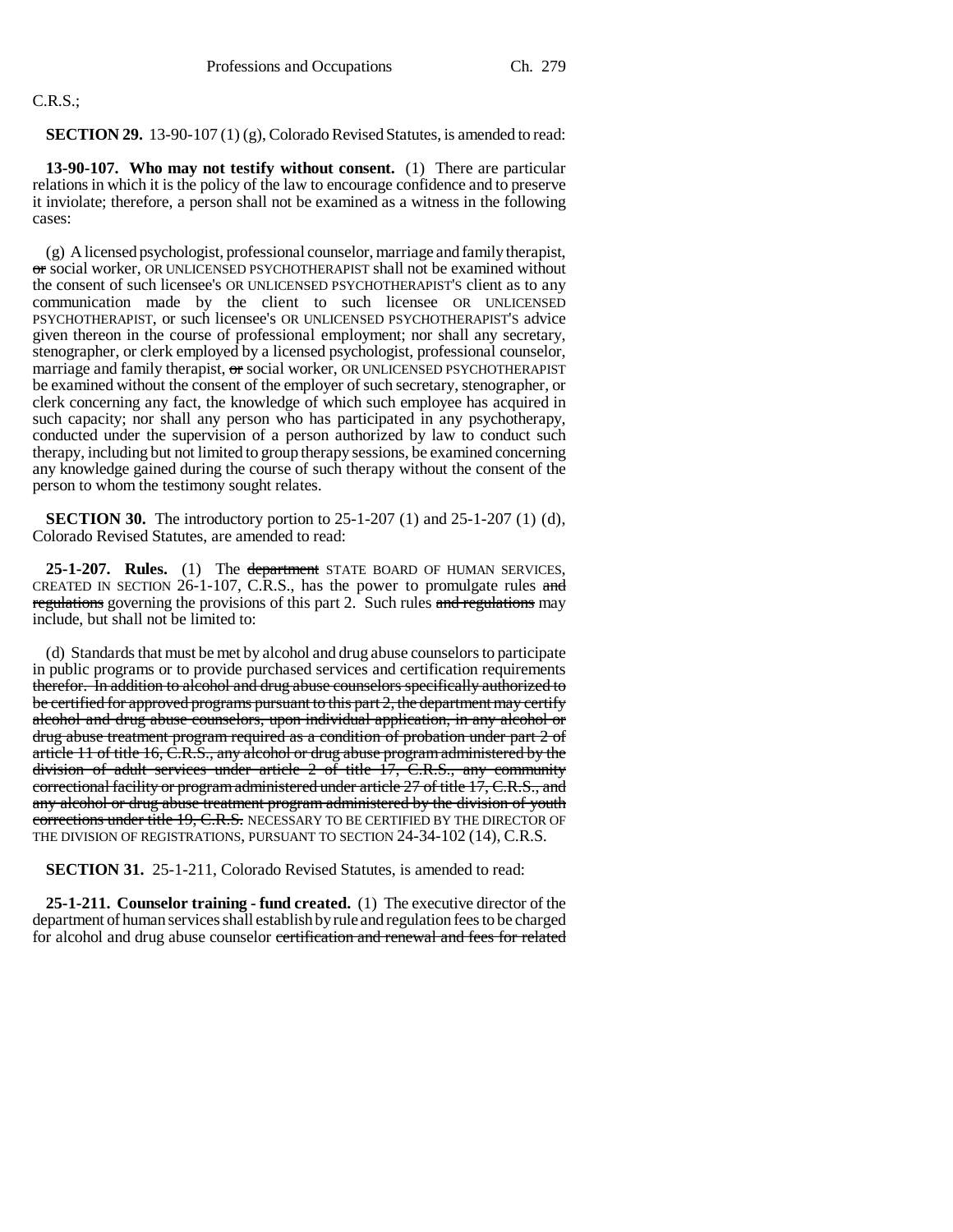# C.R.S.;

**SECTION 29.** 13-90-107 (1) (g), Colorado Revised Statutes, is amended to read:

**13-90-107. Who may not testify without consent.** (1) There are particular relations in which it is the policy of the law to encourage confidence and to preserve it inviolate; therefore, a person shall not be examined as a witness in the following cases:

(g) A licensed psychologist, professional counselor, marriage and family therapist, or social worker, OR UNLICENSED PSYCHOTHERAPIST shall not be examined without the consent of such licensee's OR UNLICENSED PSYCHOTHERAPIST'S client as to any communication made by the client to such licensee OR UNLICENSED PSYCHOTHERAPIST, or such licensee's OR UNLICENSED PSYCHOTHERAPIST'S advice given thereon in the course of professional employment; nor shall any secretary, stenographer, or clerk employed by a licensed psychologist, professional counselor, marriage and family therapist, or social worker, OR UNLICENSED PSYCHOTHERAPIST be examined without the consent of the employer of such secretary, stenographer, or clerk concerning any fact, the knowledge of which such employee has acquired in such capacity; nor shall any person who has participated in any psychotherapy, conducted under the supervision of a person authorized by law to conduct such therapy, including but not limited to group therapy sessions, be examined concerning any knowledge gained during the course of such therapy without the consent of the person to whom the testimony sought relates.

**SECTION 30.** The introductory portion to 25-1-207 (1) and 25-1-207 (1) (d), Colorado Revised Statutes, are amended to read:

25-1-207. Rules. (1) The department STATE BOARD OF HUMAN SERVICES, CREATED IN SECTION  $26$ -1-107, C.R.S., has the power to promulgate rules and regulations governing the provisions of this part 2. Such rules and regulations may include, but shall not be limited to:

(d) Standards that must be met by alcohol and drug abuse counselors to participate in public programs or to provide purchased services and certification requirements therefor. In addition to alcohol and drug abuse counselors specifically authorized to be certified for approved programs pursuant to this part 2, the department may certify alcohol and drug abuse counselors, upon individual application, in any alcohol or drug abuse treatment program required as a condition of probation under part 2 of article 11 of title 16, C.R.S., any alcohol or drug abuse program administered by the division of adult services under article  $2$  of title  $17$ , C.R.S., any community correctional facility or program administered under article 27 of title 17, C.R.S., and any alcohol or drug abuse treatment program administered by the division of youth corrections under title 19, C.R.S. NECESSARY TO BE CERTIFIED BY THE DIRECTOR OF THE DIVISION OF REGISTRATIONS, PURSUANT TO SECTION 24-34-102 (14), C.R.S.

**SECTION 31.** 25-1-211, Colorado Revised Statutes, is amended to read:

**25-1-211. Counselor training - fund created.** (1) The executive director of the department of human services shall establish by rule and regulation fees to be charged for alcohol and drug abuse counselor certification and renewal and fees for related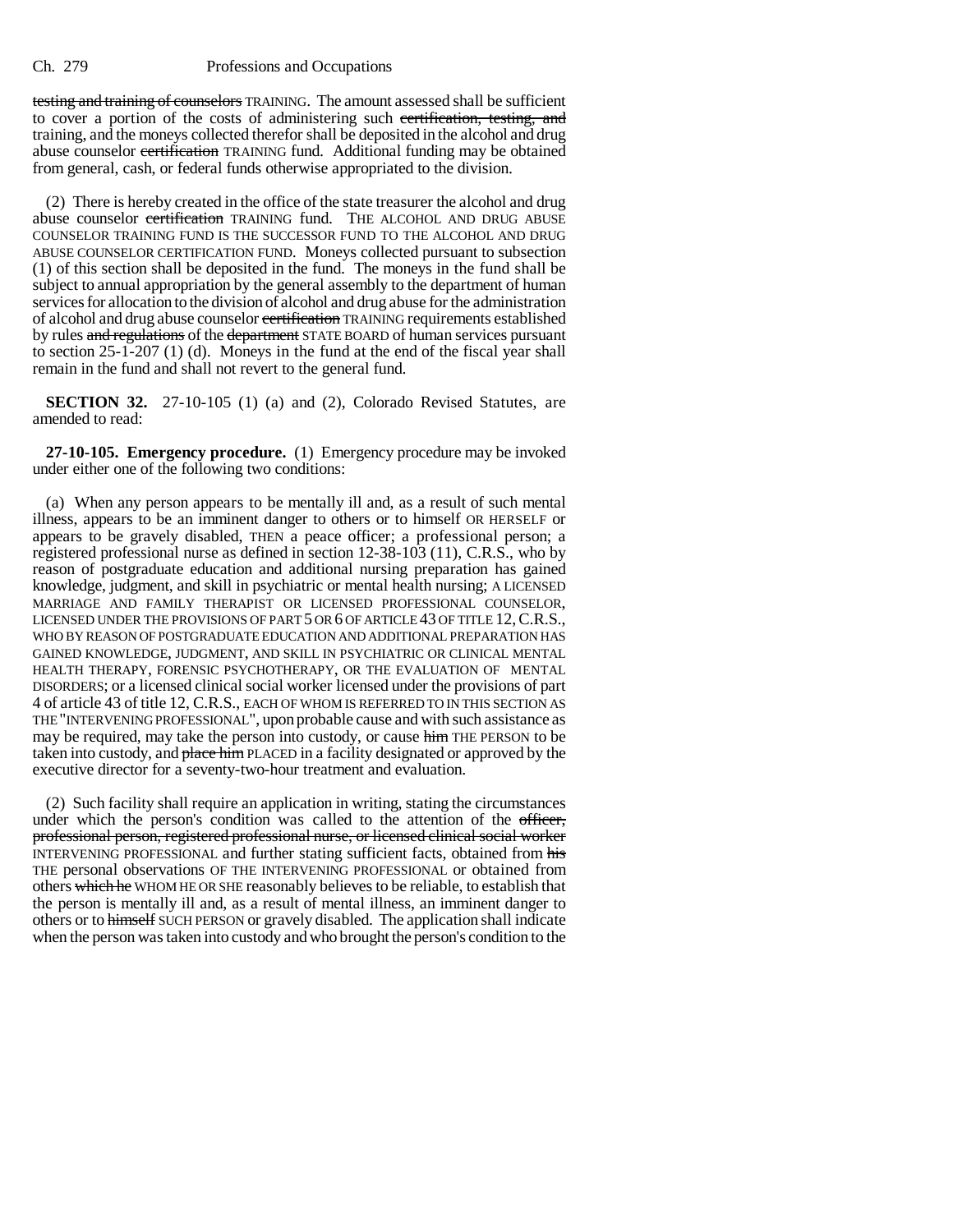testing and training of counselors TRAINING. The amount assessed shall be sufficient to cover a portion of the costs of administering such certification, testing, and training, and the moneys collected therefor shall be deposited in the alcohol and drug abuse counselor certification TRAINING fund. Additional funding may be obtained from general, cash, or federal funds otherwise appropriated to the division.

(2) There is hereby created in the office of the state treasurer the alcohol and drug abuse counselor certification TRAINING fund. THE ALCOHOL AND DRUG ABUSE COUNSELOR TRAINING FUND IS THE SUCCESSOR FUND TO THE ALCOHOL AND DRUG ABUSE COUNSELOR CERTIFICATION FUND. Moneys collected pursuant to subsection (1) of this section shall be deposited in the fund. The moneys in the fund shall be subject to annual appropriation by the general assembly to the department of human services for allocation to the division of alcohol and drug abuse for the administration of alcohol and drug abuse counselor certification TRAINING requirements established by rules and regulations of the department STATE BOARD of human services pursuant to section 25-1-207 (1) (d). Moneys in the fund at the end of the fiscal year shall remain in the fund and shall not revert to the general fund.

**SECTION 32.** 27-10-105 (1) (a) and (2), Colorado Revised Statutes, are amended to read:

**27-10-105. Emergency procedure.** (1) Emergency procedure may be invoked under either one of the following two conditions:

(a) When any person appears to be mentally ill and, as a result of such mental illness, appears to be an imminent danger to others or to himself OR HERSELF or appears to be gravely disabled, THEN a peace officer; a professional person; a registered professional nurse as defined in section 12-38-103 (11), C.R.S., who by reason of postgraduate education and additional nursing preparation has gained knowledge, judgment, and skill in psychiatric or mental health nursing; A LICENSED MARRIAGE AND FAMILY THERAPIST OR LICENSED PROFESSIONAL COUNSELOR, LICENSED UNDER THE PROVISIONS OF PART 5 OR 6 OF ARTICLE 43 OF TITLE 12,C.R.S., WHO BY REASON OF POSTGRADUATE EDUCATION AND ADDITIONAL PREPARATION HAS GAINED KNOWLEDGE, JUDGMENT, AND SKILL IN PSYCHIATRIC OR CLINICAL MENTAL HEALTH THERAPY, FORENSIC PSYCHOTHERAPY, OR THE EVALUATION OF MENTAL DISORDERS; or a licensed clinical social worker licensed under the provisions of part 4 of article 43 of title 12, C.R.S., EACH OF WHOM IS REFERRED TO IN THIS SECTION AS THE "INTERVENING PROFESSIONAL", upon probable cause and with such assistance as may be required, may take the person into custody, or cause him THE PERSON to be taken into custody, and place him PLACED in a facility designated or approved by the executive director for a seventy-two-hour treatment and evaluation.

(2) Such facility shall require an application in writing, stating the circumstances under which the person's condition was called to the attention of the officer, professional person, registered professional nurse, or licensed clinical social worker INTERVENING PROFESSIONAL and further stating sufficient facts, obtained from his THE personal observations OF THE INTERVENING PROFESSIONAL or obtained from others which he WHOM HE OR SHE reasonably believes to be reliable, to establish that the person is mentally ill and, as a result of mental illness, an imminent danger to others or to himself SUCH PERSON or gravely disabled. The application shall indicate when the person was taken into custody and who brought the person's condition to the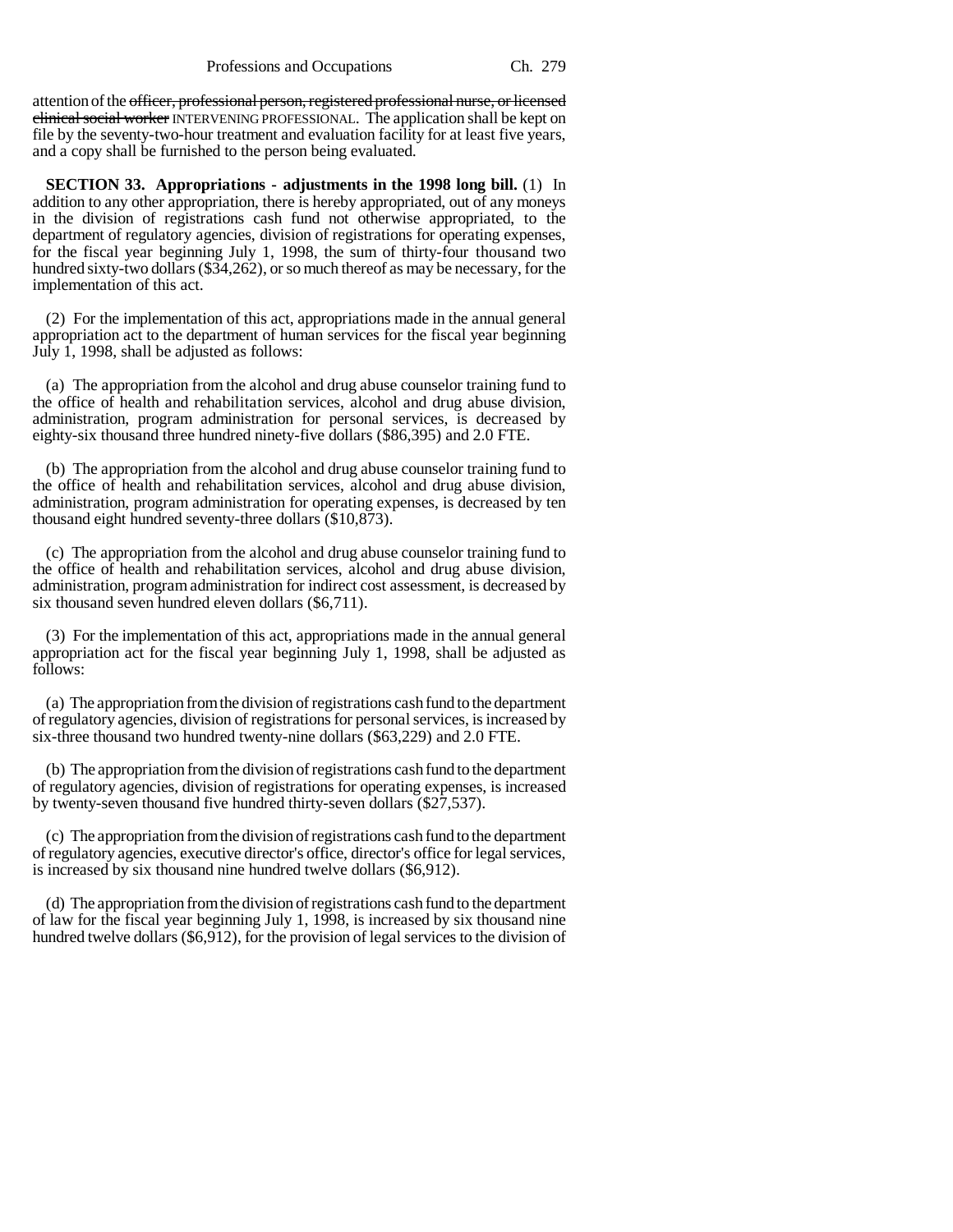attention of the officer, professional person, registered professional nurse, or licensed clinical social worker INTERVENING PROFESSIONAL. The application shall be kept on file by the seventy-two-hour treatment and evaluation facility for at least five years, and a copy shall be furnished to the person being evaluated.

**SECTION 33. Appropriations - adjustments in the 1998 long bill.** (1) In addition to any other appropriation, there is hereby appropriated, out of any moneys in the division of registrations cash fund not otherwise appropriated, to the department of regulatory agencies, division of registrations for operating expenses, for the fiscal year beginning July 1, 1998, the sum of thirty-four thousand two hundred sixty-two dollars (\$34,262), or so much thereof as may be necessary, for the implementation of this act.

(2) For the implementation of this act, appropriations made in the annual general appropriation act to the department of human services for the fiscal year beginning July 1, 1998, shall be adjusted as follows:

(a) The appropriation from the alcohol and drug abuse counselor training fund to the office of health and rehabilitation services, alcohol and drug abuse division, administration, program administration for personal services, is decreased by eighty-six thousand three hundred ninety-five dollars (\$86,395) and 2.0 FTE.

(b) The appropriation from the alcohol and drug abuse counselor training fund to the office of health and rehabilitation services, alcohol and drug abuse division, administration, program administration for operating expenses, is decreased by ten thousand eight hundred seventy-three dollars (\$10,873).

(c) The appropriation from the alcohol and drug abuse counselor training fund to the office of health and rehabilitation services, alcohol and drug abuse division, administration, program administration for indirect cost assessment, is decreased by six thousand seven hundred eleven dollars (\$6,711).

(3) For the implementation of this act, appropriations made in the annual general appropriation act for the fiscal year beginning July 1, 1998, shall be adjusted as follows:

(a) The appropriation from the division of registrations cash fund to the department of regulatory agencies, division of registrations for personal services, is increased by six-three thousand two hundred twenty-nine dollars (\$63,229) and 2.0 FTE.

(b) The appropriation from the division of registrations cash fund to the department of regulatory agencies, division of registrations for operating expenses, is increased by twenty-seven thousand five hundred thirty-seven dollars (\$27,537).

(c) The appropriation from the division of registrations cash fund to the department of regulatory agencies, executive director's office, director's office for legal services, is increased by six thousand nine hundred twelve dollars (\$6,912).

(d) The appropriation from the division of registrations cash fund to the department of law for the fiscal year beginning July 1, 1998, is increased by six thousand nine hundred twelve dollars (\$6,912), for the provision of legal services to the division of